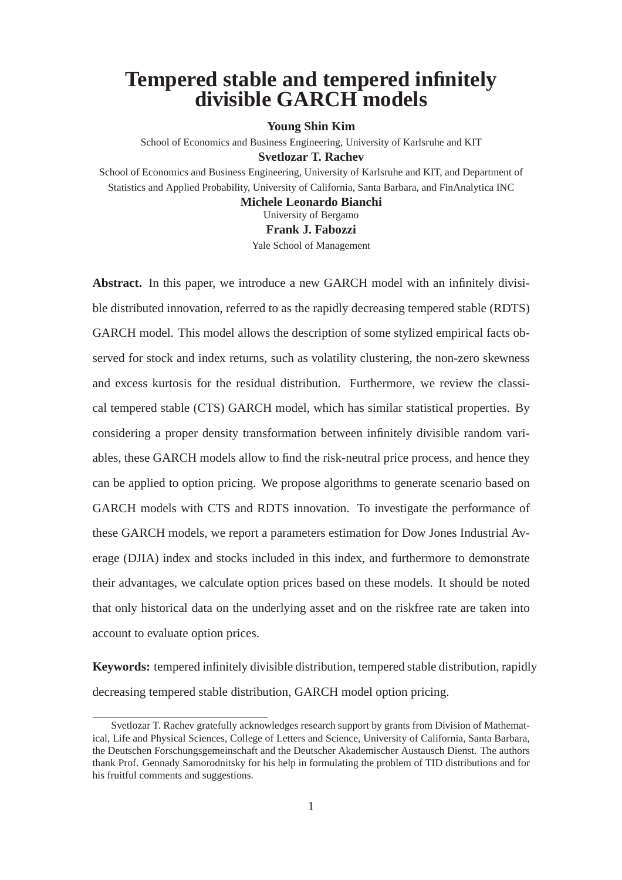## **Tempered stable and tempered infinitely divisible GARCH models**

#### **Young Shin Kim**

School of Economics and Business Engineering, University of Karlsruhe and KIT **Svetlozar T. Rachev**

School of Economics and Business Engineering, University of Karlsruhe and KIT, and Department of Statistics and Applied Probability, University of California, Santa Barbara, and FinAnalytica INC

**Michele Leonardo Bianchi**

University of Bergamo **Frank J. Fabozzi**

Yale School of Management

**Abstract.** In this paper, we introduce a new GARCH model with an infinitely divisible distributed innovation, referred to as the rapidly decreasing tempered stable (RDTS) GARCH model. This model allows the description of some stylized empirical facts observed for stock and index returns, such as volatility clustering, the non-zero skewness and excess kurtosis for the residual distribution. Furthermore, we review the classical tempered stable (CTS) GARCH model, which has similar statistical properties. By considering a proper density transformation between infinitely divisible random variables, these GARCH models allow to find the risk-neutral price process, and hence they can be applied to option pricing. We propose algorithms to generate scenario based on GARCH models with CTS and RDTS innovation. To investigate the performance of these GARCH models, we report a parameters estimation for Dow Jones Industrial Average (DJIA) index and stocks included in this index, and furthermore to demonstrate their advantages, we calculate option prices based on these models. It should be noted that only historical data on the underlying asset and on the riskfree rate are taken into account to evaluate option prices.

**Keywords:** tempered infinitely divisible distribution, tempered stable distribution, rapidly decreasing tempered stable distribution, GARCH model option pricing.

Svetlozar T. Rachev gratefully acknowledges research support by grants from Division of Mathematical, Life and Physical Sciences, College of Letters and Science, University of California, Santa Barbara, the Deutschen Forschungsgemeinschaft and the Deutscher Akademischer Austausch Dienst. The authors thank Prof. Gennady Samorodnitsky for his help in formulating the problem of TID distributions and for his fruitful comments and suggestions.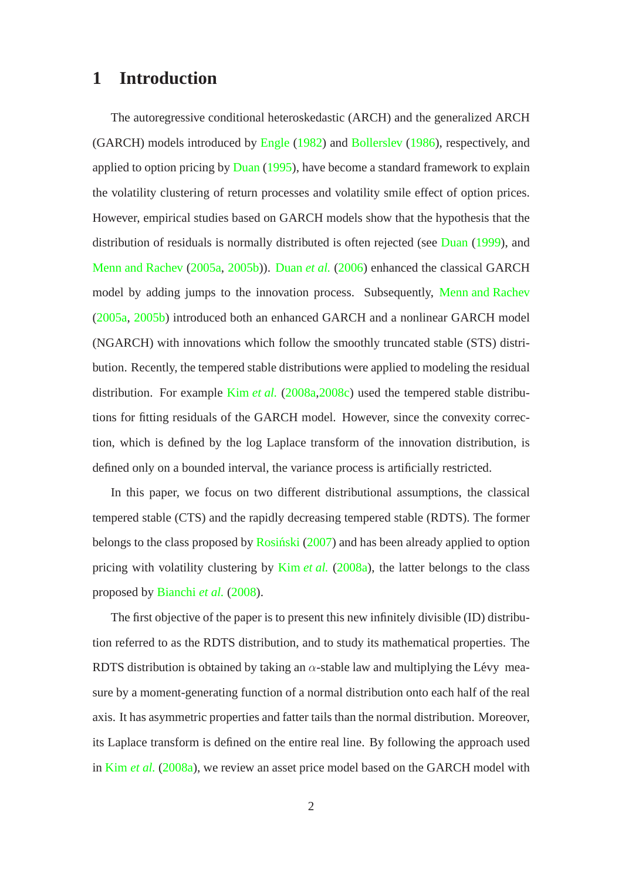### **1 Introduction**

The autoregressive conditional heteroskedastic (ARCH) and the generalized ARCH (GARCH) models introduced by [Engle](#page-32-0) [\(1982](#page-32-0)) and [Bollerslev](#page-31-0) [\(1986](#page-31-0)), respectively, and applied to option pricing by [Duan](#page-32-1) [\(1995](#page-32-1)), have become a standard framework to explain the volatility clustering of return processes and volatility smile effect of option prices. However, empirical studies based on GARCH models show that the hypothesis that the distribution of residuals is normally distributed is often rejected (see [Duan](#page-32-2) [\(1999](#page-32-2)), and [Menn and Rachev](#page-33-0) [\(2005a,](#page-33-0) [2005b\)](#page-33-1)). [Duan](#page-32-3) *et al.* [\(2006\)](#page-32-3) enhanced the classical GARCH model by adding jumps to the innovation process. Subsequently, [Menn and Rachev](#page-33-0) [\(2005a,](#page-33-0) [2005b](#page-33-1)) introduced both an enhanced GARCH and a nonlinear GARCH model (NGARCH) with innovations which follow the smoothly truncated stable (STS) distribution. Recently, the tempered stable distributions were applied to modeling the residual distribution. For example Kim *[et al.](#page-32-4)* [\(2008a](#page-32-4)[,2008c](#page-33-2)) used the tempered stable distributions for fitting residuals of the GARCH model. However, since the convexity correction, which is defined by the log Laplace transform of the innovation distribution, is defined only on a bounded interval, the variance process is artificially restricted.

In this paper, we focus on two different distributional assumptions, the classical tempered stable (CTS) and the rapidly decreasing tempered stable (RDTS). The former belongs to the class proposed by  $Rosinski (2007)$  $Rosinski (2007)$  $Rosinski (2007)$  and has been already applied to option pricing with volatility clustering by Kim *[et al.](#page-32-4)* [\(2008a\)](#page-32-4), the latter belongs to the class proposed by [Bianchi](#page-31-1) *et al.* [\(2008](#page-31-1)).

The first objective of the paper is to present this new infinitely divisible (ID) distribution referred to as the RDTS distribution, and to study its mathematical properties. The RDTS distribution is obtained by taking an  $\alpha$ -stable law and multiplying the Lévy measure by a moment-generating function of a normal distribution onto each half of the real axis. It has asymmetric properties and fatter tails than the normal distribution. Moreover, its Laplace transform is defined on the entire real line. By following the approach used in Kim *[et al.](#page-32-4)* [\(2008a\)](#page-32-4), we review an asset price model based on the GARCH model with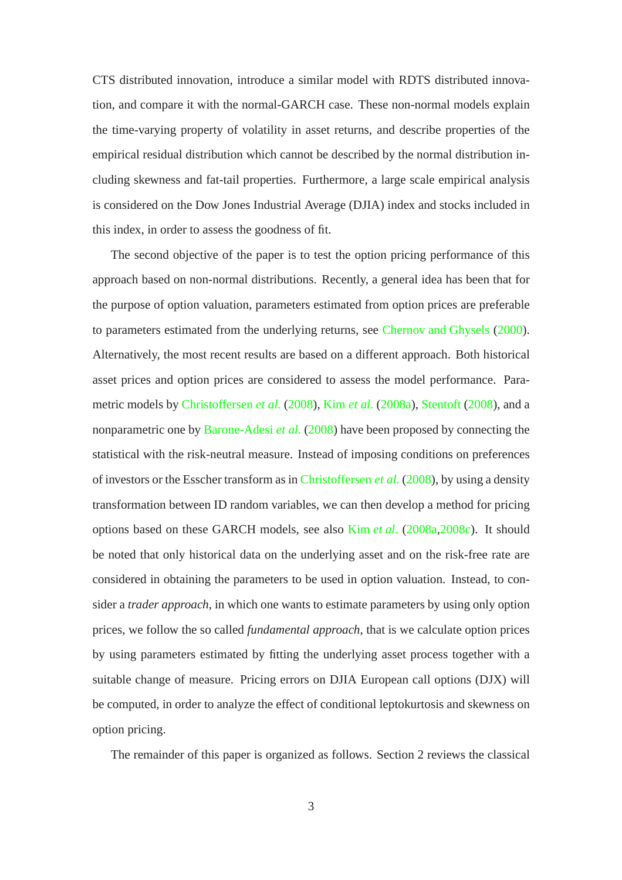CTS distributed innovation, introduce a similar model with RDTS distributed innovation, and compare it with the normal-GARCH case. These non-normal models explain the time-varying property of volatility in asset returns, and describe properties of the empirical residual distribution which cannot be described by the normal distribution including skewness and fat-tail properties. Furthermore, a large scale empirical analysis is considered on the Dow Jones Industrial Average (DJIA) index and stocks included in this index, in order to assess the goodness of fit.

The second objective of the paper is to test the option pricing performance of this approach based on non-normal distributions. Recently, a general idea has been that for the purpose of option valuation, parameters estimated from option prices are preferable to parameters estimated from the underlying returns, see [Chernov and Ghysels](#page-31-2) [\(2000\)](#page-31-2). Alternatively, the most recent results are based on a different approach. Both historical asset prices and option prices are considered to assess the model performance. Parametric models by [Christoffersen](#page-32-5) *et al.* [\(2008](#page-32-5)), Kim *[et al.](#page-32-4)* [\(2008a](#page-32-4)), [Stentoft](#page-33-4) [\(2008\)](#page-33-4), and a nonparametric one by [Barone-Adesi](#page-31-3) *et al.* [\(2008\)](#page-31-3) have been proposed by connecting the statistical with the risk-neutral measure. Instead of imposing conditions on preferences of investors or the Esscher transform as in [Christoffersen](#page-32-5) *et al.* [\(2008\)](#page-32-5), by using a density transformation between ID random variables, we can then develop a method for pricing options based on these GARCH models, see also Kim *[et al.](#page-32-4)* [\(2008a](#page-32-4)[,2008c](#page-33-2)). It should be noted that only historical data on the underlying asset and on the risk-free rate are considered in obtaining the parameters to be used in option valuation. Instead, to consider a *trader approach*, in which one wants to estimate parameters by using only option prices, we follow the so called *fundamental approach*, that is we calculate option prices by using parameters estimated by fitting the underlying asset process together with a suitable change of measure. Pricing errors on DJIA European call options (DJX) will be computed, in order to analyze the effect of conditional leptokurtosis and skewness on option pricing.

The remainder of this paper is organized as follows. Section 2 reviews the classical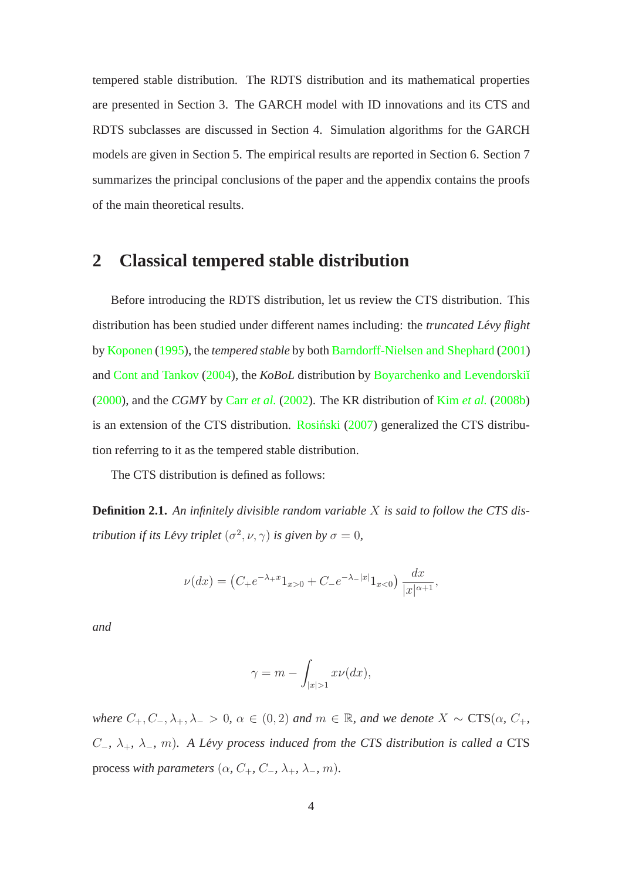tempered stable distribution. The RDTS distribution and its mathematical properties are presented in Section 3. The GARCH model with ID innovations and its CTS and RDTS subclasses are discussed in Section 4. Simulation algorithms for the GARCH models are given in Section 5. The empirical results are reported in Section 6. Section 7 summarizes the principal conclusions of the paper and the appendix contains the proofs of the main theoretical results.

### **2 Classical tempered stable distribution**

Before introducing the RDTS distribution, let us review the CTS distribution. This distribution has been studied under different names including: the *truncated Lévy flight* by [Koponen](#page-33-5) [\(1995](#page-33-5)), the *tempered stable* by both [Barndorff-Nielsen and Shephard](#page-31-4) [\(2001](#page-31-4)) and [Cont and Tankov](#page-32-6) [\(2004](#page-32-6)), the *KoBoL* distribution by Boyarchenko and Levendorski<sup>T</sup> [\(2000](#page-31-5)), and the *CGMY* by Carr *[et al.](#page-31-6)* [\(2002](#page-31-6)). The KR distribution of Kim *[et al.](#page-32-7)* [\(2008b\)](#page-32-7) is an extension of the CTS distribution. [Rosinski](#page-33-3)  $(2007)$  $(2007)$  generalized the CTS distribution referring to it as the tempered stable distribution.

The CTS distribution is defined as follows:

**Definition 2.1.** *An infinitely divisible random variable* X *is said to follow the CTS distribution if its Lévy triplet*  $(\sigma^2, \nu, \gamma)$  *is given by*  $\sigma = 0$ *,* 

$$
\nu(dx) = \left(C_+e^{-\lambda_+x}1_{x>0} + C_-e^{-\lambda_-|x|}1_{x<0}\right)\frac{dx}{|x|^{\alpha+1}},
$$

*and*

$$
\gamma = m - \int_{|x|>1} x\nu(dx),
$$

*where*  $C_+, C_-, \lambda_+, \lambda_- > 0$ ,  $\alpha \in (0, 2)$  *and*  $m \in \mathbb{R}$ *, and we denote*  $X \sim \text{CTS}(\alpha, C_+,$ C−*,* λ+*,* λ−*,* m)*. A Levy process induced from the CTS distribution is called a ´* CTS process *with parameters*  $(\alpha, C_+, C_-, \lambda_+, \lambda_-, m)$ .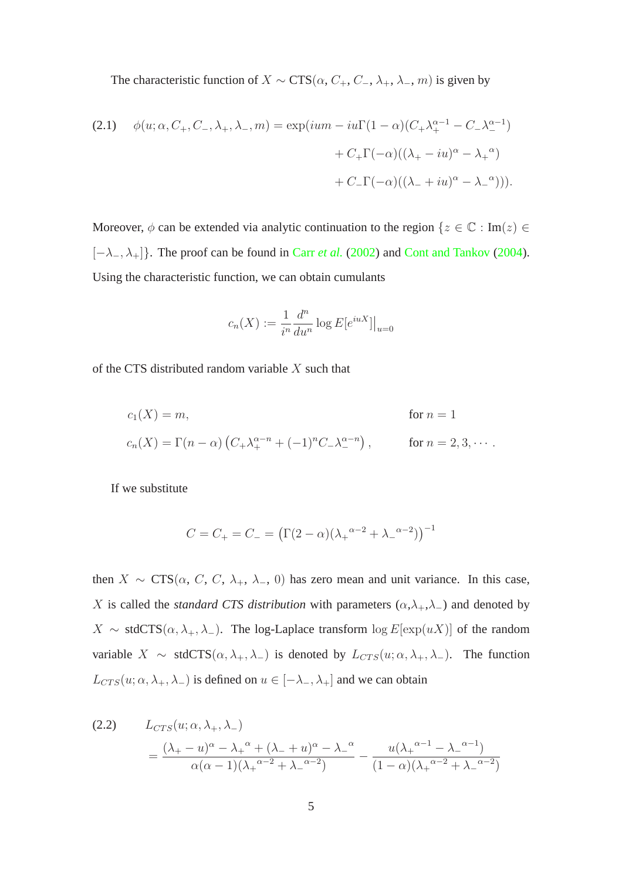The characteristic function of  $X \sim \text{CTS}(\alpha, C_+, C_-, \lambda_+, \lambda_-, m)$  is given by

<span id="page-4-0"></span>(2.1) 
$$
\phi(u; \alpha, C_+, C_-, \lambda_+, \lambda_-, m) = \exp(ium - iu\Gamma(1-\alpha)(C_+\lambda_+^{\alpha-1} - C_-\lambda_-^{\alpha-1})
$$

$$
+ C_+\Gamma(-\alpha)((\lambda_+ - iu)^{\alpha} - \lambda_+^{\alpha})
$$

$$
+ C_-\Gamma(-\alpha)((\lambda_- + iu)^{\alpha} - \lambda_-^{\alpha}))).
$$

Moreover,  $\phi$  can be extended via analytic continuation to the region  $\{z \in \mathbb{C} : \text{Im}(z) \in$ [−λ−,λ+]}. The proof can be found in Carr *[et al.](#page-31-6)* [\(2002](#page-31-6)) and [Cont and Tankov](#page-32-6) [\(2004\)](#page-32-6). Using the characteristic function, we can obtain cumulants

$$
c_n(X) := \frac{1}{i^n} \frac{d^n}{du^n} \log E[e^{iuX}]|_{u=0}
$$

of the CTS distributed random variable  $X$  such that

$$
c_1(X) = m,
$$
 for  $n = 1$   
\n
$$
c_n(X) = \Gamma(n - \alpha) \left( C_+ \lambda_+^{\alpha - n} + (-1)^n C_- \lambda_-^{\alpha - n} \right),
$$
 for  $n = 2, 3, \cdots$ .

If we substitute

$$
C = C_{+} = C_{-} = (\Gamma(2 - \alpha)(\lambda_{+}^{\alpha - 2} + \lambda_{-}^{\alpha - 2}))^{-1}
$$

then  $X \sim \text{CTS}(\alpha, C, C, \lambda_+, \lambda_-, 0)$  has zero mean and unit variance. In this case, X is called the *standard CTS distribution* with parameters  $(\alpha, \lambda_+, \lambda_-)$  and denoted by  $X \sim \text{stdCTS}(\alpha, \lambda_+, \lambda_-)$ . The log-Laplace transform  $\log E[\exp(uX)]$  of the random variable  $X \sim \text{stdCTS}(\alpha, \lambda_+, \lambda_-)$  is denoted by  $L_{CTS}(u; \alpha, \lambda_+, \lambda_-)$ . The function  $L_{CTS}(u; \alpha, \lambda_+, \lambda_-)$  is defined on  $u \in [-\lambda_-, \lambda_+]$  and we can obtain

(2.2) 
$$
L_{CTS}(u; \alpha, \lambda_+, \lambda_-)
$$

$$
= \frac{(\lambda_+ - u)^{\alpha} - \lambda_+^{\alpha} + (\lambda_- + u)^{\alpha} - \lambda_-^{\alpha}}{\alpha(\alpha - 1)(\lambda_+^{\alpha - 2} + \lambda_-^{\alpha - 2})} - \frac{u(\lambda_+^{\alpha - 1} - \lambda_-^{\alpha - 1})}{(1 - \alpha)(\lambda_+^{\alpha - 2} + \lambda_-^{\alpha - 2})}
$$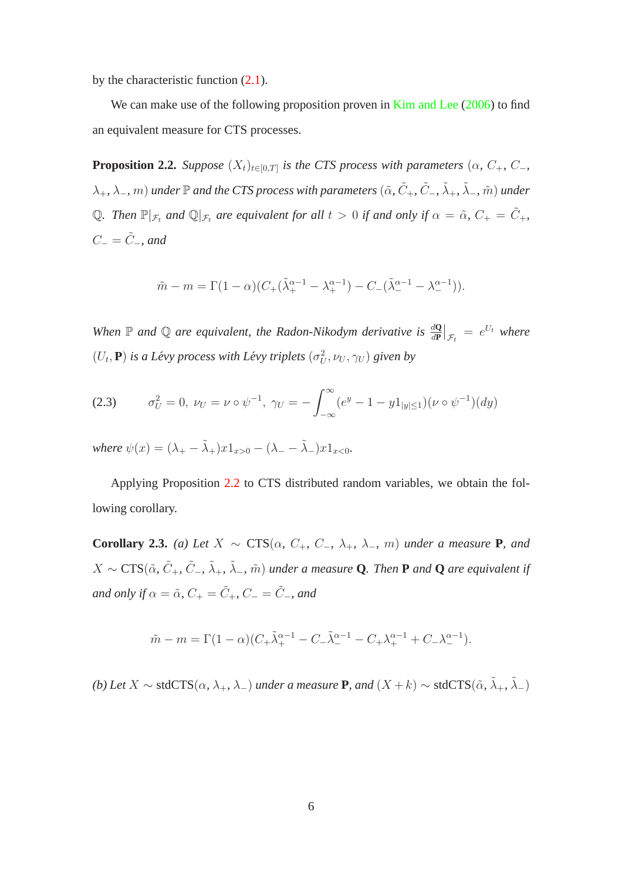by the characteristic function [\(2.1\)](#page-4-0).

<span id="page-5-0"></span>We can make use of the following proposition proven in [Kim and Lee](#page-32-8) [\(2006](#page-32-8)) to find an equivalent measure for CTS processes.

**Proposition 2.2.** *Suppose*  $(X_t)_{t \in [0,T]}$  *is the CTS process with parameters*  $(\alpha, C_+, C_-,$  $(\lambda_+, \lambda_-, m)$  *under*  $\mathbb P$  *and the CTS process with parameters*  $(\tilde{\alpha}, \tilde{C}_+, \tilde{C}_-, \tilde{\lambda}_+, \tilde{\lambda}_-, \tilde{m})$  *under* Q*. Then*  $\mathbb{P}|_{\mathcal{F}_t}$  *and*  $\mathbb{Q}|_{\mathcal{F}_t}$  *are equivalent for all*  $t > 0$  *if and only if*  $\alpha = \tilde{\alpha}$ *, C<sub>+</sub> =*  $\tilde{C}_+$ *<sup><i>i*</sup>,  $C_-=\tilde{C}_-$ *, and* 

$$
\tilde{m} - m = \Gamma(1 - \alpha)(C_{+}(\tilde{\lambda}_{+}^{\alpha - 1} - \lambda_{+}^{\alpha - 1}) - C_{-}(\tilde{\lambda}_{-}^{\alpha - 1} - \lambda_{-}^{\alpha - 1})).
$$

When  $\mathbb P$  and  $\mathbb Q$  are equivalent, the Radon-Nikodym derivative is  $\frac{d\mathbb Q}{dP}\big|_{\mathcal{F}_t} = e^{U_t}$  where  $(U_t, \mathbf{P})$  *is a Lévy process with Lévy triplets*  $(\sigma_U^2, \nu_U, \gamma_U)$  *given by* 

$$
(2.3) \qquad \sigma_U^2 = 0, \ \nu_U = \nu \circ \psi^{-1}, \ \gamma_U = -\int_{-\infty}^{\infty} (e^y - 1 - y \mathbb{1}_{|y| \le 1}) (\nu \circ \psi^{-1})(dy)
$$

*where*  $\psi(x) = (\lambda_{+} - \tilde{\lambda}_{+})x1_{x>0} - (\lambda_{-} - \tilde{\lambda}_{-})x1_{x<0}$ .

<span id="page-5-1"></span>Applying Proposition [2.2](#page-5-0) to CTS distributed random variables, we obtain the following corollary.

**Corollary 2.3.** *(a) Let*  $X \sim \text{CTS}(\alpha, C_+, C_-, \lambda_+, \lambda_-, m)$  *under a measure* **P***, and*  $X \sim \text{CTS}(\tilde{\alpha}, \tilde{C}_+, \tilde{C}_-, \tilde{\lambda}_+, \tilde{\lambda}_-, \tilde{m})$  under a measure **Q**. Then **P** and **Q** are equivalent if *and only if*  $\alpha = \tilde{\alpha}$ ,  $C_+ = \tilde{C}_+$ ,  $C_- = \tilde{C}_-$ , and

$$
\tilde{m} - m = \Gamma(1 - \alpha)(C_{+} \tilde{\lambda}_{+}^{\alpha - 1} - C_{-} \tilde{\lambda}_{-}^{\alpha - 1} - C_{+} \lambda_{+}^{\alpha - 1} + C_{-} \lambda_{-}^{\alpha - 1}).
$$

*(b)* Let  $X$  ∼ stdCTS( $\alpha$ ,  $\lambda_+$ ,  $\lambda_-$ ) *under a measure* **P***, and*  $(X + k)$  ∼ stdCTS( $\tilde{\alpha}$ ,  $\tilde{\lambda}_+$ ,  $\tilde{\lambda}_-$ )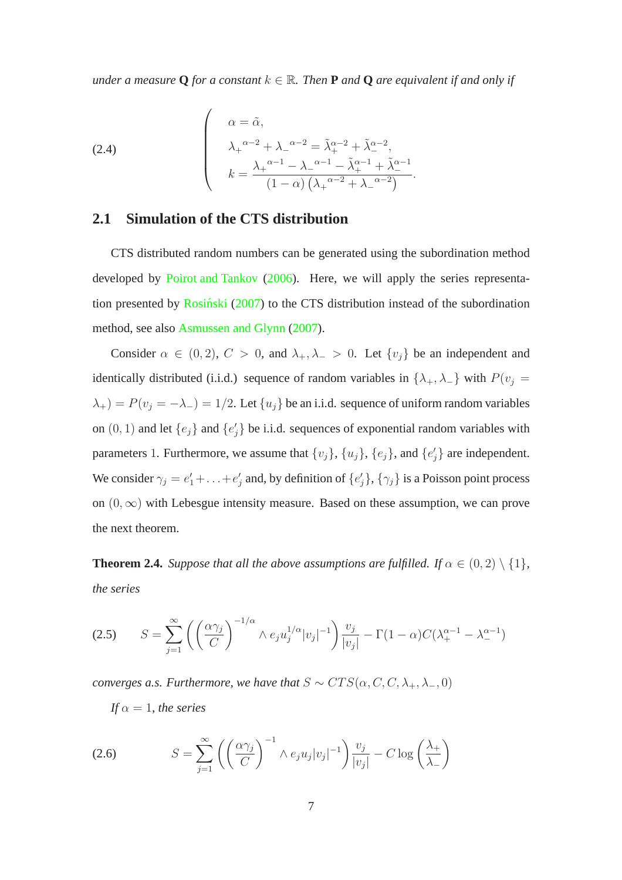*under a measure* Q *for a constant*  $k \in \mathbb{R}$ *. Then* **P** *and* Q *are equivalent if and only if* 

(2.4)  

$$
\begin{cases}\n\alpha = \tilde{\alpha}, \\
\lambda_{+}^{\alpha-2} + \lambda_{-}^{\alpha-2} = \tilde{\lambda}_{+}^{\alpha-2} + \tilde{\lambda}_{-}^{\alpha-2}, \\
k = \frac{\lambda_{+}^{\alpha-1} - \lambda_{-}^{\alpha-1} - \tilde{\lambda}_{+}^{\alpha-1} + \tilde{\lambda}_{-}^{\alpha-1}}{\left(1 - \alpha\right)\left(\lambda_{+}^{\alpha-2} + \lambda_{-}^{\alpha-2}\right)}.\n\end{cases}
$$

#### **2.1 Simulation of the CTS distribution**

CTS distributed random numbers can be generated using the subordination method developed by [Poirot and Tankov](#page-33-6) [\(2006\)](#page-33-6). Here, we will apply the series representation presented by Rosiński  $(2007)$  $(2007)$  to the CTS distribution instead of the subordination method, see also [Asmussen and Glynn](#page-31-7) [\(2007\)](#page-31-7).

Consider  $\alpha \in (0, 2)$ ,  $C > 0$ , and  $\lambda_+, \lambda_- > 0$ . Let  $\{v_j\}$  be an independent and identically distributed (i.i.d.) sequence of random variables in  $\{\lambda_+, \lambda_-\}$  with  $P(v_j =$  $\lambda_+) = P(v_j = -\lambda_-) = 1/2$ . Let  $\{u_j\}$  be an i.i.d. sequence of uniform random variables on  $(0, 1)$  and let  $\{e_j\}$  and  $\{e'_j\}$  be i.i.d. sequences of exponential random variables with parameters 1. Furthermore, we assume that  $\{v_j\}$ ,  $\{u_j\}$ ,  $\{e_j\}$ , and  $\{e'_j\}$  are independent. We consider  $\gamma_j = e'_1 + \ldots + e'_j$  and, by definition of  $\{e'_j\}$ ,  $\{\gamma_j\}$  is a Poisson point process on  $(0, \infty)$  with Lebesgue intensity measure. Based on these assumption, we can prove the next theorem.

<span id="page-6-0"></span>**Theorem 2.4.** *Suppose that all the above assumptions are fulfilled. If*  $\alpha \in (0, 2) \setminus \{1\}$ *, the series*

$$
(2.5) \qquad S = \sum_{j=1}^{\infty} \left( \left( \frac{\alpha \gamma_j}{C} \right)^{-1/\alpha} \wedge e_j u_j^{1/\alpha} |v_j|^{-1} \right) \frac{v_j}{|v_j|} - \Gamma(1-\alpha) C(\lambda_+^{\alpha-1} - \lambda_-^{\alpha-1})
$$

*converges a.s. Furthermore, we have that*  $S \sim CTS(\alpha, C, C, \lambda_+, \lambda_-, 0)$ 

*If*  $\alpha = 1$ *, the series* 

(2.6) 
$$
S = \sum_{j=1}^{\infty} \left( \left( \frac{\alpha \gamma_j}{C} \right)^{-1} \wedge e_j u_j |v_j|^{-1} \right) \frac{v_j}{|v_j|} - C \log \left( \frac{\lambda_+}{\lambda_-} \right)
$$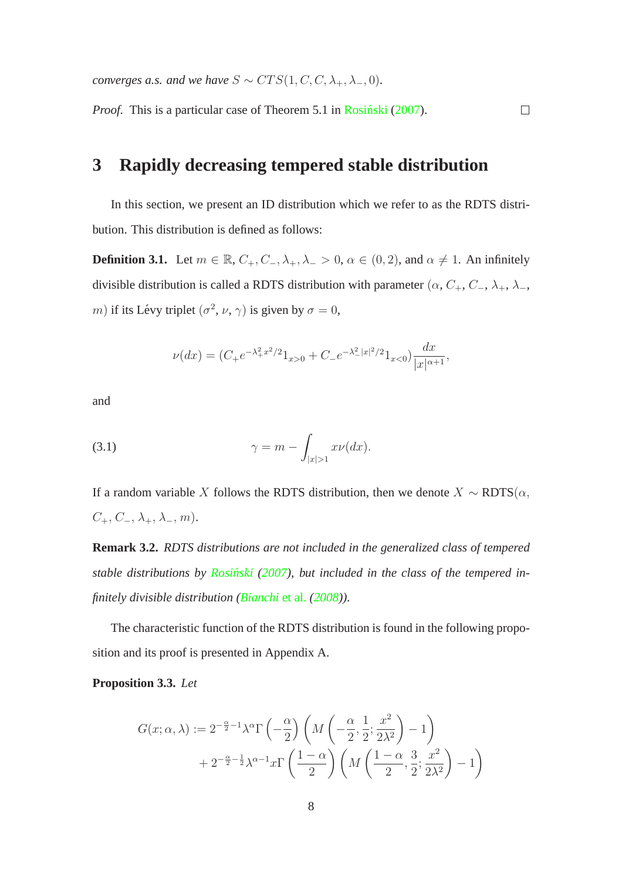*converges a.s. and we have*  $S \sim CTS(1, C, C, \lambda_+, \lambda_-, 0)$ *.* 

*Proof.* This is a particular case of Theorem 5.1 in [Rosinski](#page-33-3) [\(2007\)](#page-33-3).

### **3 Rapidly decreasing tempered stable distribution**

<span id="page-7-2"></span>In this section, we present an ID distribution which we refer to as the RDTS distribution. This distribution is defined as follows:

 $\Box$ 

**Definition 3.1.** Let  $m \in \mathbb{R}$ ,  $C_+, C_-, \lambda_+, \lambda_- > 0$ ,  $\alpha \in (0, 2)$ , and  $\alpha \neq 1$ . An infinitely divisible distribution is called a RDTS distribution with parameter ( $\alpha$ ,  $C_+$ ,  $C_-$ ,  $\lambda_+$ ,  $\lambda_-$ , m) if its Lévy triplet  $(\sigma^2, \nu, \gamma)$  is given by  $\sigma = 0$ ,

<span id="page-7-1"></span>
$$
\nu(dx) = (C_{+}e^{-\lambda_{+}^{2}x^{2}/2}1_{x>0} + C_{-}e^{-\lambda_{-}^{2}|x|^{2}/2}1_{x<0})\frac{dx}{|x|^{\alpha+1}},
$$

and

(3.1) 
$$
\gamma = m - \int_{|x|>1} x\nu(dx).
$$

If a random variable X follows the RDTS distribution, then we denote  $X \sim RDTS(\alpha,$  $C_+$ ,  $C_-$ ,  $\lambda_+$ ,  $\lambda_-$ ,  $m$ ).

**Remark 3.2.** *RDTS distributions are not included in the generalized class of tempered stable distributions by [Rosinski](#page-33-3) ´ [\(2007\)](#page-33-3), but included in the class of the tempered infinitely divisible distribution [\(Bianchi](#page-31-1)* et al. *[\(2008](#page-31-1))).*

<span id="page-7-0"></span>The characteristic function of the RDTS distribution is found in the following proposition and its proof is presented in Appendix A.

#### **Proposition 3.3.** *Let*

$$
G(x; \alpha, \lambda) := 2^{-\frac{\alpha}{2}-1} \lambda^{\alpha} \Gamma\left(-\frac{\alpha}{2}\right) \left(M\left(-\frac{\alpha}{2}, \frac{1}{2}; \frac{x^2}{2\lambda^2}\right) - 1\right) + 2^{-\frac{\alpha}{2}-\frac{1}{2}} \lambda^{\alpha-1} x \Gamma\left(\frac{1-\alpha}{2}\right) \left(M\left(\frac{1-\alpha}{2}, \frac{3}{2}; \frac{x^2}{2\lambda^2}\right) - 1\right)
$$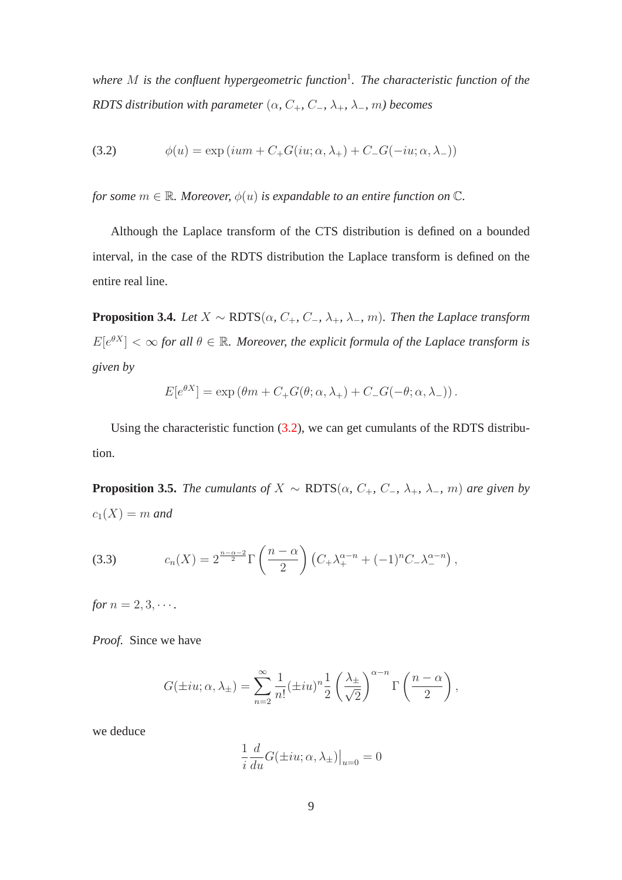*where* M *is the confluent hypergeometric function*<sup>1</sup> *. The characteristic function of the RDTS distribution with parameter* ( $\alpha$ ,  $C_+$ ,  $C_-$ ,  $\lambda_+$ ,  $\lambda_-$ ,  $m$ ) becomes

<span id="page-8-0"></span>(3.2) 
$$
\phi(u) = \exp(ium + C_+G(iu; \alpha, \lambda_+) + C_-G(-iu; \alpha, \lambda_-))
$$

*for some*  $m \in \mathbb{R}$ *. Moreover,*  $\phi(u)$  *is expandable to an entire function on*  $\mathbb{C}$ *.* 

<span id="page-8-2"></span>Although the Laplace transform of the CTS distribution is defined on a bounded interval, in the case of the RDTS distribution the Laplace transform is defined on the entire real line.

**Proposition 3.4.** *Let*  $X \sim \text{RDTS}(\alpha, C_+, C_-, \lambda_+, \lambda_-, m)$ *. Then the Laplace transform*  $E[e^{\theta X}] < \infty$  for all  $\theta \in \mathbb{R}$ . Moreover, the explicit formula of the Laplace transform is *given by*

$$
E[e^{\theta X}] = \exp (\theta m + C_+ G(\theta; \alpha, \lambda_+) + C_- G(-\theta; \alpha, \lambda_-)).
$$

Using the characteristic function [\(3.2\)](#page-8-0), we can get cumulants of the RDTS distribution.

**Proposition 3.5.** *The cumulants of*  $X \sim \text{RDTS}(\alpha, C_+, C_-, \lambda_+, \lambda_-, m)$  *are given by*  $c_1(X) = m$  *and* 

<span id="page-8-1"></span>(3.3) 
$$
c_n(X) = 2^{\frac{n-\alpha-2}{2}} \Gamma\left(\frac{n-\alpha}{2}\right) \left(C_+\lambda_+^{\alpha-n} + (-1)^n C_-\lambda_-^{\alpha-n}\right),
$$

*for*  $n = 2, 3, \cdots$ *.* 

*Proof.* Since we have

$$
G(\pm iu; \alpha, \lambda_{\pm}) = \sum_{n=2}^{\infty} \frac{1}{n!} (\pm iu)^n \frac{1}{2} \left(\frac{\lambda_{\pm}}{\sqrt{2}}\right)^{\alpha - n} \Gamma\left(\frac{n - \alpha}{2}\right),
$$

we deduce

$$
\frac{1}{i}\frac{d}{du}G(\pm iu;\alpha,\lambda_{\pm})\big|_{u=0}=0
$$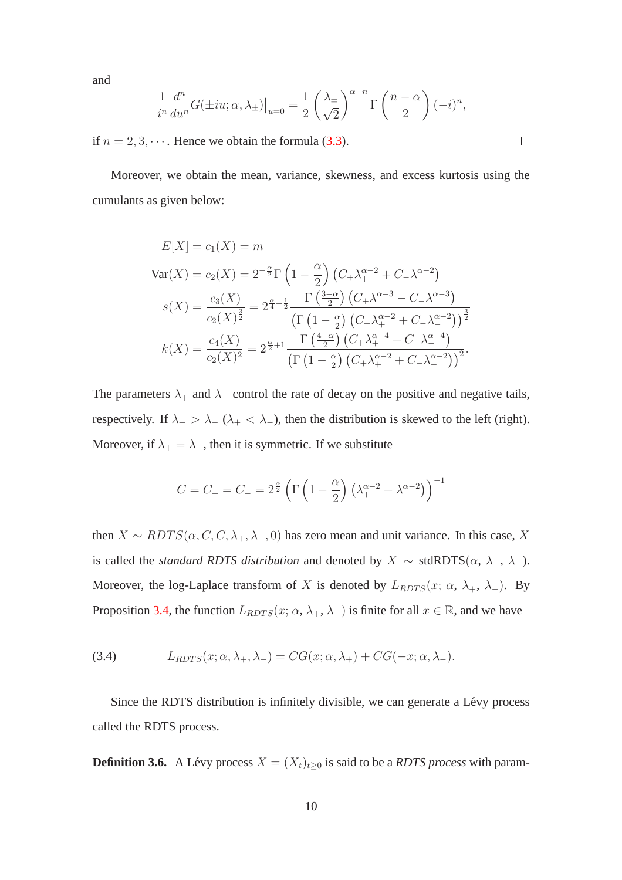and

$$
\frac{1}{i^n} \frac{d^n}{du^n} G(\pm iu; \alpha, \lambda_{\pm})\Big|_{u=0} = \frac{1}{2} \left(\frac{\lambda_{\pm}}{\sqrt{2}}\right)^{\alpha - n} \Gamma\left(\frac{n - \alpha}{2}\right) (-i)^n,
$$

if  $n = 2, 3, \dots$ . Hence we obtain the formula [\(3.3\)](#page-8-1).

Moreover, we obtain the mean, variance, skewness, and excess kurtosis using the cumulants as given below:

$$
E[X] = c_1(X) = m
$$
  
\n
$$
Var(X) = c_2(X) = 2^{-\frac{\alpha}{2}} \Gamma\left(1 - \frac{\alpha}{2}\right) \left(C_+\lambda_+^{\alpha-2} + C_-\lambda_-^{\alpha-2}\right)
$$
  
\n
$$
s(X) = \frac{c_3(X)}{c_2(X)^{\frac{3}{2}}} = 2^{\frac{\alpha}{4} + \frac{1}{2}} \frac{\Gamma\left(\frac{3-\alpha}{2}\right) \left(C_+\lambda_+^{\alpha-3} - C_-\lambda_-^{\alpha-3}\right)}{\left(\Gamma\left(1 - \frac{\alpha}{2}\right) \left(C_+\lambda_+^{\alpha-2} + C_-\lambda_-^{\alpha-2}\right)\right)^{\frac{3}{2}}}
$$
  
\n
$$
k(X) = \frac{c_4(X)}{c_2(X)^2} = 2^{\frac{\alpha}{2} + 1} \frac{\Gamma\left(\frac{4-\alpha}{2}\right) \left(C_+\lambda_+^{\alpha-4} + C_-\lambda_-^{\alpha-4}\right)}{\left(\Gamma\left(1 - \frac{\alpha}{2}\right) \left(C_+\lambda_+^{\alpha-2} + C_-\lambda_-^{\alpha-2}\right)\right)^2}.
$$

The parameters  $\lambda_+$  and  $\lambda_-$  control the rate of decay on the positive and negative tails, respectively. If  $\lambda_+ > \lambda_-$  ( $\lambda_+ < \lambda_-$ ), then the distribution is skewed to the left (right). Moreover, if  $\lambda_+ = \lambda_-$ , then it is symmetric. If we substitute

$$
C = C_{+} = C_{-} = 2^{\frac{\alpha}{2}} \left( \Gamma \left( 1 - \frac{\alpha}{2} \right) \left( \lambda_{+}^{\alpha - 2} + \lambda_{-}^{\alpha - 2} \right) \right)^{-1}
$$

then  $X \sim RDTS(\alpha, C, C, \lambda_+, \lambda_-, 0)$  has zero mean and unit variance. In this case, X is called the *standard RDTS distribution* and denoted by  $X \sim \text{stdRDTS}(\alpha, \lambda_+, \lambda_-)$ . Moreover, the log-Laplace transform of X is denoted by  $L_{RDTS}(x; \alpha, \lambda_+, \lambda_-)$ . By Proposition [3.4,](#page-8-2) the function  $L_{RDTS}(x; \alpha, \lambda_+, \lambda_-)$  is finite for all  $x \in \mathbb{R}$ , and we have

(3.4) 
$$
L_{RDFS}(x; \alpha, \lambda_+, \lambda_-) = CG(x; \alpha, \lambda_+) + CG(-x; \alpha, \lambda_-).
$$

Since the RDTS distribution is infinitely divisible, we can generate a Lévy process called the RDTS process.

**Definition 3.6.** A Lévy process  $X = (X_t)_{t>0}$  is said to be a *RDTS process* with param-

 $\Box$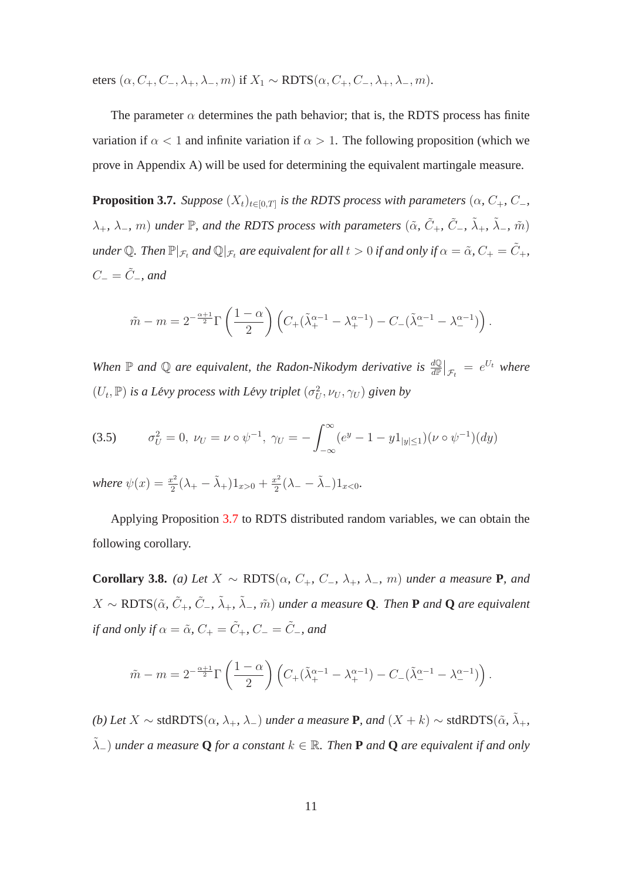eters  $(\alpha, C_+, C_-, \lambda_+, \lambda_-, m)$  if  $X_1 \sim \text{RDTS}(\alpha, C_+, C_-, \lambda_+, \lambda_-, m)$ .

<span id="page-10-0"></span>The parameter  $\alpha$  determines the path behavior; that is, the RDTS process has finite variation if  $\alpha < 1$  and infinite variation if  $\alpha > 1$ . The following proposition (which we prove in Appendix A) will be used for determining the equivalent martingale measure.

**Proposition 3.7.** *Suppose*  $(X_t)_{t \in [0,T]}$  *is the RDTS process with parameters*  $(\alpha, C_+, C_-,$  $\lambda_+$ ,  $\lambda_-$ ,  $m$ ) *under*  $\mathbb{P}$ , *and the RDTS process with parameters*  $(\tilde{\alpha}, \tilde{C}_+, \tilde{C}_-, \tilde{\lambda}_+, \tilde{\lambda}_-, \tilde{m})$ *under* Q. Then  $\mathbb{P}|_{\mathcal{F}_t}$  *and*  $\mathbb{Q}|_{\mathcal{F}_t}$  *are equivalent for all*  $t > 0$  *if and only if*  $\alpha = \tilde{\alpha}$ ,  $C_+ = \tilde{C}_+$ ,  $C_-=\tilde{C}_-$ *, and* 

$$
\tilde{m}-m=2^{-\frac{\alpha+1}{2}}\Gamma\left(\frac{1-\alpha}{2}\right)\left(C_+(\tilde{\lambda}_+^{\alpha-1}-\lambda_+^{\alpha-1})-C_-(\tilde{\lambda}_-^{\alpha-1}-\lambda_-^{\alpha-1})\right).
$$

When  $\mathbb P$  and  $\mathbb Q$  are equivalent, the Radon-Nikodym derivative is  $\frac{d\mathbb Q}{d\mathbb P}|_{\mathcal F_t} = e^{U_t}$  where  $(U_t, \mathbb{P})$  *is a Lévy process with Lévy triplet*  $(\sigma_U^2, \nu_U, \gamma_U)$  *given by* 

<span id="page-10-2"></span>(3.5) 
$$
\sigma_U^2 = 0, \ \nu_U = \nu \circ \psi^{-1}, \ \gamma_U = -\int_{-\infty}^{\infty} (e^y - 1 - y \mathbb{1}_{|y| \le 1}) (\nu \circ \psi^{-1})(dy)
$$

*where*  $\psi(x) = \frac{x^2}{2}$  $\frac{x^2}{2}(\lambda_+ - \tilde{\lambda}_+)1_{x>0} + \frac{x^2}{2}$  $\frac{x^2}{2}(\lambda_- - \tilde{\lambda}_-) 1_{x<0}.$ 

<span id="page-10-1"></span>Applying Proposition [3.7](#page-10-0) to RDTS distributed random variables, we can obtain the following corollary.

**Corollary 3.8.** *(a) Let* X ∼ RDTS(α*,* C+*,* C−*,* λ+*,* λ−*,* m) *under a measure* **P***, and*  $X \sim \text{RDTS}(\tilde{\alpha}, \tilde{C}_+, \tilde{C}_-, \tilde{\lambda}_+, \tilde{\lambda}_-, \tilde{m})$  under a measure **Q***. Then* **P** and **Q** are equivalent *if and only if*  $\alpha = \tilde{\alpha}$ *,*  $C_+ = \tilde{C}_+$ *,*  $C_- = \tilde{C}_-$ *, and* 

$$
\tilde{m}-m=2^{-\frac{\alpha+1}{2}}\Gamma\left(\frac{1-\alpha}{2}\right)\left(C_+(\tilde{\lambda}_+^{\alpha-1}-\lambda_+^{\alpha-1})-C_-(\tilde{\lambda}_-^{\alpha-1}-\lambda_-^{\alpha-1})\right).
$$

*(b)* Let  $X$  ∼ stdRDTS( $\alpha$ ,  $\lambda_+$ ,  $\lambda_-$ ) *under a measure* **P***, and* ( $X + k$ ) ∼ stdRDTS( $\tilde{\alpha}$ ,  $\tilde{\lambda}_+$ ,  $\tilde{\lambda}_-$ ) under a measure  $Q$  for a constant  $k \in \mathbb{R}$ . Then  $P$  and  $Q$  are equivalent if and only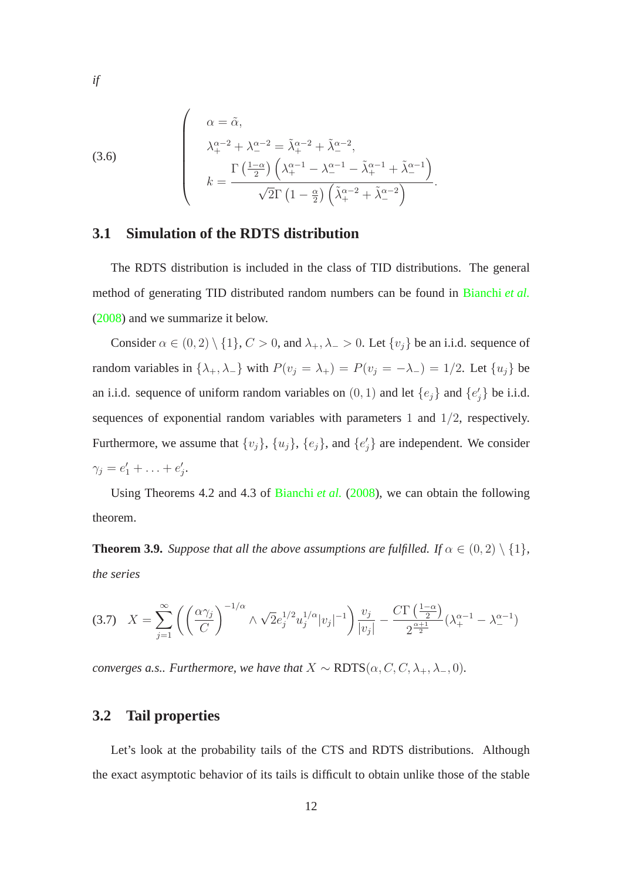(3.6)  

$$
\begin{pmatrix}\n\alpha = \tilde{\alpha}, \\
\lambda_{+}^{\alpha-2} + \lambda_{-}^{\alpha-2} = \tilde{\lambda}_{+}^{\alpha-2} + \tilde{\lambda}_{-}^{\alpha-2}, \\
k = \frac{\Gamma(\frac{1-\alpha}{2})\left(\lambda_{+}^{\alpha-1} - \lambda_{-}^{\alpha-1} - \tilde{\lambda}_{+}^{\alpha-1} + \tilde{\lambda}_{-}^{\alpha-1}\right)}{\sqrt{2}\Gamma(1-\frac{\alpha}{2})\left(\tilde{\lambda}_{+}^{\alpha-2} + \tilde{\lambda}_{-}^{\alpha-2}\right)}.\n\end{pmatrix}
$$

#### **3.1 Simulation of the RDTS distribution**

The RDTS distribution is included in the class of TID distributions. The general method of generating TID distributed random numbers can be found in [Bianchi](#page-31-1) *et al.* [\(2008](#page-31-1)) and we summarize it below.

Consider  $\alpha \in (0, 2) \setminus \{1\}$ ,  $C > 0$ , and  $\lambda_+, \lambda_- > 0$ . Let  $\{v_j\}$  be an i.i.d. sequence of random variables in  $\{\lambda_+, \lambda_-\}$  with  $P(v_j = \lambda_+) = P(v_j = -\lambda_-) = 1/2$ . Let  $\{u_j\}$  be an i.i.d. sequence of uniform random variables on  $(0, 1)$  and let  $\{e_j\}$  and  $\{e'_j\}$  be i.i.d. sequences of exponential random variables with parameters 1 and 1/2, respectively. Furthermore, we assume that  $\{v_j\}$ ,  $\{u_j\}$ ,  $\{e_j\}$ , and  $\{e'_j\}$  are independent. We consider  $\gamma_j = e'_1 + \ldots + e'_j.$ 

<span id="page-11-0"></span>Using Theorems 4.2 and 4.3 of [Bianchi](#page-31-1) *et al.* [\(2008\)](#page-31-1), we can obtain the following theorem.

**Theorem 3.9.** *Suppose that all the above assumptions are fulfilled. If*  $\alpha \in (0, 2) \setminus \{1\}$ *, the series*

$$
(3.7) \quad X = \sum_{j=1}^{\infty} \left( \left( \frac{\alpha \gamma_j}{C} \right)^{-1/\alpha} \wedge \sqrt{2} e_j^{1/2} u_j^{1/\alpha} |v_j|^{-1} \right) \frac{v_j}{|v_j|} - \frac{C \Gamma \left( \frac{1-\alpha}{2} \right)}{2^{\frac{\alpha+1}{2}}} (\lambda_+^{\alpha-1} - \lambda_-^{\alpha-1})
$$

*converges a.s.. Furthermore, we have that*  $X \sim \text{RDTS}(\alpha, C, C, \lambda_+, \lambda_-, 0)$ *.* 

#### **3.2 Tail properties**

Let's look at the probability tails of the CTS and RDTS distributions. Although the exact asymptotic behavior of its tails is difficult to obtain unlike those of the stable

*if*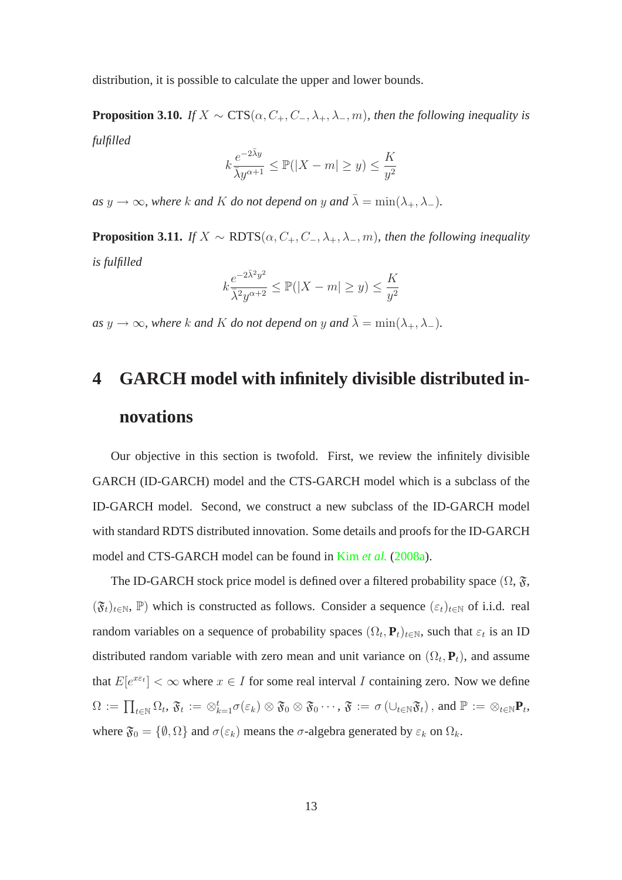<span id="page-12-0"></span>distribution, it is possible to calculate the upper and lower bounds.

**Proposition 3.10.** *If*  $X \sim \text{CTS}(\alpha, C_+, C_-, \lambda_+, \lambda_-, m)$ *, then the following inequality is fulfilled*

$$
k \frac{e^{-2\bar{\lambda}y}}{\bar{\lambda}y^{\alpha+1}} \leq \mathbb{P}(|X-m| \geq y) \leq \frac{K}{y^2}
$$

<span id="page-12-1"></span>*as*  $y \to \infty$ *, where* k and K *do not depend on* y and  $\bar{\lambda} = \min(\lambda_+, \lambda_-)$ *.* 

**Proposition 3.11.** *If*  $X \sim \text{RDTS}(\alpha, C_+, C_-, \lambda_+, \lambda_-, m)$ *, then the following inequality is fulfilled*

$$
k \frac{e^{-2\bar{\lambda}^2y^2}}{\bar{\lambda}^2y^{\alpha+2}} \leq \mathbb{P}(|X-m| \geq y) \leq \frac{K}{y^2}
$$

*as*  $y \to \infty$ *, where k and K do not depend on* y *and*  $\bar{\lambda} = \min(\lambda_+, \lambda_-)$ *.* 

# **4 GARCH model with infinitely divisible distributed innovations**

Our objective in this section is twofold. First, we review the infinitely divisible GARCH (ID-GARCH) model and the CTS-GARCH model which is a subclass of the ID-GARCH model. Second, we construct a new subclass of the ID-GARCH model with standard RDTS distributed innovation. Some details and proofs for the ID-GARCH model and CTS-GARCH model can be found in Kim *[et al.](#page-32-4)* [\(2008a\)](#page-32-4).

The ID-GARCH stock price model is defined over a filtered probability space  $(\Omega, \mathfrak{F}, \mathfrak{F})$  $(\mathfrak{F}_t)_{t\in\mathbb{N}}, \mathbb{P})$  which is constructed as follows. Consider a sequence  $(\varepsilon_t)_{t\in\mathbb{N}}$  of i.i.d. real random variables on a sequence of probability spaces  $(\Omega_t, \mathbf{P}_t)_{t \in \mathbb{N}}$ , such that  $\varepsilon_t$  is an ID distributed random variable with zero mean and unit variance on  $(\Omega_t, \mathbf{P}_t)$ , and assume that  $E[e^{x \varepsilon t}] < \infty$  where  $x \in I$  for some real interval I containing zero. Now we define  $\Omega\, :=\, \prod_{t\in \mathbb{N}}\Omega_t,\, \mathfrak{F}_t\, :=\, \otimes_{k=1}^t \sigma(\varepsilon_k)\otimes \mathfrak{F}_0\otimes \mathfrak{F}_0\cdots,\, \mathfrak{F}\, :=\, \sigma\left(\cup_{t\in \mathbb{N}}\mathfrak{F}_t\right),\, \text{and}\,\, \mathbb{P}\, :=\, \otimes_{t\in \mathbb{N}}\mathbf{P}_t,$ where  $\mathfrak{F}_0 = \{\emptyset, \Omega\}$  and  $\sigma(\varepsilon_k)$  means the  $\sigma$ -algebra generated by  $\varepsilon_k$  on  $\Omega_k$ .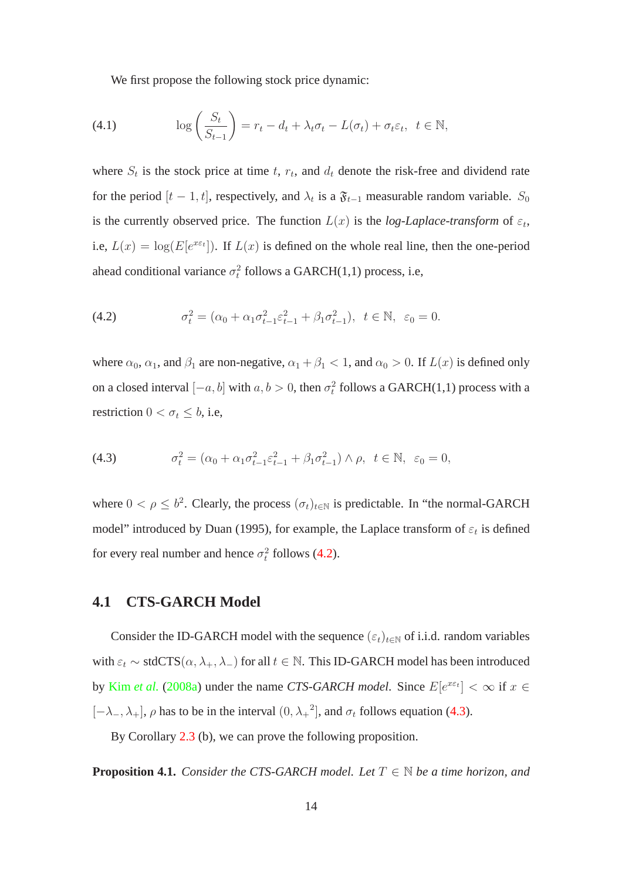We first propose the following stock price dynamic:

(4.1) 
$$
\log\left(\frac{S_t}{S_{t-1}}\right) = r_t - d_t + \lambda_t \sigma_t - L(\sigma_t) + \sigma_t \varepsilon_t, \ \ t \in \mathbb{N},
$$

where  $S_t$  is the stock price at time t,  $r_t$ , and  $d_t$  denote the risk-free and dividend rate for the period  $[t-1, t]$ , respectively, and  $\lambda_t$  is a  $\mathfrak{F}_{t-1}$  measurable random variable.  $S_0$ is the currently observed price. The function  $L(x)$  is the *log-Laplace-transform* of  $\varepsilon_t$ , i.e,  $L(x) = \log(E[e^{x \epsilon t}])$ . If  $L(x)$  is defined on the whole real line, then the one-period ahead conditional variance  $\sigma_t^2$  follows a GARCH(1,1) process, i.e,

<span id="page-13-0"></span>(4.2) 
$$
\sigma_t^2 = (\alpha_0 + \alpha_1 \sigma_{t-1}^2 \varepsilon_{t-1}^2 + \beta_1 \sigma_{t-1}^2), \ \ t \in \mathbb{N}, \ \ \varepsilon_0 = 0.
$$

where  $\alpha_0$ ,  $\alpha_1$ , and  $\beta_1$  are non-negative,  $\alpha_1 + \beta_1 < 1$ , and  $\alpha_0 > 0$ . If  $L(x)$  is defined only on a closed interval  $[-a, b]$  with  $a, b > 0$ , then  $\sigma_t^2$  follows a GARCH(1,1) process with a restriction  $0 < \sigma_t \leq b$ , i.e,

<span id="page-13-1"></span>(4.3) 
$$
\sigma_t^2 = (\alpha_0 + \alpha_1 \sigma_{t-1}^2 \varepsilon_{t-1}^2 + \beta_1 \sigma_{t-1}^2) \wedge \rho, \ \ t \in \mathbb{N}, \ \ \varepsilon_0 = 0,
$$

where  $0 < \rho \le b^2$ . Clearly, the process  $(\sigma_t)_{t \in \mathbb{N}}$  is predictable. In "the normal-GARCH model" introduced by Duan (1995), for example, the Laplace transform of  $\varepsilon_t$  is defined for every real number and hence  $\sigma_t^2$  follows [\(4.2\)](#page-13-0).

#### **4.1 CTS-GARCH Model**

Consider the ID-GARCH model with the sequence  $(\varepsilon_t)_{t\in\mathbb{N}}$  of i.i.d. random variables with  $\varepsilon_t \sim \text{stdCTS}(\alpha, \lambda_+, \lambda_-)$  for all  $t \in \mathbb{N}$ . This ID-GARCH model has been introduced by Kim *[et al.](#page-32-4)* [\(2008a\)](#page-32-4) under the name *CTS-GARCH model*. Since  $E[e^{x \epsilon t}] < \infty$  if  $x \in$  $[-\lambda_-, \lambda_+]$ ,  $\rho$  has to be in the interval  $(0, \lambda_+^2]$ , and  $\sigma_t$  follows equation [\(4.3\)](#page-13-1).

<span id="page-13-2"></span>By Corollary [2.3](#page-5-1) (b), we can prove the following proposition.

**Proposition 4.1.** *Consider the CTS-GARCH model. Let*  $T \in \mathbb{N}$  *be a time horizon, and*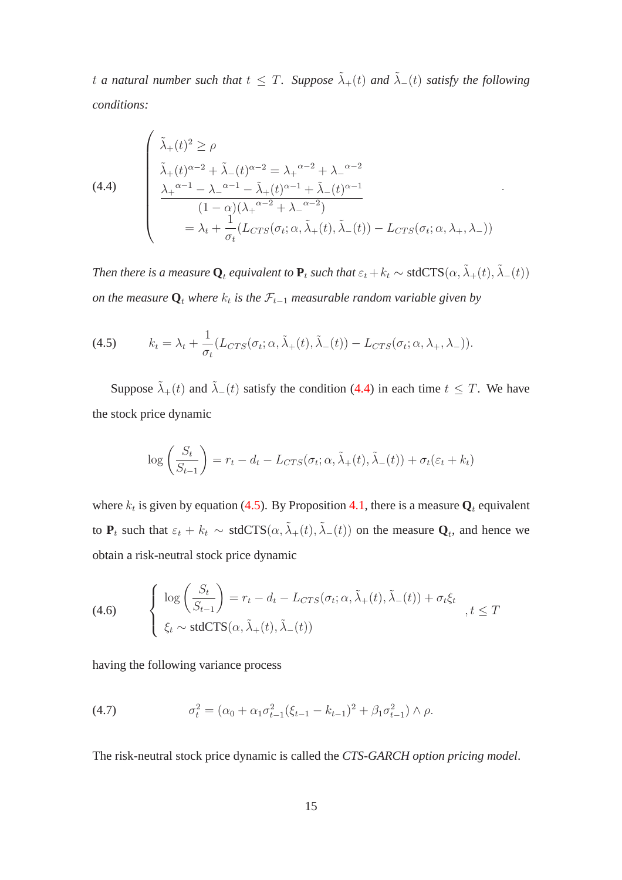t a natural number such that  $t \leq T$ . Suppose  $\tilde{\lambda}_{+}(t)$  and  $\tilde{\lambda}_{-}(t)$  satisfy the following *conditions:*

<span id="page-14-0"></span>(4.4)  
\n
$$
\begin{cases}\n\tilde{\lambda}_{+}(t)^{2} \geq \rho \\
\tilde{\lambda}_{+}(t)^{\alpha-2} + \tilde{\lambda}_{-}(t)^{\alpha-2} = {\lambda_{+}}^{\alpha-2} + {\lambda_{-}}^{\alpha-2} \\
\frac{{\lambda_{+}}^{\alpha-1} - {\lambda_{-}}^{\alpha-1} - \tilde{\lambda}_{+}(t)^{\alpha-1} + \tilde{\lambda}_{-}(t)^{\alpha-1}}{(1-\alpha)(\lambda_{+}^{\alpha-2} + {\lambda_{-}}^{\alpha-2})} \\
= \lambda_{t} + \frac{1}{\sigma_{t}}(L_{CTS}(\sigma_{t}; \alpha, \tilde{\lambda}_{+}(t), \tilde{\lambda}_{-}(t)) - L_{CTS}(\sigma_{t}; \alpha, \lambda_{+}, \lambda_{-}))\n\end{cases}
$$

.

*Then there is a measure*  $Q_t$  *equivalent to*  $P_t$  *such that*  $\varepsilon_t + k_t \sim$  stdCTS $(\alpha, \tilde{\lambda}_+(t), \tilde{\lambda}_-(t))$ *on the measure*  $\mathbf{Q}_t$  *where*  $k_t$  *is the*  $\mathcal{F}_{t-1}$  *measurable random variable given by* 

<span id="page-14-1"></span>(4.5) 
$$
k_t = \lambda_t + \frac{1}{\sigma_t} (L_{CTS}(\sigma_t; \alpha, \tilde{\lambda}_+(t), \tilde{\lambda}_-(t)) - L_{CTS}(\sigma_t; \alpha, \lambda_+, \lambda_-)).
$$

Suppose  $\tilde{\lambda}_{+}(t)$  and  $\tilde{\lambda}_{-}(t)$  satisfy the condition [\(4.4\)](#page-14-0) in each time  $t \leq T$ . We have the stock price dynamic

$$
\log\left(\frac{S_t}{S_{t-1}}\right) = r_t - d_t - L_{CTS}(\sigma_t; \alpha, \tilde{\lambda}_+(t), \tilde{\lambda}_-(t)) + \sigma_t(\varepsilon_t + k_t)
$$

where  $k_t$  is given by equation [\(4.5\)](#page-14-1). By Proposition [4.1,](#page-13-2) there is a measure  $\mathbf{Q}_t$  equivalent to  $P_t$  such that  $\varepsilon_t + k_t \sim \text{stdCTS}(\alpha, \tilde{\lambda}_+(t), \tilde{\lambda}_-(t))$  on the measure  $Q_t$ , and hence we obtain a risk-neutral stock price dynamic

<span id="page-14-2"></span>(4.6) 
$$
\begin{cases} \log\left(\frac{S_t}{S_{t-1}}\right) = r_t - d_t - L_{CTS}(\sigma_t; \alpha, \tilde{\lambda}_+(t), \tilde{\lambda}_-(t)) + \sigma_t \xi_t \\ \xi_t \sim \text{stdCTS}(\alpha, \tilde{\lambda}_+(t), \tilde{\lambda}_-(t)) \end{cases}, t \leq T
$$

having the following variance process

(4.7) 
$$
\sigma_t^2 = (\alpha_0 + \alpha_1 \sigma_{t-1}^2 (\xi_{t-1} - k_{t-1})^2 + \beta_1 \sigma_{t-1}^2) \wedge \rho.
$$

The risk-neutral stock price dynamic is called the *CTS-GARCH option pricing model*.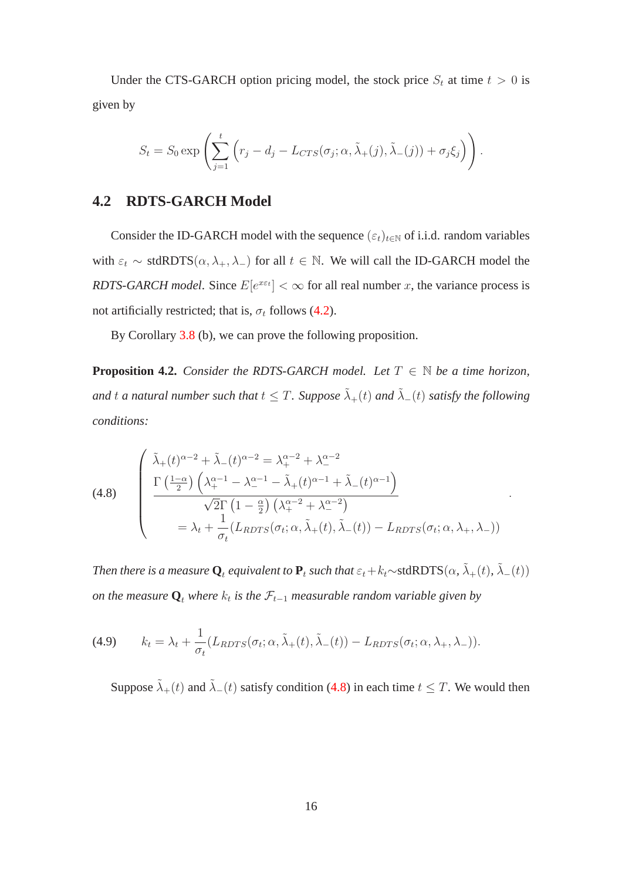Under the CTS-GARCH option pricing model, the stock price  $S_t$  at time  $t > 0$  is given by

$$
S_t = S_0 \exp \left( \sum_{j=1}^t \left( r_j - d_j - L_{CTS}(\sigma_j; \alpha, \tilde{\lambda}_+(j), \tilde{\lambda}_-(j)) + \sigma_j \xi_j \right) \right).
$$

#### **4.2 RDTS-GARCH Model**

Consider the ID-GARCH model with the sequence  $(\varepsilon_t)_{t \in \mathbb{N}}$  of i.i.d. random variables with  $\varepsilon_t \sim \text{stdRDTS}(\alpha, \lambda_+, \lambda_-)$  for all  $t \in \mathbb{N}$ . We will call the ID-GARCH model the *RDTS-GARCH model.* Since  $E[e^{x \epsilon t}] < \infty$  for all real number x, the variance process is not artificially restricted; that is,  $\sigma_t$  follows [\(4.2\)](#page-13-0).

<span id="page-15-2"></span>By Corollary [3.8](#page-10-1) (b), we can prove the following proposition.

**Proposition 4.2.** *Consider the RDTS-GARCH model. Let*  $T \in \mathbb{N}$  *be a time horizon,* and t a natural number such that  $t \leq T$ . Suppose  $\tilde{\lambda}_{+}(t)$  and  $\tilde{\lambda}_{-}(t)$  satisfy the following *conditions:*

<span id="page-15-0"></span>(4.8) 
$$
\begin{cases} \tilde{\lambda}_{+}(t)^{\alpha-2} + \tilde{\lambda}_{-}(t)^{\alpha-2} = \lambda_{+}^{\alpha-2} + \lambda_{-}^{\alpha-2} \\ \frac{\Gamma\left(\frac{1-\alpha}{2}\right)\left(\lambda_{+}^{\alpha-1} - \lambda_{-}^{\alpha-1} - \tilde{\lambda}_{+}(t)^{\alpha-1} + \tilde{\lambda}_{-}(t)^{\alpha-1}\right)}{\sqrt{2}\Gamma\left(1-\frac{\alpha}{2}\right)\left(\lambda_{+}^{\alpha-2} + \lambda_{-}^{\alpha-2}\right)} \\ = \lambda_{t} + \frac{1}{\sigma_{t}}(L_{RDTS}(\sigma_{t};\alpha,\tilde{\lambda}_{+}(t),\tilde{\lambda}_{-}(t)) - L_{RDTS}(\sigma_{t};\alpha,\lambda_{+},\lambda_{-})) \end{cases}
$$

.

*Then there is a measure*  $\mathbf{Q}_t$  *equivalent to*  $\mathbf{P}_t$  *such that*  $\varepsilon_t+k_t$ ∼stdRDTS $(\alpha, \tilde{\lambda}_+(t), \tilde{\lambda}_-(t))$ *on the measure*  $\mathbf{Q}_t$  *where*  $k_t$  *is the*  $\mathcal{F}_{t-1}$  *measurable random variable given by* 

<span id="page-15-1"></span>(4.9) 
$$
k_t = \lambda_t + \frac{1}{\sigma_t} (L_{RDFS}(\sigma_t; \alpha, \tilde{\lambda}_+(t), \tilde{\lambda}_-(t)) - L_{RDFS}(\sigma_t; \alpha, \lambda_+, \lambda_-)).
$$

Suppose  $\tilde{\lambda}_{+}(t)$  and  $\tilde{\lambda}_{-}(t)$  satisfy condition [\(4.8\)](#page-15-0) in each time  $t \leq T$ . We would then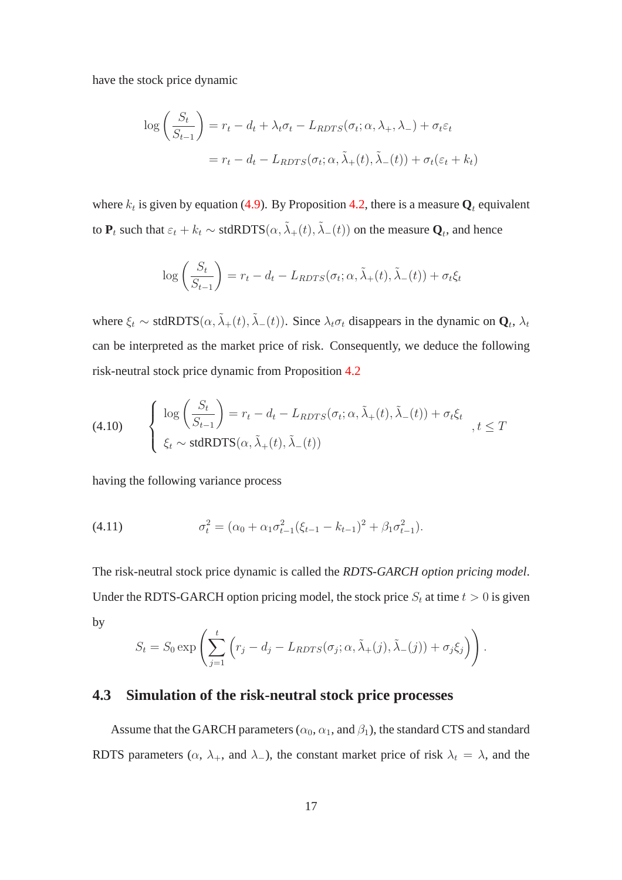have the stock price dynamic

$$
\log\left(\frac{S_t}{S_{t-1}}\right) = r_t - d_t + \lambda_t \sigma_t - L_{RDTS}(\sigma_t; \alpha, \lambda_+, \lambda_-) + \sigma_t \varepsilon_t
$$

$$
= r_t - d_t - L_{RDTS}(\sigma_t; \alpha, \tilde{\lambda}_+(t), \tilde{\lambda}_-(t)) + \sigma_t(\varepsilon_t + k_t)
$$

where  $k_t$  is given by equation [\(4.9\)](#page-15-1). By Proposition [4.2,](#page-15-2) there is a measure  $\mathbf{Q}_t$  equivalent to  $P_t$  such that  $\varepsilon_t + k_t \sim \text{stdRDTS}(\alpha, \tilde{\lambda}_+(t), \tilde{\lambda}_-(t))$  on the measure  $Q_t$ , and hence

$$
\log\left(\frac{S_t}{S_{t-1}}\right) = r_t - d_t - L_{RDTS}(\sigma_t; \alpha, \tilde{\lambda}_+(t), \tilde{\lambda}_-(t)) + \sigma_t \xi_t
$$

where  $\xi_t \sim \text{stdRDTS}(\alpha, \tilde{\lambda}_+(t), \tilde{\lambda}_-(t))$ . Since  $\lambda_t \sigma_t$  disappears in the dynamic on  $\mathbf{Q}_t$ ,  $\lambda_t$ can be interpreted as the market price of risk. Consequently, we deduce the following risk-neutral stock price dynamic from Proposition [4.2](#page-15-2)

<span id="page-16-0"></span>(4.10) 
$$
\begin{cases} \log \left( \frac{S_t}{S_{t-1}} \right) = r_t - d_t - L_{RDFS}(\sigma_t; \alpha, \tilde{\lambda}_+(t), \tilde{\lambda}_-(t)) + \sigma_t \xi_t \\ \xi_t \sim \text{stdRDFS}(\alpha, \tilde{\lambda}_+(t), \tilde{\lambda}_-(t)) \end{cases}, t \leq T
$$

having the following variance process

(4.11) 
$$
\sigma_t^2 = (\alpha_0 + \alpha_1 \sigma_{t-1}^2 (\xi_{t-1} - k_{t-1})^2 + \beta_1 \sigma_{t-1}^2).
$$

The risk-neutral stock price dynamic is called the *RDTS-GARCH option pricing model*. Under the RDTS-GARCH option pricing model, the stock price  $S_t$  at time  $t > 0$  is given by

$$
S_t = S_0 \exp\left(\sum_{j=1}^t \left(r_j - d_j - L_{RDFS}(\sigma_j; \alpha, \tilde{\lambda}_+(j), \tilde{\lambda}_-(j)) + \sigma_j \xi_j\right)\right).
$$

#### <span id="page-16-1"></span>**4.3 Simulation of the risk-neutral stock price processes**

Assume that the GARCH parameters ( $\alpha_0$ ,  $\alpha_1$ , and  $\beta_1$ ), the standard CTS and standard RDTS parameters ( $\alpha$ ,  $\lambda_+$ , and  $\lambda_-$ ), the constant market price of risk  $\lambda_t = \lambda$ , and the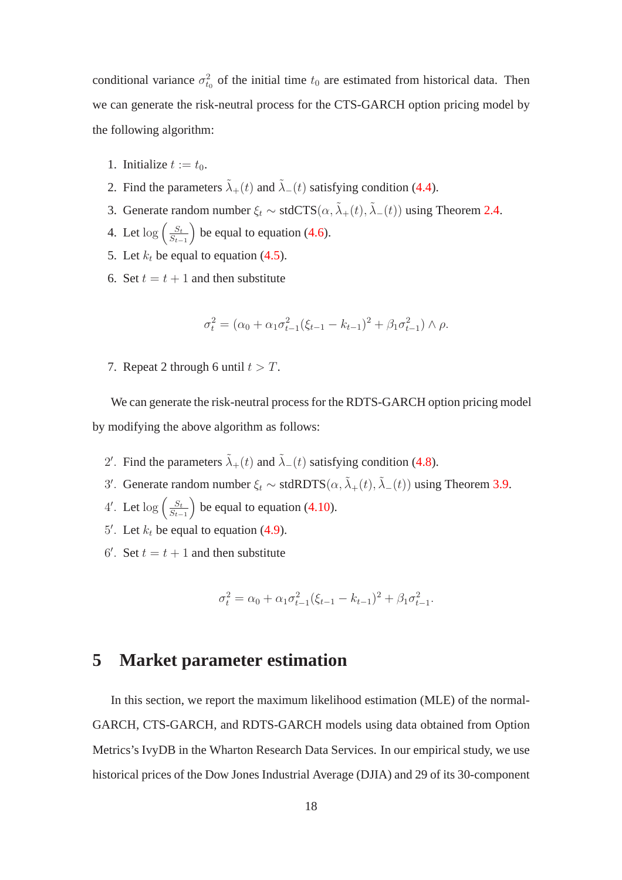conditional variance  $\sigma_{t_0}^2$  of the initial time  $t_0$  are estimated from historical data. Then we can generate the risk-neutral process for the CTS-GARCH option pricing model by the following algorithm:

- 1. Initialize  $t := t_0$ .
- 2. Find the parameters  $\tilde{\lambda}_{+}(t)$  and  $\tilde{\lambda}_{-}(t)$  satisfying condition [\(4.4\)](#page-14-0).
- 3. Generate random number  $\xi_t \sim \text{stdCTS}(\alpha, \tilde{\lambda}_+(t), \tilde{\lambda}_-(t))$  using Theorem [2.4.](#page-6-0)
- 4. Let  $\log \left( \frac{S_t}{S_t} \right)$  $S_{t-1}$ ) be equal to equation  $(4.6)$ .
- 5. Let  $k_t$  be equal to equation [\(4.5\)](#page-14-1).
- 6. Set  $t = t + 1$  and then substitute

$$
\sigma_t^2 = (\alpha_0 + \alpha_1 \sigma_{t-1}^2 (\xi_{t-1} - k_{t-1})^2 + \beta_1 \sigma_{t-1}^2) \wedge \rho.
$$

7. Repeat 2 through 6 until  $t > T$ .

We can generate the risk-neutral process for the RDTS-GARCH option pricing model by modifying the above algorithm as follows:

- 2'. Find the parameters  $\tilde{\lambda}_{+}(t)$  and  $\tilde{\lambda}_{-}(t)$  satisfying condition [\(4.8\)](#page-15-0).
- 3'. Generate random number  $\xi_t \sim \text{stdRDTS}(\alpha, \tilde{\lambda}_+(t), \tilde{\lambda}_-(t))$  using Theorem [3.9.](#page-11-0)
- 4'. Let  $\log \left( \frac{S_t}{S_t} \right)$  $S_{t-1}$ ) be equal to equation  $(4.10)$ .
- 5'. Let  $k_t$  be equal to equation [\(4.9\)](#page-15-1).
- 6'. Set  $t = t + 1$  and then substitute

$$
\sigma_t^2 = \alpha_0 + \alpha_1 \sigma_{t-1}^2 (\xi_{t-1} - k_{t-1})^2 + \beta_1 \sigma_{t-1}^2.
$$

### **5 Market parameter estimation**

In this section, we report the maximum likelihood estimation (MLE) of the normal-GARCH, CTS-GARCH, and RDTS-GARCH models using data obtained from Option Metrics's IvyDB in the Wharton Research Data Services. In our empirical study, we use historical prices of the Dow Jones Industrial Average (DJIA) and 29 of its 30-component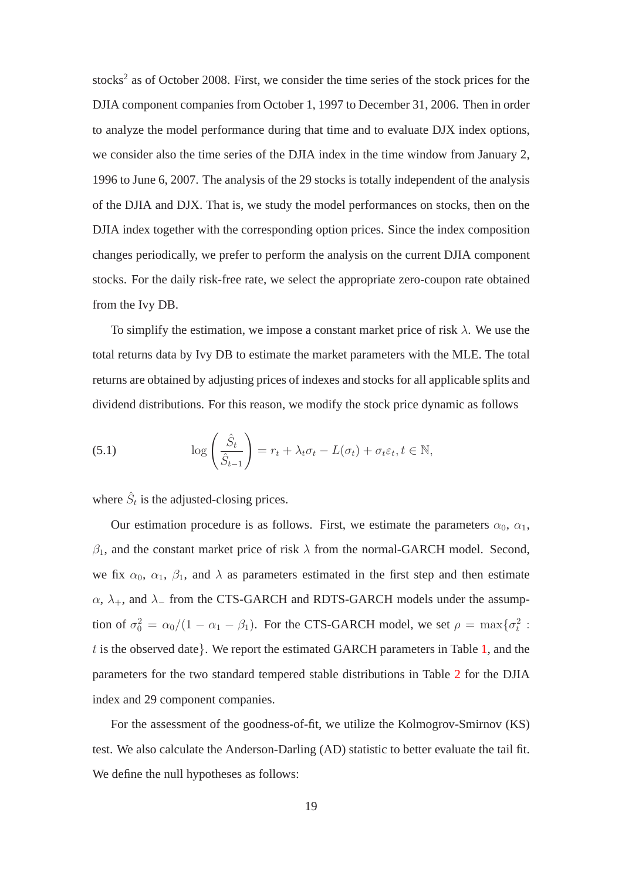stocks<sup>2</sup> as of October 2008. First, we consider the time series of the stock prices for the DJIA component companies from October 1, 1997 to December 31, 2006. Then in order to analyze the model performance during that time and to evaluate DJX index options, we consider also the time series of the DJIA index in the time window from January 2, 1996 to June 6, 2007. The analysis of the 29 stocks is totally independent of the analysis of the DJIA and DJX. That is, we study the model performances on stocks, then on the DJIA index together with the corresponding option prices. Since the index composition changes periodically, we prefer to perform the analysis on the current DJIA component stocks. For the daily risk-free rate, we select the appropriate zero-coupon rate obtained from the Ivy DB.

To simplify the estimation, we impose a constant market price of risk  $\lambda$ . We use the total returns data by Ivy DB to estimate the market parameters with the MLE. The total returns are obtained by adjusting prices of indexes and stocks for all applicable splits and dividend distributions. For this reason, we modify the stock price dynamic as follows

(5.1) 
$$
\log\left(\frac{\hat{S}_t}{\hat{S}_{t-1}}\right) = r_t + \lambda_t \sigma_t - L(\sigma_t) + \sigma_t \varepsilon_t, t \in \mathbb{N},
$$

where  $\hat{S}_t$  is the adjusted-closing prices.

Our estimation procedure is as follows. First, we estimate the parameters  $\alpha_0$ ,  $\alpha_1$ ,  $\beta_1$ , and the constant market price of risk  $\lambda$  from the normal-GARCH model. Second, we fix  $\alpha_0$ ,  $\alpha_1$ ,  $\beta_1$ , and  $\lambda$  as parameters estimated in the first step and then estimate  $\alpha$ ,  $\lambda_+$ , and  $\lambda_-$  from the CTS-GARCH and RDTS-GARCH models under the assumption of  $\sigma_0^2 = \alpha_0/(1 - \alpha_1 - \beta_1)$ . For the CTS-GARCH model, we set  $\rho = \max{\lbrace \sigma_t^2 \rbrace}$ . t is the observed date}. We report the estimated GARCH parameters in Table [1,](#page-35-0) and the parameters for the two standard tempered stable distributions in Table [2](#page-36-0) for the DJIA index and 29 component companies.

For the assessment of the goodness-of-fit, we utilize the Kolmogrov-Smirnov (KS) test. We also calculate the Anderson-Darling (AD) statistic to better evaluate the tail fit. We define the null hypotheses as follows: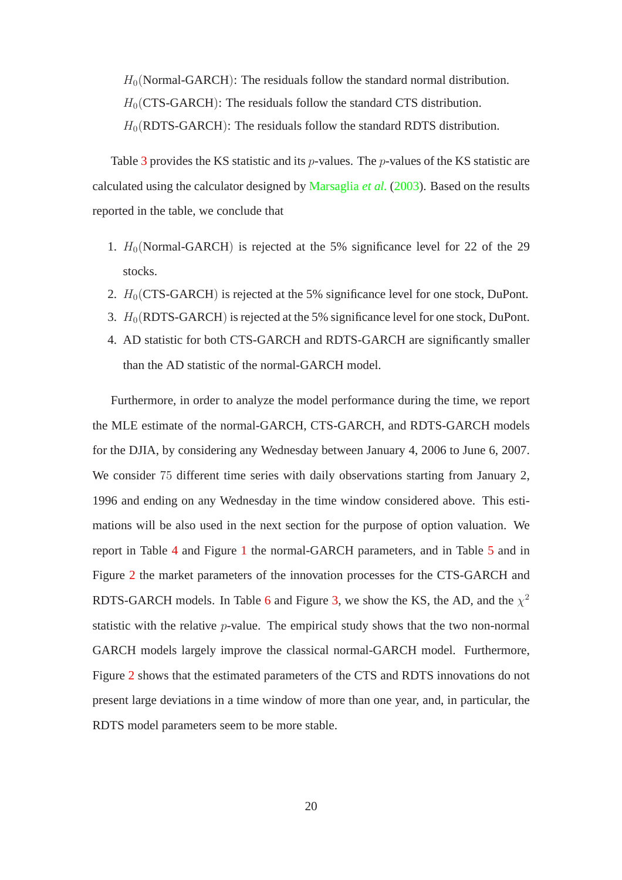$H<sub>0</sub>(Normal-GARCH):$  The residuals follow the standard normal distribution.

 $H_0(CTS-GARCH)$ : The residuals follow the standard CTS distribution.

 $H_0(RDTS-GARCH)$ : The residuals follow the standard RDTS distribution.

Table [3](#page-37-0) provides the KS statistic and its *p*-values. The *p*-values of the KS statistic are calculated using the calculator designed by [Marsaglia](#page-33-7) *et al.* [\(2003\)](#page-33-7). Based on the results reported in the table, we conclude that

- 1.  $H_0$ (Normal-GARCH) is rejected at the 5% significance level for 22 of the 29 stocks.
- 2.  $H_0(CTS-GARCH)$  is rejected at the 5% significance level for one stock, DuPont.
- 3.  $H_0(RDTS-GARCH)$  is rejected at the 5% significance level for one stock, DuPont.
- 4. AD statistic for both CTS-GARCH and RDTS-GARCH are significantly smaller than the AD statistic of the normal-GARCH model.

Furthermore, in order to analyze the model performance during the time, we report the MLE estimate of the normal-GARCH, CTS-GARCH, and RDTS-GARCH models for the DJIA, by considering any Wednesday between January 4, 2006 to June 6, 2007. We consider 75 different time series with daily observations starting from January 2, 1996 and ending on any Wednesday in the time window considered above. This estimations will be also used in the next section for the purpose of option valuation. We report in Table [4](#page-39-0) and Figure [1](#page-43-0) the normal-GARCH parameters, and in Table [5](#page-41-0) and in Figure [2](#page-44-0) the market parameters of the innovation processes for the CTS-GARCH and RDTS-GARCH models. In Table [6](#page-42-0) and Figure [3,](#page-45-0) we show the KS, the AD, and the  $\chi^2$ statistic with the relative p-value. The empirical study shows that the two non-normal GARCH models largely improve the classical normal-GARCH model. Furthermore, Figure [2](#page-44-0) shows that the estimated parameters of the CTS and RDTS innovations do not present large deviations in a time window of more than one year, and, in particular, the RDTS model parameters seem to be more stable.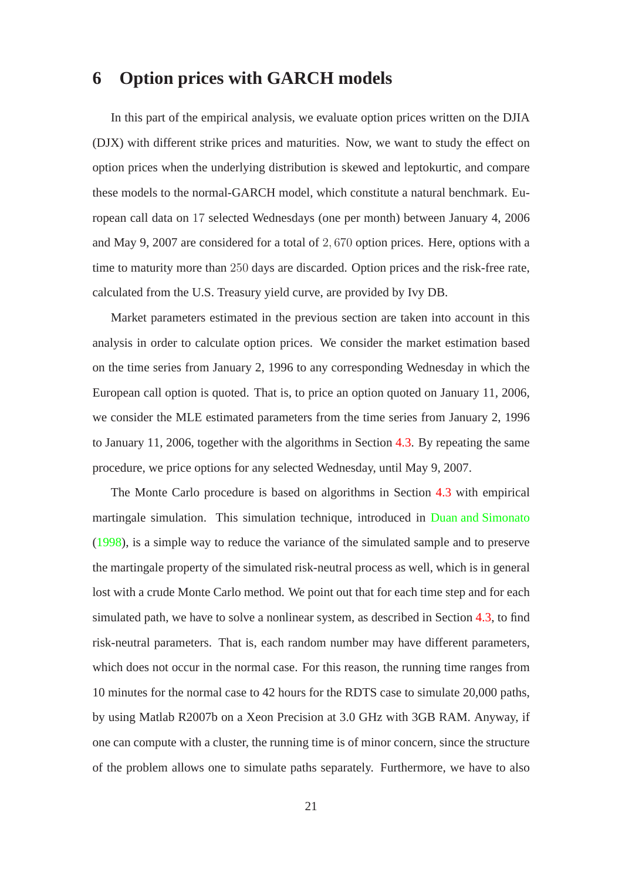### **6 Option prices with GARCH models**

In this part of the empirical analysis, we evaluate option prices written on the DJIA (DJX) with different strike prices and maturities. Now, we want to study the effect on option prices when the underlying distribution is skewed and leptokurtic, and compare these models to the normal-GARCH model, which constitute a natural benchmark. European call data on 17 selected Wednesdays (one per month) between January 4, 2006 and May 9, 2007 are considered for a total of 2, 670 option prices. Here, options with a time to maturity more than 250 days are discarded. Option prices and the risk-free rate, calculated from the U.S. Treasury yield curve, are provided by Ivy DB.

Market parameters estimated in the previous section are taken into account in this analysis in order to calculate option prices. We consider the market estimation based on the time series from January 2, 1996 to any corresponding Wednesday in which the European call option is quoted. That is, to price an option quoted on January 11, 2006, we consider the MLE estimated parameters from the time series from January 2, 1996 to January 11, 2006, together with the algorithms in Section [4.3.](#page-16-1) By repeating the same procedure, we price options for any selected Wednesday, until May 9, 2007.

The Monte Carlo procedure is based on algorithms in Section [4.3](#page-16-1) with empirical martingale simulation. This simulation technique, introduced in [Duan and Simonato](#page-32-9) [\(1998](#page-32-9)), is a simple way to reduce the variance of the simulated sample and to preserve the martingale property of the simulated risk-neutral process as well, which is in general lost with a crude Monte Carlo method. We point out that for each time step and for each simulated path, we have to solve a nonlinear system, as described in Section [4.3,](#page-16-1) to find risk-neutral parameters. That is, each random number may have different parameters, which does not occur in the normal case. For this reason, the running time ranges from 10 minutes for the normal case to 42 hours for the RDTS case to simulate 20,000 paths, by using Matlab R2007b on a Xeon Precision at 3.0 GHz with 3GB RAM. Anyway, if one can compute with a cluster, the running time is of minor concern, since the structure of the problem allows one to simulate paths separately. Furthermore, we have to also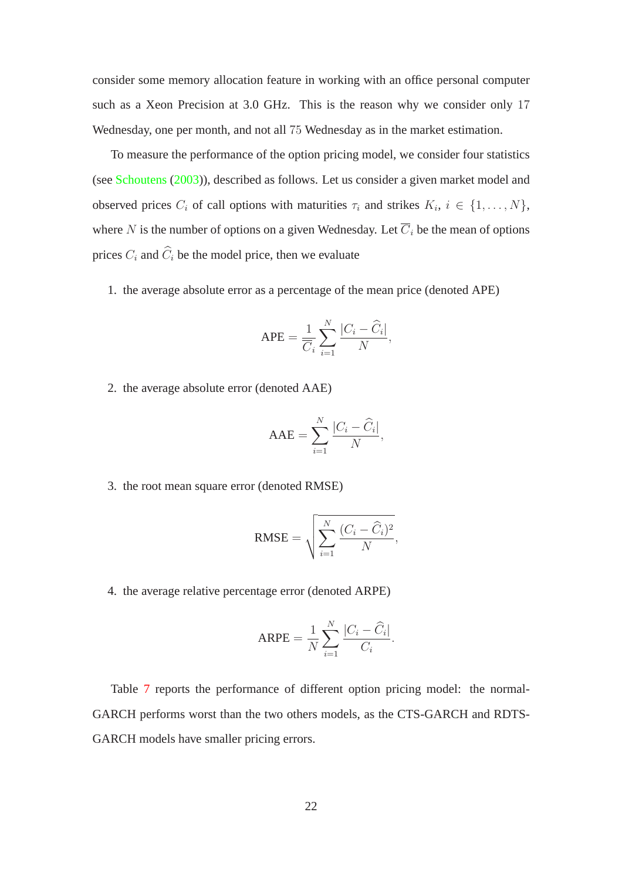consider some memory allocation feature in working with an office personal computer such as a Xeon Precision at 3.0 GHz. This is the reason why we consider only 17 Wednesday, one per month, and not all 75 Wednesday as in the market estimation.

To measure the performance of the option pricing model, we consider four statistics (see [Schoutens](#page-33-8) [\(2003](#page-33-8))), described as follows. Let us consider a given market model and observed prices  $C_i$  of call options with maturities  $\tau_i$  and strikes  $K_i$ ,  $i \in \{1, ..., N\}$ , where N is the number of options on a given Wednesday. Let  $\overline{C}_i$  be the mean of options prices  $C_i$  and  $\widehat{C}_i$  be the model price, then we evaluate

1. the average absolute error as a percentage of the mean price (denoted APE)

$$
APE = \frac{1}{\overline{C}_i} \sum_{i=1}^N \frac{|C_i - \widehat{C}_i|}{N},
$$

2. the average absolute error (denoted AAE)

$$
AAE = \sum_{i=1}^{N} \frac{|C_i - \widehat{C}_i|}{N},
$$

3. the root mean square error (denoted RMSE)

$$
RMSE = \sqrt{\sum_{i=1}^{N} \frac{(C_i - \widehat{C}_i)^2}{N}},
$$

4. the average relative percentage error (denoted ARPE)

$$
ARPE = \frac{1}{N} \sum_{i=1}^{N} \frac{|C_i - \widehat{C}_i|}{C_i}.
$$

Table [7](#page-46-0) reports the performance of different option pricing model: the normal-GARCH performs worst than the two others models, as the CTS-GARCH and RDTS-GARCH models have smaller pricing errors.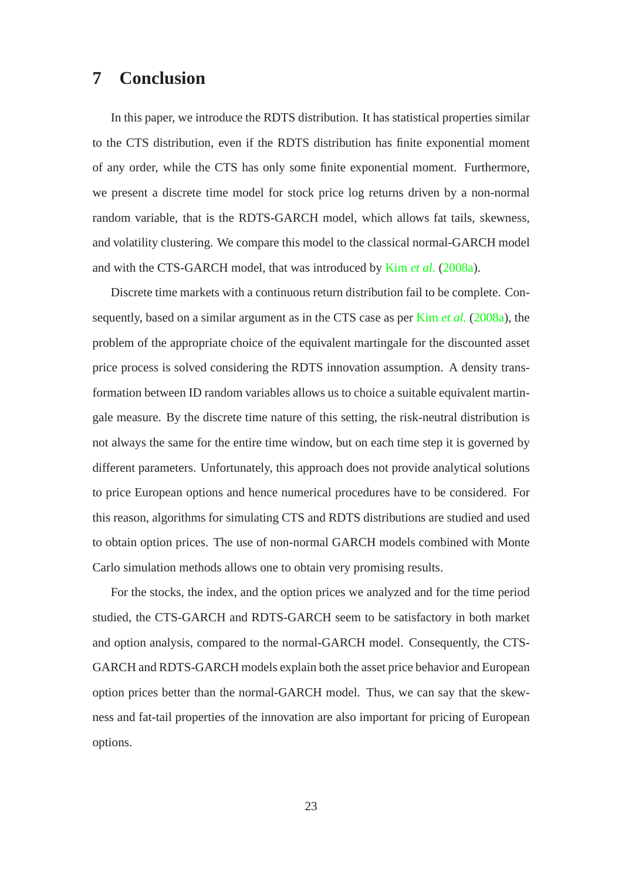### **7 Conclusion**

In this paper, we introduce the RDTS distribution. It has statistical properties similar to the CTS distribution, even if the RDTS distribution has finite exponential moment of any order, while the CTS has only some finite exponential moment. Furthermore, we present a discrete time model for stock price log returns driven by a non-normal random variable, that is the RDTS-GARCH model, which allows fat tails, skewness, and volatility clustering. We compare this model to the classical normal-GARCH model and with the CTS-GARCH model, that was introduced by Kim *[et al.](#page-32-4)* [\(2008a\)](#page-32-4).

Discrete time markets with a continuous return distribution fail to be complete. Consequently, based on a similar argument as in the CTS case as per Kim *[et al.](#page-32-4)* [\(2008a](#page-32-4)), the problem of the appropriate choice of the equivalent martingale for the discounted asset price process is solved considering the RDTS innovation assumption. A density transformation between ID random variables allows us to choice a suitable equivalent martingale measure. By the discrete time nature of this setting, the risk-neutral distribution is not always the same for the entire time window, but on each time step it is governed by different parameters. Unfortunately, this approach does not provide analytical solutions to price European options and hence numerical procedures have to be considered. For this reason, algorithms for simulating CTS and RDTS distributions are studied and used to obtain option prices. The use of non-normal GARCH models combined with Monte Carlo simulation methods allows one to obtain very promising results.

For the stocks, the index, and the option prices we analyzed and for the time period studied, the CTS-GARCH and RDTS-GARCH seem to be satisfactory in both market and option analysis, compared to the normal-GARCH model. Consequently, the CTS-GARCH and RDTS-GARCH models explain both the asset price behavior and European option prices better than the normal-GARCH model. Thus, we can say that the skewness and fat-tail properties of the innovation are also important for pricing of European options.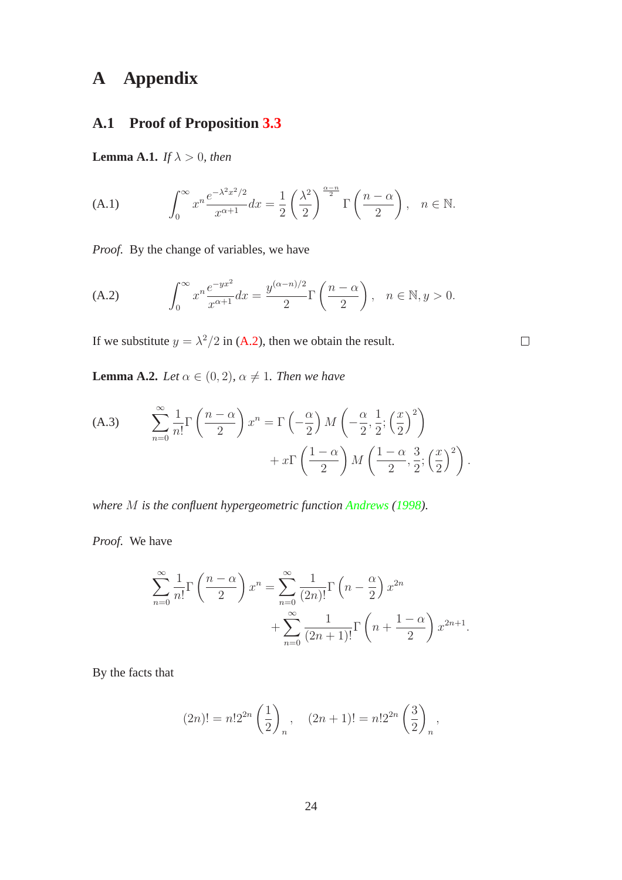# **A Appendix**

### **A.1 Proof of Proposition [3.3](#page-7-0)**

**Lemma A.1.** *If*  $\lambda > 0$ *, then* 

<span id="page-23-1"></span>(A.1) 
$$
\int_0^\infty x^n \frac{e^{-\lambda^2 x^2/2}}{x^{\alpha+1}} dx = \frac{1}{2} \left(\frac{\lambda^2}{2}\right)^{\frac{\alpha-n}{2}} \Gamma\left(\frac{n-\alpha}{2}\right), \quad n \in \mathbb{N}.
$$

*Proof.* By the change of variables, we have

<span id="page-23-0"></span>(A.2) 
$$
\int_0^\infty x^n \frac{e^{-yx^2}}{x^{\alpha+1}} dx = \frac{y^{(\alpha-n)/2}}{2} \Gamma\left(\frac{n-\alpha}{2}\right), \quad n \in \mathbb{N}, y > 0.
$$

If we substitute  $y = \lambda^2/2$  in [\(A.2\)](#page-23-0), then we obtain the result.

**Lemma A.2.** *Let*  $\alpha \in (0, 2)$ *,*  $\alpha \neq 1$ *. Then we have* 

<span id="page-23-2"></span>(A.3) 
$$
\sum_{n=0}^{\infty} \frac{1}{n!} \Gamma\left(\frac{n-\alpha}{2}\right) x^n = \Gamma\left(-\frac{\alpha}{2}\right) M\left(-\frac{\alpha}{2}, \frac{1}{2}; \left(\frac{x}{2}\right)^2\right) + x \Gamma\left(\frac{1-\alpha}{2}\right) M\left(\frac{1-\alpha}{2}, \frac{3}{2}; \left(\frac{x}{2}\right)^2\right).
$$

*where* M *is the confluent hypergeometric function [Andrews](#page-31-8) [\(1998\)](#page-31-8).*

*Proof.* We have

$$
\sum_{n=0}^{\infty} \frac{1}{n!} \Gamma\left(\frac{n-\alpha}{2}\right) x^n = \sum_{n=0}^{\infty} \frac{1}{(2n)!} \Gamma\left(n - \frac{\alpha}{2}\right) x^{2n} + \sum_{n=0}^{\infty} \frac{1}{(2n+1)!} \Gamma\left(n + \frac{1-\alpha}{2}\right) x^{2n+1}.
$$

By the facts that

$$
(2n)! = n! 2^{2n} \left(\frac{1}{2}\right)_n, \quad (2n+1)! = n! 2^{2n} \left(\frac{3}{2}\right)_n,
$$

 $\Box$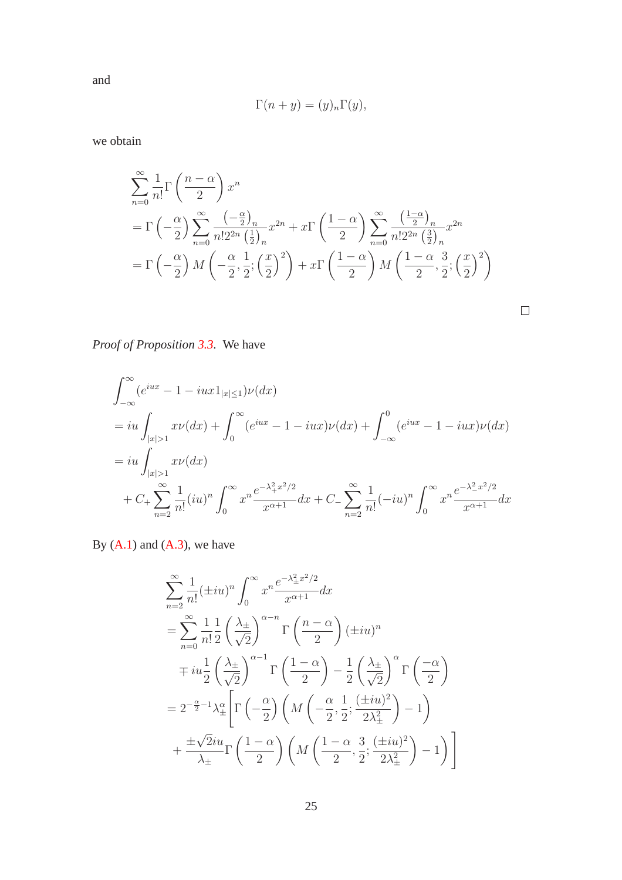$$
\Gamma(n+y) = (y)_n \Gamma(y),
$$

we obtain

$$
\sum_{n=0}^{\infty} \frac{1}{n!} \Gamma\left(\frac{n-\alpha}{2}\right) x^n
$$
\n
$$
= \Gamma\left(-\frac{\alpha}{2}\right) \sum_{n=0}^{\infty} \frac{\left(-\frac{\alpha}{2}\right)_n}{n!2^{2n} \left(\frac{1}{2}\right)_n} x^{2n} + x \Gamma\left(\frac{1-\alpha}{2}\right) \sum_{n=0}^{\infty} \frac{\left(\frac{1-\alpha}{2}\right)_n}{n!2^{2n} \left(\frac{3}{2}\right)_n} x^{2n}
$$
\n
$$
= \Gamma\left(-\frac{\alpha}{2}\right) M\left(-\frac{\alpha}{2}, \frac{1}{2}; \left(\frac{x}{2}\right)^2\right) + x \Gamma\left(\frac{1-\alpha}{2}\right) M\left(\frac{1-\alpha}{2}, \frac{3}{2}; \left(\frac{x}{2}\right)^2\right)
$$

*Proof of Proposition [3.3.](#page-7-0)* We have

$$
\int_{-\infty}^{\infty} (e^{iux} - 1 - iux1_{|x| \le 1}) \nu(dx)
$$
\n
$$
= iu \int_{|x| > 1} x\nu(dx) + \int_{0}^{\infty} (e^{iux} - 1 - iux)\nu(dx) + \int_{-\infty}^{0} (e^{iux} - 1 - iux)\nu(dx)
$$
\n
$$
= iu \int_{|x| > 1} x\nu(dx)
$$
\n
$$
+ C_{+} \sum_{n=2}^{\infty} \frac{1}{n!} (iu)^{n} \int_{0}^{\infty} x^{n} \frac{e^{-\lambda_{+}^{2}x^{2}/2}}{x^{\alpha+1}} dx + C_{-} \sum_{n=2}^{\infty} \frac{1}{n!} (-iu)^{n} \int_{0}^{\infty} x^{n} \frac{e^{-\lambda_{-}^{2}x^{2}/2}}{x^{\alpha+1}} dx
$$

By  $(A.1)$  and  $(A.3)$ , we have

$$
\sum_{n=2}^{\infty} \frac{1}{n!} (\pm iu)^n \int_0^{\infty} x^n \frac{e^{-\lambda_{\pm}^2 x^2/2}}{x^{\alpha+1}} dx
$$
  
\n
$$
= \sum_{n=0}^{\infty} \frac{1}{n!} \frac{1}{2} \left(\frac{\lambda_{\pm}}{\sqrt{2}}\right)^{\alpha-n} \Gamma\left(\frac{n-\alpha}{2}\right) (\pm iu)^n
$$
  
\n
$$
\mp iu \frac{1}{2} \left(\frac{\lambda_{\pm}}{\sqrt{2}}\right)^{\alpha-1} \Gamma\left(\frac{1-\alpha}{2}\right) - \frac{1}{2} \left(\frac{\lambda_{\pm}}{\sqrt{2}}\right)^{\alpha} \Gamma\left(\frac{-\alpha}{2}\right)
$$
  
\n
$$
= 2^{-\frac{\alpha}{2}-1} \lambda_{\pm}^{\alpha} \left[ \Gamma\left(-\frac{\alpha}{2}\right) \left(M\left(-\frac{\alpha}{2}, \frac{1}{2}; \frac{(\pm iu)^2}{2\lambda_{\pm}^2}\right) - 1\right) + \frac{\pm \sqrt{2}iu}{\lambda_{\pm}} \Gamma\left(\frac{1-\alpha}{2}\right) \left(M\left(\frac{1-\alpha}{2}, \frac{3}{2}; \frac{(\pm iu)^2}{2\lambda_{\pm}^2}\right) - 1\right) \right]
$$

and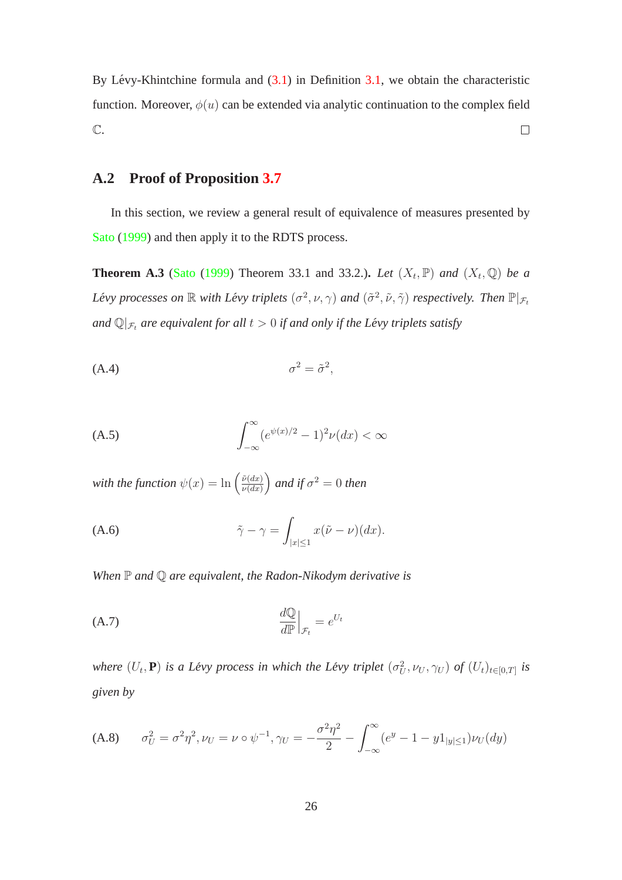By Lévy-Khintchine formula and  $(3.1)$  $(3.1)$  in Definition [3.1,](#page-7-2) we obtain the characteristic function. Moreover,  $\phi(u)$  can be extended via analytic continuation to the complex field  $\mathbb{C}.$  $\Box$ 

#### **A.2 Proof of Proposition [3.7](#page-10-0)**

<span id="page-25-0"></span>In this section, we review a general result of equivalence of measures presented by [Sato](#page-33-9) [\(1999\)](#page-33-9) and then apply it to the RDTS process.

**Theorem A.3** [\(Sato](#page-33-9) [\(1999\)](#page-33-9) Theorem 33.1 and 33.2.). Let  $(X_t, \mathbb{P})$  and  $(X_t, \mathbb{Q})$  be a *Lévy processes on*  $\mathbb R$  *with Lévy triplets*  $(\sigma^2, \nu, \gamma)$  *and*  $(\tilde{\sigma}^2, \tilde{\nu}, \tilde{\gamma})$  *respectively. Then*  $\mathbb P|_{\mathcal F_t}$ *and*  $\mathbb{Q}|_{\mathcal{F}_t}$  *are equivalent for all*  $t > 0$  *if and only if the Lévy triplets satisfy* 

<span id="page-25-1"></span>
$$
\sigma^2 = \tilde{\sigma}^2,
$$

<span id="page-25-2"></span>
$$
\int_{-\infty}^{\infty} (e^{\psi(x)/2} - 1)^2 \nu(dx) < \infty
$$

*with the function*  $\psi(x) = \ln \left( \frac{\tilde{\nu}(dx)}{\nu(dx)} \right)$  $\nu(dx)$  $\int$  *and if*  $\sigma^2 = 0$  *then* 

<span id="page-25-3"></span>
$$
\tilde{\gamma} - \gamma = \int_{|x| \le 1} x(\tilde{\nu} - \nu)(dx).
$$

*When* P *and* Q *are equivalent, the Radon-Nikodym derivative is*

$$
\left.\begin{array}{c}\n\mathrm{d}\mathbb{Q} \\
\hline\nd\mathbb{P}\n\end{array}\right|_{\mathcal{F}_t} = e^{U_t}
$$

*where*  $(U_t, \mathbf{P})$  *is a Lévy process in which the Lévy triplet*  $(\sigma_U^2, \nu_U, \gamma_U)$  *of*  $(U_t)_{t \in [0,T]}$  *is given by*

<span id="page-25-4"></span>
$$
\text{(A.8)} \qquad \sigma_U^2 = \sigma^2 \eta^2, \nu_U = \nu \circ \psi^{-1}, \gamma_U = -\frac{\sigma^2 \eta^2}{2} - \int_{-\infty}^{\infty} (e^y - 1 - y \mathbb{1}_{|y| \le 1}) \nu_U(dy)
$$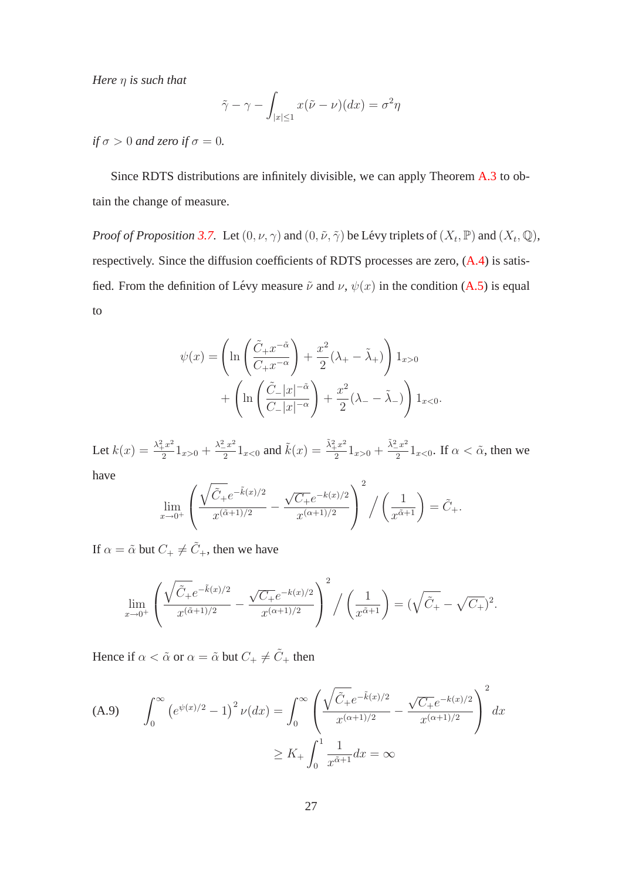*Here* η *is such that*

$$
\tilde{\gamma} - \gamma - \int_{|x| \le 1} x(\tilde{\nu} - \nu)(dx) = \sigma^2 \eta
$$

*if*  $\sigma > 0$  *and zero if*  $\sigma = 0$ *.* 

Since RDTS distributions are infinitely divisible, we can apply Theorem [A.3](#page-25-0) to obtain the change of measure.

*Proof of Proposition* [3.7.](#page-10-0) Let  $(0, \nu, \gamma)$  and  $(0, \tilde{\nu}, \tilde{\gamma})$  be Lévy triplets of  $(X_t, \mathbb{P})$  and  $(X_t, \mathbb{Q})$ , respectively. Since the diffusion coefficients of RDTS processes are zero,  $(A.4)$  is satisfied. From the definition of Lévy measure  $\tilde{\nu}$  and  $\nu$ ,  $\psi(x)$  in the condition [\(A.5\)](#page-25-2) is equal to

$$
\psi(x) = \left(\ln\left(\frac{\tilde{C}_+ x^{-\tilde{\alpha}}}{C_+ x^{-\alpha}}\right) + \frac{x^2}{2}(\lambda_+ - \tilde{\lambda}_+)\right) 1_{x>0}
$$

$$
+ \left(\ln\left(\frac{\tilde{C}_- |x|^{-\tilde{\alpha}}}{C_- |x|^{-\alpha}}\right) + \frac{x^2}{2}(\lambda_- - \tilde{\lambda}_-)\right) 1_{x<0}.
$$

Let  $k(x) = \frac{\lambda_+^2 x^2}{2}$  $\frac{1}{2}x^2 \overline{1}_{x>0} + \frac{\lambda_-^2 x^2}{2}$  $\frac{z^2}{2}1_{x<0}$  and  $\tilde{k}(x) = \frac{\tilde{\lambda}_+^2 x^2}{2}$  $\frac{x^2}{2}1_{x>0} + \frac{\tilde{\lambda}^2_{-}x^2}{2}$  $\frac{z}{2} \cdot \frac{1}{2} \cdot 1_{x<0}$ . If  $\alpha < \tilde{\alpha}$ , then we have

$$
\lim_{x \to 0^+} \left( \frac{\sqrt{\tilde{C}_+} e^{-\tilde{k}(x)/2}}{x^{(\tilde{\alpha}+1)/2}} - \frac{\sqrt{C_+} e^{-k(x)/2}}{x^{(\alpha+1)/2}} \right)^2 / \left( \frac{1}{x^{\tilde{\alpha}+1}} \right) = \tilde{C}_+.
$$

If  $\alpha = \tilde{\alpha}$  but  $C_+ \neq \tilde{C}_+$ , then we have

$$
\lim_{x \to 0^+} \left( \frac{\sqrt{\tilde{C}_+} e^{-\tilde{k}(x)/2}}{x^{(\tilde{\alpha}+1)/2}} - \frac{\sqrt{C_+} e^{-k(x)/2}}{x^{(\alpha+1)/2}} \right)^2 / \left( \frac{1}{x^{\tilde{\alpha}+1}} \right) = (\sqrt{\tilde{C}_+} - \sqrt{C_+})^2.
$$

Hence if  $\alpha < \tilde{\alpha}$  or  $\alpha = \tilde{\alpha}$  but  $C_+ \neq \tilde{C}_+$  then

<span id="page-26-0"></span>(A.9) 
$$
\int_0^\infty (e^{\psi(x)/2} - 1)^2 \nu(dx) = \int_0^\infty \left( \frac{\sqrt{\tilde{C}_+} e^{-\tilde{k}(x)/2}}{x^{(\alpha+1)/2}} - \frac{\sqrt{\tilde{C}_+} e^{-k(x)/2}}{x^{(\alpha+1)/2}} \right)^2 dx
$$

$$
\geq K_+ \int_0^1 \frac{1}{x^{\tilde{\alpha}+1}} dx = \infty
$$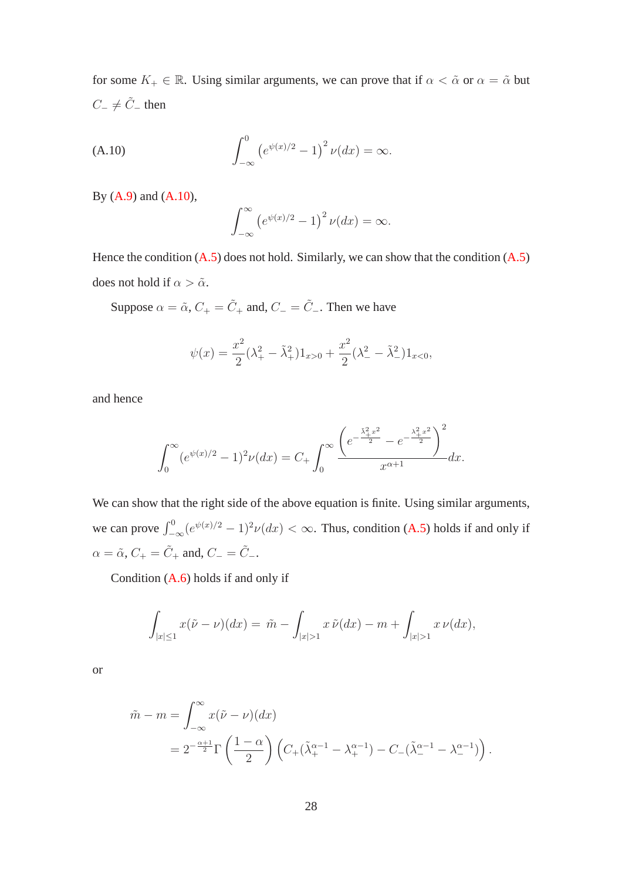for some  $K_+ \in \mathbb{R}$ . Using similar arguments, we can prove that if  $\alpha < \tilde{\alpha}$  or  $\alpha = \tilde{\alpha}$  but  $C_-\neq \tilde{C}_-$  then

(A.10) 
$$
\int_{-\infty}^{0} (e^{\psi(x)/2} - 1)^2 \nu(dx) = \infty.
$$

By [\(A.9\)](#page-26-0) and [\(A.10\)](#page-27-0),

<span id="page-27-0"></span>
$$
\int_{-\infty}^{\infty} \left( e^{\psi(x)/2} - 1 \right)^2 \nu(dx) = \infty.
$$

Hence the condition  $(A.5)$  does not hold. Similarly, we can show that the condition  $(A.5)$ does not hold if  $\alpha > \tilde{\alpha}$ .

Suppose  $\alpha = \tilde{\alpha}$ ,  $C_+ = \tilde{C}_+$  and,  $C_- = \tilde{C}_-$ . Then we have

$$
\psi(x) = \frac{x^2}{2}(\lambda_+^2 - \tilde{\lambda}_+^2)1_{x>0} + \frac{x^2}{2}(\lambda_-^2 - \tilde{\lambda}_-^2)1_{x<0},
$$

and hence

$$
\int_0^\infty (e^{\psi(x)/2} - 1)^2 \nu(dx) = C_+ \int_0^\infty \frac{\left( e^{-\frac{\tilde{\lambda}_+^2 x^2}{2}} - e^{-\frac{\lambda_+^2 x^2}{2}} \right)^2}{x^{\alpha+1}} dx.
$$

We can show that the right side of the above equation is finite. Using similar arguments, we can prove  $\int_{-\infty}^{0} (e^{\psi(x)/2} - 1)^2 \nu(dx) < \infty$ . Thus, condition [\(A.5\)](#page-25-2) holds if and only if  $\alpha = \tilde{\alpha}$ ,  $C_+ = \tilde{C}_+$  and,  $C_- = \tilde{C}_-.$ 

Condition [\(A.6\)](#page-25-3) holds if and only if

$$
\int_{|x|\leq 1} x(\tilde{\nu}-\nu)(dx) = \tilde{m} - \int_{|x|>1} x \, \tilde{\nu}(dx) - m + \int_{|x|>1} x \, \nu(dx),
$$

or

$$
\tilde{m} - m = \int_{-\infty}^{\infty} x(\tilde{\nu} - \nu)(dx)
$$
  
=  $2^{-\frac{\alpha+1}{2}} \Gamma\left(\frac{1-\alpha}{2}\right) \left(C_{+}(\tilde{\lambda}_{+}^{\alpha-1} - \lambda_{+}^{\alpha-1}) - C_{-}(\tilde{\lambda}_{-}^{\alpha-1} - \lambda_{-}^{\alpha-1})\right).$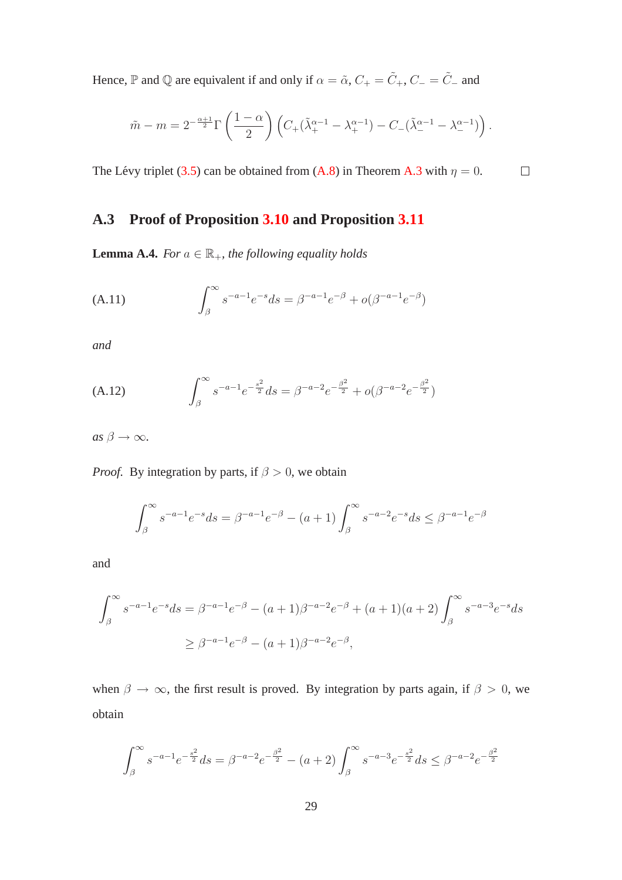Hence,  $\mathbb P$  and  $\mathbb Q$  are equivalent if and only if  $\alpha = \tilde{\alpha}$ ,  $C_+ = \tilde{C}_+$ ,  $C_- = \tilde{C}_-$  and

$$
\tilde{m}-m=2^{-\frac{\alpha+1}{2}}\Gamma\left(\frac{1-\alpha}{2}\right)\left(C_+(\tilde{\lambda}_+^{\alpha-1}-\lambda_+^{\alpha-1})-C_-(\tilde{\lambda}_-^{\alpha-1}-\lambda_-^{\alpha-1})\right).
$$

The Lévy triplet ([3.5\)](#page-10-2) can be obtained from [\(A.8\)](#page-25-4) in Theorem [A.3](#page-25-0) with  $\eta = 0$ .

 $\Box$ 

### <span id="page-28-0"></span>**A.3 Proof of Proposition [3.10](#page-12-0) and Proposition [3.11](#page-12-1)**

**Lemma A.4.** *For*  $a \in \mathbb{R}_+$ *, the following equality holds* 

<span id="page-28-1"></span>(A.11) 
$$
\int_{\beta}^{\infty} s^{-a-1} e^{-s} ds = \beta^{-a-1} e^{-\beta} + o(\beta^{-a-1} e^{-\beta})
$$

*and*

<span id="page-28-2"></span>(A.12) 
$$
\int_{\beta}^{\infty} s^{-a-1} e^{-\frac{s^2}{2}} ds = \beta^{-a-2} e^{-\frac{\beta^2}{2}} + o(\beta^{-a-2} e^{-\frac{\beta^2}{2}})
$$

 $as \beta \rightarrow \infty$ *.* 

*Proof.* By integration by parts, if  $\beta > 0$ , we obtain

$$
\int_{\beta}^{\infty} s^{-a-1} e^{-s} ds = \beta^{-a-1} e^{-\beta} - (a+1) \int_{\beta}^{\infty} s^{-a-2} e^{-s} ds \leq \beta^{-a-1} e^{-\beta}
$$

and

$$
\int_{\beta}^{\infty} s^{-a-1} e^{-s} ds = \beta^{-a-1} e^{-\beta} - (a+1)\beta^{-a-2} e^{-\beta} + (a+1)(a+2) \int_{\beta}^{\infty} s^{-a-3} e^{-s} ds
$$
  
 
$$
\geq \beta^{-a-1} e^{-\beta} - (a+1)\beta^{-a-2} e^{-\beta},
$$

when  $\beta \to \infty$ , the first result is proved. By integration by parts again, if  $\beta > 0$ , we obtain

$$
\int_{\beta}^{\infty} s^{-a-1} e^{-\frac{s^2}{2}} ds = \beta^{-a-2} e^{-\frac{\beta^2}{2}} - (a+2) \int_{\beta}^{\infty} s^{-a-3} e^{-\frac{s^2}{2}} ds \leq \beta^{-a-2} e^{-\frac{\beta^2}{2}}
$$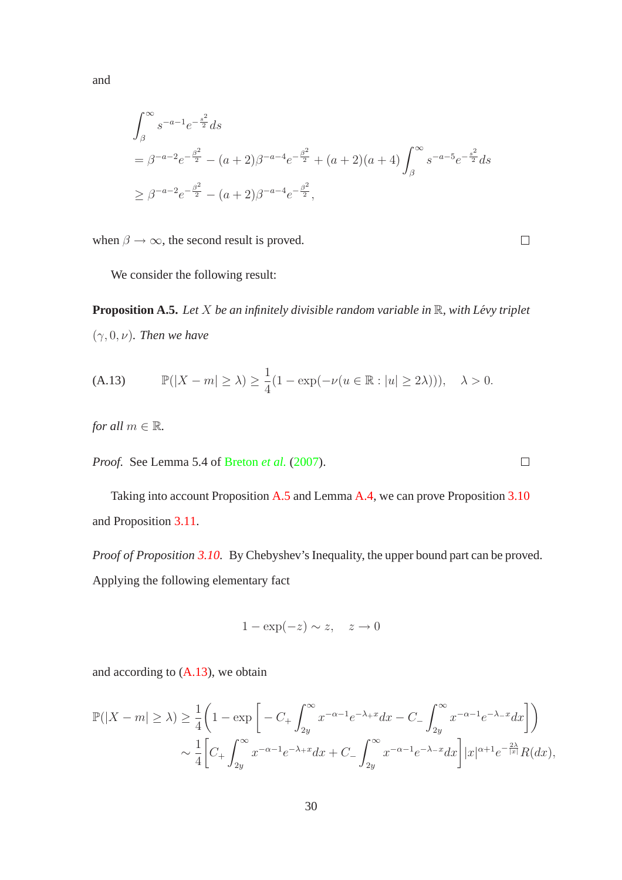$$
\int_{\beta}^{\infty} s^{-a-1} e^{-\frac{s^2}{2}} ds
$$
  
=  $\beta^{-a-2} e^{-\frac{\beta^2}{2}} - (a+2)\beta^{-a-4} e^{-\frac{\beta^2}{2}} + (a+2)(a+4) \int_{\beta}^{\infty} s^{-a-5} e^{-\frac{s^2}{2}} ds$   
 $\geq \beta^{-a-2} e^{-\frac{\beta^2}{2}} - (a+2)\beta^{-a-4} e^{-\frac{\beta^2}{2}},$ 

when  $\beta \rightarrow \infty$ , the second result is proved.

<span id="page-29-0"></span>We consider the following result:

**Proposition A.5.** *Let X be an infinitely divisible random variable in*  $\mathbb{R}$ *, with Lévy triplet*  $(\gamma, 0, \nu)$ *. Then we have* 

<span id="page-29-1"></span>(A.13) 
$$
\mathbb{P}(|X - m| \ge \lambda) \ge \frac{1}{4}(1 - \exp(-\nu(u \in \mathbb{R} : |u| \ge 2\lambda))), \quad \lambda > 0.
$$

*for all*  $m \in \mathbb{R}$ *.* 

*Proof.* See Lemma 5.4 of [Breton](#page-31-9) *et al.* [\(2007\)](#page-31-9).

Taking into account Proposition [A.5](#page-29-0) and Lemma [A.4,](#page-28-0) we can prove Proposition [3.10](#page-12-0) and Proposition [3.11.](#page-12-1)

*Proof of Proposition [3.10.](#page-12-0)* By Chebyshev's Inequality, the upper bound part can be proved. Applying the following elementary fact

$$
1 - \exp(-z) \sim z, \quad z \to 0
$$

and according to [\(A.13\)](#page-29-1), we obtain

$$
\mathbb{P}(|X - m| \ge \lambda) \ge \frac{1}{4} \left( 1 - \exp \left[ -C_+ \int_{2y}^{\infty} x^{-\alpha - 1} e^{-\lambda_+ x} dx - C_- \int_{2y}^{\infty} x^{-\alpha - 1} e^{-\lambda_- x} dx \right] \right)
$$
  

$$
\sim \frac{1}{4} \left[ C_+ \int_{2y}^{\infty} x^{-\alpha - 1} e^{-\lambda_+ x} dx + C_- \int_{2y}^{\infty} x^{-\alpha - 1} e^{-\lambda_- x} dx \right] |x|^{\alpha + 1} e^{-\frac{2\lambda}{|x|}} R(dx),
$$

and

 $\Box$ 

 $\Box$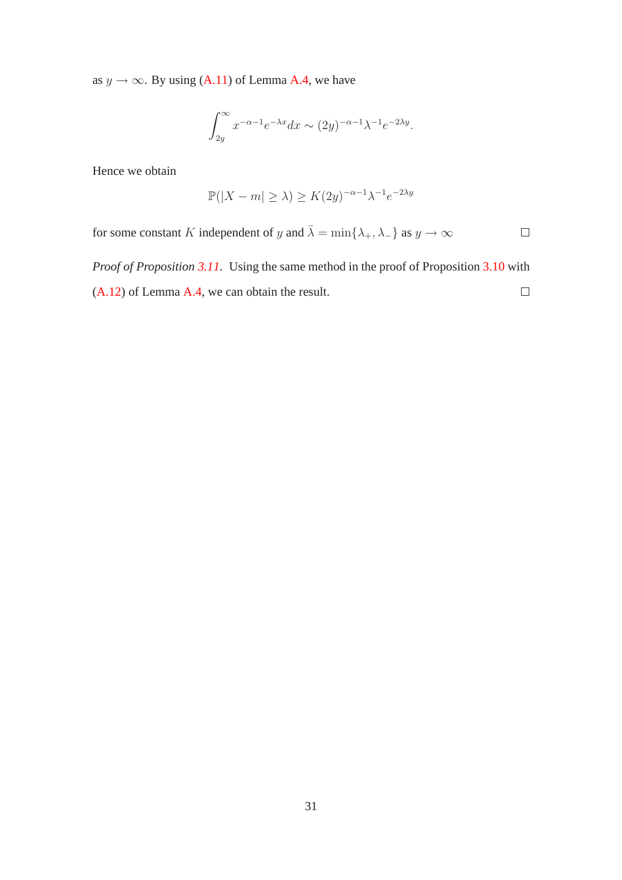as  $y \rightarrow \infty$ . By using [\(A.11\)](#page-28-1) of Lemma [A.4,](#page-28-0) we have

$$
\int_{2y}^{\infty} x^{-\alpha - 1} e^{-\lambda x} dx \sim (2y)^{-\alpha - 1} \lambda^{-1} e^{-2\lambda y}.
$$

Hence we obtain

$$
\mathbb{P}(|X - m| \ge \lambda) \ge K(2y)^{-\alpha - 1} \lambda^{-1} e^{-2\lambda y}
$$

for some constant  $K$  independent of  $y$  and  $\bar{\lambda} = \min\{\lambda_+, \lambda_-\}$  as  $y \to \infty$  $\Box$ 

*Proof of Proposition [3.11.](#page-12-1)* Using the same method in the proof of Proposition [3.10](#page-12-0) with [\(A.12\)](#page-28-2) of Lemma [A.4,](#page-28-0) we can obtain the result.  $\Box$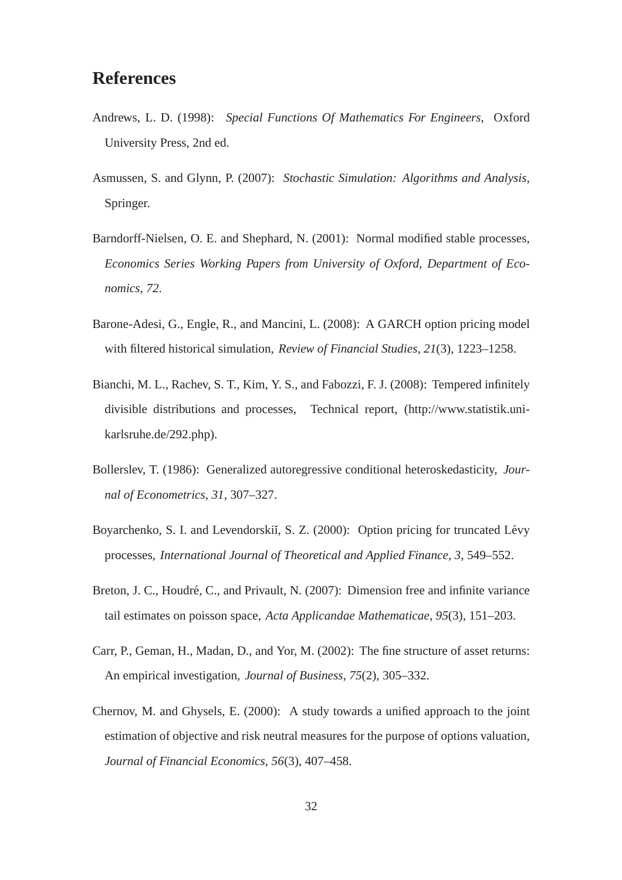### **References**

- <span id="page-31-8"></span>Andrews, L. D. (1998): *Special Functions Of Mathematics For Engineers*, Oxford University Press, 2nd ed.
- <span id="page-31-7"></span>Asmussen, S. and Glynn, P. (2007): *Stochastic Simulation: Algorithms and Analysis*, Springer.
- <span id="page-31-4"></span>Barndorff-Nielsen, O. E. and Shephard, N. (2001): Normal modified stable processes, *Economics Series Working Papers from University of Oxford, Department of Economics*, *72*.
- <span id="page-31-3"></span>Barone-Adesi, G., Engle, R., and Mancini, L. (2008): A GARCH option pricing model with filtered historical simulation, *Review of Financial Studies*, *21*(3), 1223–1258.
- <span id="page-31-1"></span>Bianchi, M. L., Rachev, S. T., Kim, Y. S., and Fabozzi, F. J. (2008): Tempered infinitely divisible distributions and processes, Technical report, (http://www.statistik.unikarlsruhe.de/292.php).
- <span id="page-31-0"></span>Bollerslev, T. (1986): Generalized autoregressive conditional heteroskedasticity, *Journal of Econometrics*, *31*, 307–327.
- <span id="page-31-5"></span>Boyarchenko, S. I. and Levendorskiı̆, S. Z. (2000): Option pricing for truncated Lévy processes, *International Journal of Theoretical and Applied Finance*, *3*, 549–552.
- <span id="page-31-9"></span>Breton, J. C., Houdré, C., and Privault, N. (2007): Dimension free and infinite variance tail estimates on poisson space, *Acta Applicandae Mathematicae*, *95*(3), 151–203.
- <span id="page-31-6"></span>Carr, P., Geman, H., Madan, D., and Yor, M. (2002): The fine structure of asset returns: An empirical investigation, *Journal of Business*, *75*(2), 305–332.
- <span id="page-31-2"></span>Chernov, M. and Ghysels, E. (2000): A study towards a unified approach to the joint estimation of objective and risk neutral measures for the purpose of options valuation, *Journal of Financial Economics*, *56*(3), 407–458.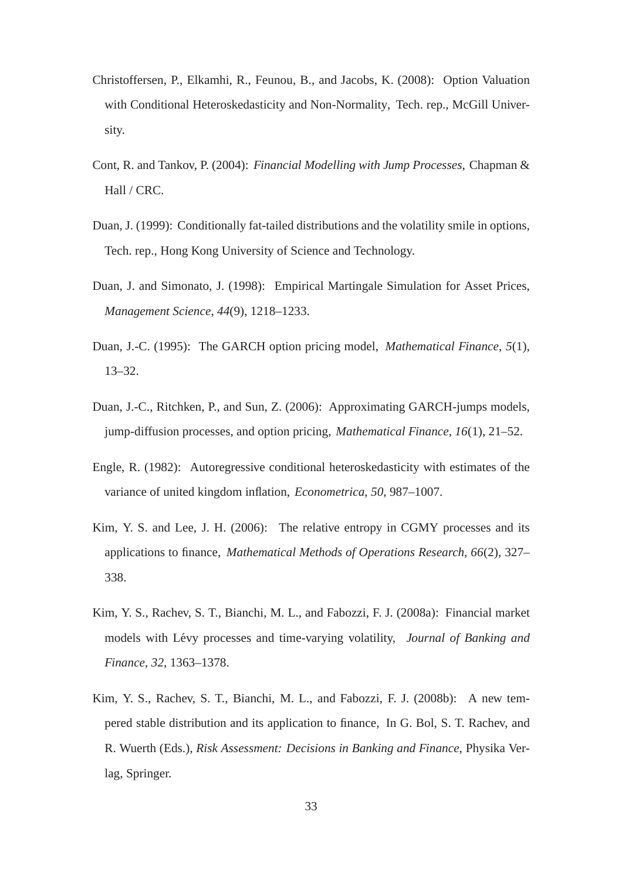- <span id="page-32-5"></span>Christoffersen, P., Elkamhi, R., Feunou, B., and Jacobs, K. (2008): Option Valuation with Conditional Heteroskedasticity and Non-Normality, Tech. rep., McGill University.
- <span id="page-32-6"></span>Cont, R. and Tankov, P. (2004): *Financial Modelling with Jump Processes*, Chapman & Hall / CRC.
- <span id="page-32-2"></span>Duan, J. (1999): Conditionally fat-tailed distributions and the volatility smile in options, Tech. rep., Hong Kong University of Science and Technology.
- <span id="page-32-9"></span>Duan, J. and Simonato, J. (1998): Empirical Martingale Simulation for Asset Prices, *Management Science*, *44*(9), 1218–1233.
- <span id="page-32-1"></span>Duan, J.-C. (1995): The GARCH option pricing model, *Mathematical Finance*, *5*(1), 13–32.
- <span id="page-32-3"></span>Duan, J.-C., Ritchken, P., and Sun, Z. (2006): Approximating GARCH-jumps models, jump-diffusion processes, and option pricing, *Mathematical Finance*, *16*(1), 21–52.
- <span id="page-32-0"></span>Engle, R. (1982): Autoregressive conditional heteroskedasticity with estimates of the variance of united kingdom inflation, *Econometrica*, *50*, 987–1007.
- <span id="page-32-8"></span>Kim, Y. S. and Lee, J. H. (2006): The relative entropy in CGMY processes and its applications to finance, *Mathematical Methods of Operations Research*, *66*(2), 327– 338.
- <span id="page-32-4"></span>Kim, Y. S., Rachev, S. T., Bianchi, M. L., and Fabozzi, F. J. (2008a): Financial market models with Lévy processes and time-varying volatility, *Journal of Banking and Finance*, *32*, 1363–1378.
- <span id="page-32-7"></span>Kim, Y. S., Rachev, S. T., Bianchi, M. L., and Fabozzi, F. J. (2008b): A new tempered stable distribution and its application to finance, In G. Bol, S. T. Rachev, and R. Wuerth (Eds.), *Risk Assessment: Decisions in Banking and Finance*, Physika Verlag, Springer.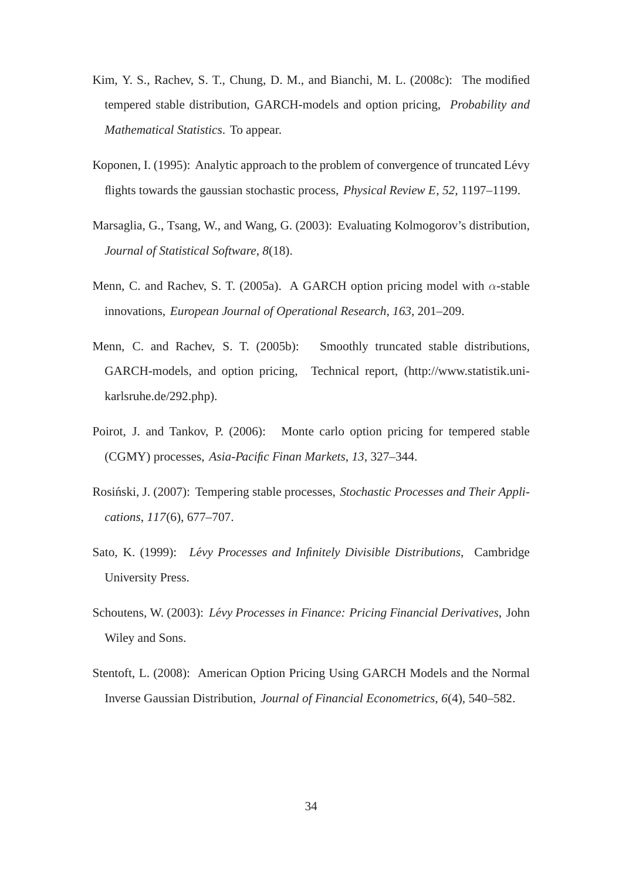- <span id="page-33-2"></span>Kim, Y. S., Rachev, S. T., Chung, D. M., and Bianchi, M. L. (2008c): The modified tempered stable distribution, GARCH-models and option pricing, *Probability and Mathematical Statistics*. To appear.
- <span id="page-33-5"></span>Koponen, I. (1995): Analytic approach to the problem of convergence of truncated Lévy flights towards the gaussian stochastic process, *Physical Review E*, *52*, 1197–1199.
- <span id="page-33-7"></span>Marsaglia, G., Tsang, W., and Wang, G. (2003): Evaluating Kolmogorov's distribution, *Journal of Statistical Software*, *8*(18).
- <span id="page-33-0"></span>Menn, C. and Rachev, S. T. (2005a). A GARCH option pricing model with  $\alpha$ -stable innovations, *European Journal of Operational Research*, *163*, 201–209.
- <span id="page-33-1"></span>Menn, C. and Rachev, S. T. (2005b): Smoothly truncated stable distributions, GARCH-models, and option pricing, Technical report, (http://www.statistik.unikarlsruhe.de/292.php).
- <span id="page-33-6"></span>Poirot, J. and Tankov, P. (2006): Monte carlo option pricing for tempered stable (CGMY) processes, *Asia-Pacific Finan Markets*, *13*, 327–344.
- <span id="page-33-3"></span>Rosiński, J. (2007): Tempering stable processes, *Stochastic Processes and Their Applications*, *117*(6), 677–707.
- <span id="page-33-9"></span>Sato, K. (1999): *Lévy Processes and Infinitely Divisible Distributions*, Cambridge University Press.
- <span id="page-33-8"></span>Schoutens, W. (2003): *Lévy Processes in Finance: Pricing Financial Derivatives*, John Wiley and Sons.
- <span id="page-33-4"></span>Stentoft, L. (2008): American Option Pricing Using GARCH Models and the Normal Inverse Gaussian Distribution, *Journal of Financial Econometrics*, *6*(4), 540–582.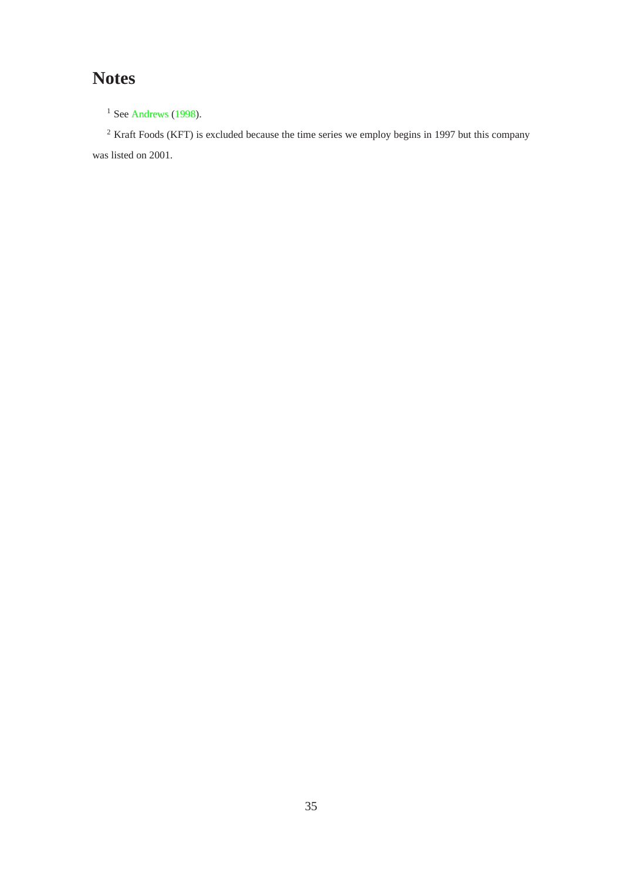# **Notes**

 $1$  See [Andrews](#page-31-8) [\(1998](#page-31-8)).

<sup>2</sup> Kraft Foods (KFT) is excluded because the time series we employ begins in 1997 but this company was listed on 2001.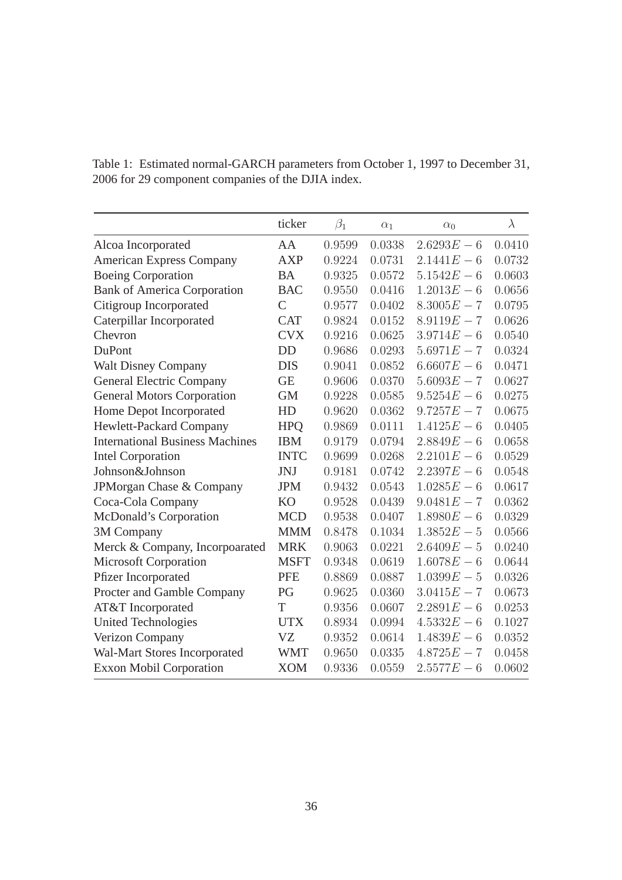|                                        | ticker         | $\beta_1$ | $\alpha_1$ | $\alpha_0$    | $\lambda$ |
|----------------------------------------|----------------|-----------|------------|---------------|-----------|
| Alcoa Incorporated                     | AA             | 0.9599    | 0.0338     | $2.6293E - 6$ | 0.0410    |
| <b>American Express Company</b>        | <b>AXP</b>     | 0.9224    | 0.0731     | $2.1441E - 6$ | 0.0732    |
| <b>Boeing Corporation</b>              | <b>BA</b>      | 0.9325    | 0.0572     | $5.1542E - 6$ | 0.0603    |
| <b>Bank of America Corporation</b>     | <b>BAC</b>     | 0.9550    | 0.0416     | $1.2013E - 6$ | 0.0656    |
| Citigroup Incorporated                 | $\overline{C}$ | 0.9577    | 0.0402     | $8.3005E - 7$ | 0.0795    |
| Caterpillar Incorporated               | <b>CAT</b>     | 0.9824    | 0.0152     | $8.9119E - 7$ | 0.0626    |
| Chevron                                | <b>CVX</b>     | 0.9216    | 0.0625     | $3.9714E - 6$ | 0.0540    |
| DuPont                                 | DD             | 0.9686    | 0.0293     | $5.6971E - 7$ | 0.0324    |
| <b>Walt Disney Company</b>             | <b>DIS</b>     | 0.9041    | 0.0852     | $6.6607E - 6$ | 0.0471    |
| <b>General Electric Company</b>        | <b>GE</b>      | 0.9606    | 0.0370     | $5.6093E - 7$ | 0.0627    |
| <b>General Motors Corporation</b>      | <b>GM</b>      | 0.9228    | 0.0585     | $9.5254E - 6$ | 0.0275    |
| Home Depot Incorporated                | HD             | 0.9620    | 0.0362     | $9.7257E - 7$ | 0.0675    |
| Hewlett-Packard Company                | <b>HPO</b>     | 0.9869    | 0.0111     | $1.4125E - 6$ | 0.0405    |
| <b>International Business Machines</b> | <b>IBM</b>     | 0.9179    | 0.0794     | $2.8849E - 6$ | 0.0658    |
| <b>Intel Corporation</b>               | <b>INTC</b>    | 0.9699    | 0.0268     | $2.2101E - 6$ | 0.0529    |
| Johnson&Johnson                        | JNJ            | 0.9181    | 0.0742     | $2.2397E - 6$ | 0.0548    |
| JPMorgan Chase & Company               | <b>JPM</b>     | 0.9432    | 0.0543     | $1.0285E - 6$ | 0.0617    |
| Coca-Cola Company                      | <b>KO</b>      | 0.9528    | 0.0439     | $9.0481E - 7$ | 0.0362    |
| McDonald's Corporation                 | <b>MCD</b>     | 0.9538    | 0.0407     | $1.8980E - 6$ | 0.0329    |
| 3M Company                             | <b>MMM</b>     | 0.8478    | 0.1034     | $1.3852E - 5$ | 0.0566    |
| Merck & Company, Incorpoarated         | <b>MRK</b>     | 0.9063    | 0.0221     | $2.6409E - 5$ | 0.0240    |
| Microsoft Corporation                  | <b>MSFT</b>    | 0.9348    | 0.0619     | $1.6078E - 6$ | 0.0644    |
| Pfizer Incorporated                    | <b>PFE</b>     | 0.8869    | 0.0887     | $1.0399E - 5$ | 0.0326    |
| Procter and Gamble Company             | PG             | 0.9625    | 0.0360     | $3.0415E - 7$ | 0.0673    |
| AT&T Incorporated                      | T              | 0.9356    | 0.0607     | $2.2891E - 6$ | 0.0253    |
| <b>United Technologies</b>             | <b>UTX</b>     | 0.8934    | 0.0994     | $4.5332E - 6$ | 0.1027    |
| Verizon Company                        | <b>VZ</b>      | 0.9352    | 0.0614     | $1.4839E - 6$ | 0.0352    |
| Wal-Mart Stores Incorporated           | <b>WMT</b>     | 0.9650    | 0.0335     | $4.8725E - 7$ | 0.0458    |
| <b>Exxon Mobil Corporation</b>         | <b>XOM</b>     | 0.9336    | 0.0559     | $2.5577E - 6$ | 0.0602    |

<span id="page-35-0"></span>Table 1: Estimated normal-GARCH parameters from October 1, 1997 to December 31, 2006 for 29 component companies of the DJIA index.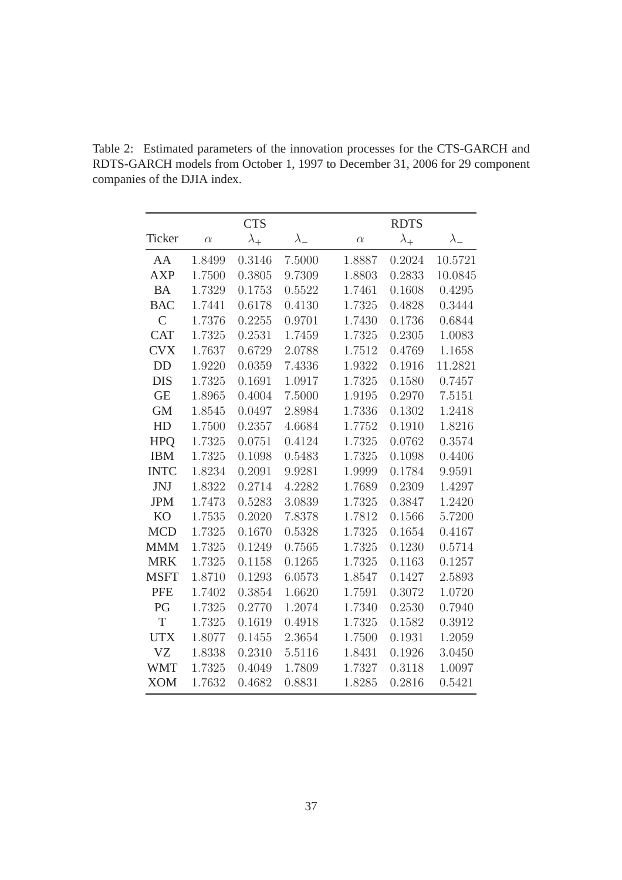|               |          | <b>CTS</b>    |             |          | <b>RDTS</b> |             |
|---------------|----------|---------------|-------------|----------|-------------|-------------|
| Ticker        | $\alpha$ | $\lambda_{+}$ | $\lambda_-$ | $\alpha$ | $\lambda_+$ | $\lambda_-$ |
| AA            | 1.8499   | 0.3146        | 7.5000      | 1.8887   | 0.2024      | 10.5721     |
| <b>AXP</b>    | 1.7500   | 0.3805        | 9.7309      | 1.8803   | 0.2833      | 10.0845     |
| <b>BA</b>     | 1.7329   | 0.1753        | 0.5522      | 1.7461   | 0.1608      | 0.4295      |
| <b>BAC</b>    | 1.7441   | 0.6178        | 0.4130      | 1.7325   | 0.4828      | 0.3444      |
| $\mathcal{C}$ | 1.7376   | 0.2255        | 0.9701      | 1.7430   | 0.1736      | 0.6844      |
| <b>CAT</b>    | 1.7325   | 0.2531        | 1.7459      | 1.7325   | 0.2305      | 1.0083      |
| <b>CVX</b>    | 1.7637   | 0.6729        | 2.0788      | 1.7512   | 0.4769      | 1.1658      |
| <b>DD</b>     | 1.9220   | 0.0359        | 7.4336      | 1.9322   | 0.1916      | 11.2821     |
| <b>DIS</b>    | 1.7325   | 0.1691        | 1.0917      | 1.7325   | 0.1580      | 0.7457      |
| <b>GE</b>     | 1.8965   | 0.4004        | 7.5000      | 1.9195   | 0.2970      | 7.5151      |
| <b>GM</b>     | 1.8545   | 0.0497        | 2.8984      | 1.7336   | 0.1302      | 1.2418      |
| HD            | 1.7500   | 0.2357        | 4.6684      | 1.7752   | 0.1910      | 1.8216      |
| <b>HPO</b>    | 1.7325   | 0.0751        | 0.4124      | 1.7325   | 0.0762      | 0.3574      |
| <b>IBM</b>    | 1.7325   | 0.1098        | 0.5483      | 1.7325   | 0.1098      | 0.4406      |
| <b>INTC</b>   | 1.8234   | 0.2091        | 9.9281      | 1.9999   | 0.1784      | 9.9591      |
| JNJ           | 1.8322   | 0.2714        | 4.2282      | 1.7689   | 0.2309      | 1.4297      |
| <b>JPM</b>    | 1.7473   | 0.5283        | 3.0839      | 1.7325   | 0.3847      | 1.2420      |
| <b>KO</b>     | 1.7535   | 0.2020        | 7.8378      | 1.7812   | 0.1566      | 5.7200      |
| <b>MCD</b>    | 1.7325   | 0.1670        | 0.5328      | 1.7325   | 0.1654      | 0.4167      |
| <b>MMM</b>    | 1.7325   | 0.1249        | 0.7565      | 1.7325   | 0.1230      | 0.5714      |
| <b>MRK</b>    | 1.7325   | 0.1158        | 0.1265      | 1.7325   | 0.1163      | 0.1257      |
| <b>MSFT</b>   | 1.8710   | 0.1293        | 6.0573      | 1.8547   | 0.1427      | 2.5893      |
| <b>PFE</b>    | 1.7402   | 0.3854        | 1.6620      | 1.7591   | 0.3072      | 1.0720      |
| PG            | 1.7325   | 0.2770        | 1.2074      | 1.7340   | 0.2530      | 0.7940      |
| T             | 1.7325   | 0.1619        | 0.4918      | 1.7325   | 0.1582      | 0.3912      |
| <b>UTX</b>    | 1.8077   | 0.1455        | 2.3654      | 1.7500   | 0.1931      | 1.2059      |
| <b>VZ</b>     | 1.8338   | 0.2310        | 5.5116      | 1.8431   | 0.1926      | 3.0450      |
| <b>WMT</b>    | 1.7325   | 0.4049        | 1.7809      | 1.7327   | 0.3118      | 1.0097      |
| <b>XOM</b>    | 1.7632   | 0.4682        | 0.8831      | 1.8285   | 0.2816      | 0.5421      |

<span id="page-36-0"></span>Table 2: Estimated parameters of the innovation processes for the CTS-GARCH and RDTS-GARCH models from October 1, 1997 to December 31, 2006 for 29 component companies of the DJIA index.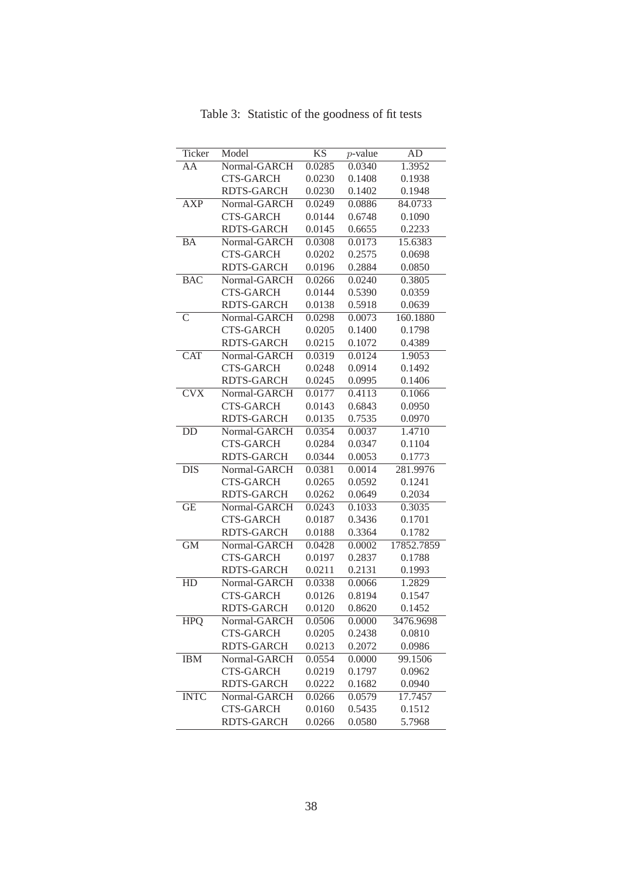<span id="page-37-0"></span>

| Ticker                  | Model             | <b>KS</b> | $p$ -value | AD                  |
|-------------------------|-------------------|-----------|------------|---------------------|
| AA                      | Normal-GARCH      | 0.0285    | 0.0340     | 1.3952              |
|                         | <b>CTS-GARCH</b>  | 0.0230    | 0.1408     | 0.1938              |
|                         | <b>RDTS-GARCH</b> | 0.0230    | 0.1402     | 0.1948              |
| <b>AXP</b>              | Normal-GARCH      | 0.0249    | 0.0886     | 84.0733             |
|                         | <b>CTS-GARCH</b>  | 0.0144    | 0.6748     | 0.1090              |
|                         | <b>RDTS-GARCH</b> | 0.0145    | 0.6655     | 0.2233              |
| <b>BA</b>               | Normal-GARCH      | 0.0308    | 0.0173     | 15.6383             |
|                         | <b>CTS-GARCH</b>  | 0.0202    | 0.2575     | 0.0698              |
|                         | <b>RDTS-GARCH</b> | 0.0196    | 0.2884     | 0.0850              |
| <b>BAC</b>              | Normal-GARCH      | 0.0266    | 0.0240     | 0.3805              |
|                         | <b>CTS-GARCH</b>  | 0.0144    | 0.5390     | 0.0359              |
|                         | <b>RDTS-GARCH</b> | 0.0138    | 0.5918     | 0.0639              |
| $\overline{\mathsf{C}}$ | Normal-GARCH      | 0.0298    | 0.0073     | 160.1880            |
|                         | <b>CTS-GARCH</b>  | 0.0205    | 0.1400     | 0.1798              |
|                         | <b>RDTS-GARCH</b> | 0.0215    | 0.1072     | 0.4389              |
| <b>CAT</b>              | Normal-GARCH      | 0.0319    | 0.0124     | 1.9053              |
|                         | <b>CTS-GARCH</b>  | 0.0248    | 0.0914     | 0.1492              |
|                         | <b>RDTS-GARCH</b> | 0.0245    | 0.0995     | 0.1406              |
| <b>CVX</b>              | Normal-GARCH      | 0.0177    | 0.4113     | 0.1066              |
|                         | <b>CTS-GARCH</b>  | 0.0143    | 0.6843     | 0.0950              |
|                         | <b>RDTS-GARCH</b> | 0.0135    | 0.7535     | 0.0970              |
| DD                      | Normal-GARCH      | 0.0354    | 0.0037     | 1.4710              |
|                         | <b>CTS-GARCH</b>  | 0.0284    | 0.0347     | 0.1104              |
|                         | <b>RDTS-GARCH</b> | 0.0344    | 0.0053     | 0.1773              |
| $\overline{DIS}$        | Normal-GARCH      | 0.0381    | 0.0014     | 281.9976            |
|                         | <b>CTS-GARCH</b>  | 0.0265    | 0.0592     | 0.1241              |
|                         | <b>RDTS-GARCH</b> | 0.0262    | 0.0649     | 0.2034              |
| GE                      | Normal-GARCH      | 0.0243    | 0.1033     | 0.3035              |
|                         | <b>CTS-GARCH</b>  | 0.0187    | 0.3436     | 0.1701              |
|                         | RDTS-GARCH        | 0.0188    | 0.3364     | 0.1782              |
| $\overline{GM}$         | Normal-GARCH      | 0.0428    | 0.0002     | 17852.7859          |
|                         | <b>CTS-GARCH</b>  | 0.0197    | 0.2837     | 0.1788              |
|                         | <b>RDTS-GARCH</b> | 0.0211    | 0.2131     | 0.1993              |
| $\overline{HD}$         | Normal-GARCH      | 0.0338    | 0.0066     | $1.\overline{2829}$ |
|                         | <b>CTS-GARCH</b>  | 0.0126    | 0.8194     | 0.1547              |
|                         | <b>RDTS-GARCH</b> | 0.0120    | 0.8620     | 0.1452              |
| <b>HPQ</b>              | Normal-GARCH      | 0.0506    | 0.0000     | 3476.9698           |
|                         | <b>CTS-GARCH</b>  | 0.0205    | 0.2438     | 0.0810              |
|                         | <b>RDTS-GARCH</b> | 0.0213    | 0.2072     | 0.0986              |
| <b>IBM</b>              | Normal-GARCH      | 0.0554    | 0.0000     | 99.1506             |
|                         | <b>CTS-GARCH</b>  | 0.0219    | 0.1797     | 0.0962              |
|                         | <b>RDTS-GARCH</b> | 0.0222    | 0.1682     | 0.0940              |
| <b>INTC</b>             | Normal-GARCH      | 0.0266    | 0.0579     | 17.7457             |
|                         | <b>CTS-GARCH</b>  | 0.0160    | 0.5435     | 0.1512              |
|                         | <b>RDTS-GARCH</b> | 0.0266    | 0.0580     | 5.7968              |

Table 3: Statistic of the goodness of fit tests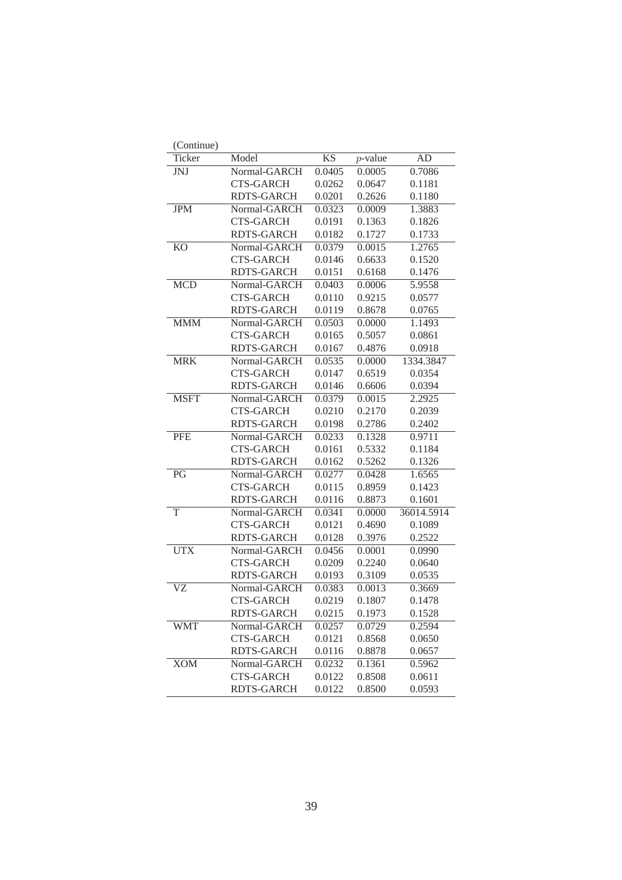| (Continue)             |                   |                        |            |                     |
|------------------------|-------------------|------------------------|------------|---------------------|
| Ticker                 | Model             | $\overline{\text{KS}}$ | $p$ -value | AD                  |
| <b>JNJ</b>             | Normal-GARCH      | 0.0405                 | 0.0005     | 0.7086              |
|                        | <b>CTS-GARCH</b>  | 0.0262                 | 0.0647     | 0.1181              |
|                        | <b>RDTS-GARCH</b> | 0.0201                 | 0.2626     | 0.1180              |
| <b>JPM</b>             | Normal-GARCH      | 0.0323                 | 0.0009     | 1.3883              |
|                        | <b>CTS-GARCH</b>  | 0.0191                 | 0.1363     | 0.1826              |
|                        | <b>RDTS-GARCH</b> | 0.0182                 | 0.1727     | 0.1733              |
| $\overline{KO}$        | Normal-GARCH      | 0.0379                 | 0.0015     | 1.2765              |
|                        | <b>CTS-GARCH</b>  | 0.0146                 | 0.6633     | 0.1520              |
|                        | <b>RDTS-GARCH</b> | 0.0151                 | 0.6168     | 0.1476              |
| <b>MCD</b>             | Normal-GARCH      | 0.0403                 | 0.0006     | 5.9558              |
|                        | <b>CTS-GARCH</b>  | 0.0110                 | 0.9215     | 0.0577              |
|                        | <b>RDTS-GARCH</b> | 0.0119                 | 0.8678     | 0.0765              |
| <b>MMM</b>             | Normal-GARCH      | 0.0503                 | 0.0000     | 1.1493              |
|                        | <b>CTS-GARCH</b>  | 0.0165                 | 0.5057     | 0.0861              |
|                        | <b>RDTS-GARCH</b> | 0.0167                 | 0.4876     | 0.0918              |
| <b>MRK</b>             | Normal-GARCH      | 0.0535                 | 0.0000     | 1334.3847           |
|                        | <b>CTS-GARCH</b>  | 0.0147                 | 0.6519     | 0.0354              |
|                        | <b>RDTS-GARCH</b> | 0.0146                 | 0.6606     | 0.0394              |
| <b>MSFT</b>            | Normal-GARCH      | 0.0379                 | 0.0015     | 2.2925              |
|                        | <b>CTS-GARCH</b>  | 0.0210                 | 0.2170     | 0.2039              |
|                        | <b>RDTS-GARCH</b> | 0.0198                 | 0.2786     | 0.2402              |
| <b>PFE</b>             | Normal-GARCH      | 0.0233                 | 0.1328     | $\overline{0.9711}$ |
|                        | <b>CTS-GARCH</b>  | 0.0161                 | 0.5332     | 0.1184              |
|                        | <b>RDTS-GARCH</b> | 0.0162                 | 0.5262     | 0.1326              |
| PG                     | Normal-GARCH      | 0.0277                 | 0.0428     | 1.6565              |
|                        | <b>CTS-GARCH</b>  | 0.0115                 | 0.8959     | 0.1423              |
|                        | <b>RDTS-GARCH</b> | 0.0116                 | 0.8873     | 0.1601              |
| $\overline{T}$         | Normal-GARCH      | 0.0341                 | 0.0000     | 36014.5914          |
|                        | <b>CTS-GARCH</b>  | 0.0121                 | 0.4690     | 0.1089              |
|                        | <b>RDTS-GARCH</b> | 0.0128                 | 0.3976     | 0.2522              |
| <b>UTX</b>             | Normal-GARCH      | 0.0456                 | 0.0001     | 0.0990              |
|                        | <b>CTS-GARCH</b>  | 0.0209                 | 0.2240     | 0.0640              |
|                        | <b>RDTS-GARCH</b> | 0.0193                 | 0.3109     | 0.0535              |
| $\overline{\text{VZ}}$ | Normal-GARCH      | 0.0383                 | 0.0013     | 0.3669              |
|                        | <b>CTS-GARCH</b>  | 0.0219                 | 0.1807     | 0.1478              |
|                        | <b>RDTS-GARCH</b> | 0.0215                 | 0.1973     | 0.1528              |
| <b>WMT</b>             | Normal-GARCH      | 0.0257                 | 0.0729     | 0.2594              |
|                        | <b>CTS-GARCH</b>  | 0.0121                 | 0.8568     | 0.0650              |
|                        | <b>RDTS-GARCH</b> | 0.0116                 | 0.8878     | 0.0657              |
| <b>XOM</b>             | Normal-GARCH      | 0.0232                 | 0.1361     | 0.5962              |
|                        | <b>CTS-GARCH</b>  | 0.0122                 | 0.8508     | 0.0611              |
|                        | <b>RDTS-GARCH</b> | 0.0122                 | 0.8500     | 0.0593              |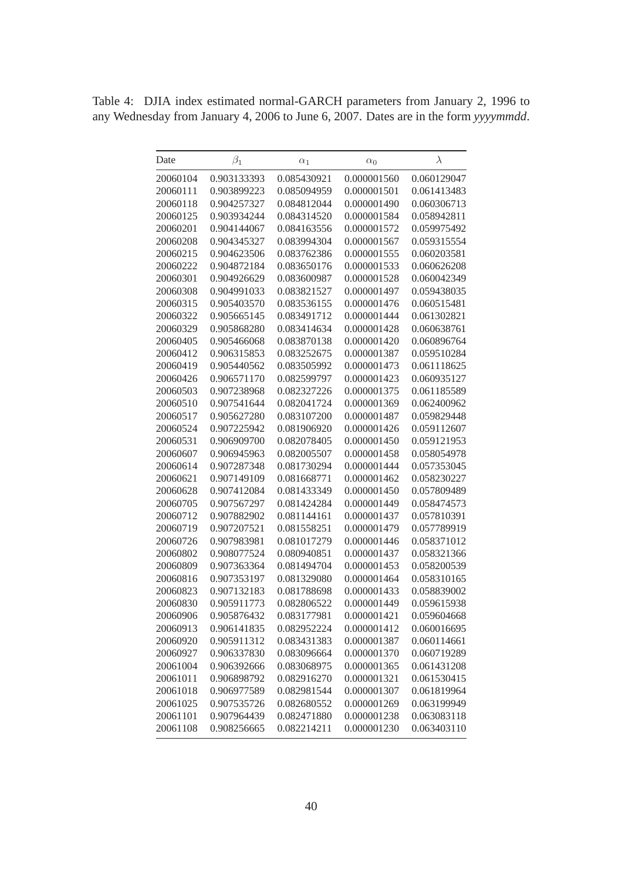<span id="page-39-0"></span>Table 4: DJIA index estimated normal-GARCH parameters from January 2, 1996 to any Wednesday from January 4, 2006 to June 6, 2007. Dates are in the form *yyyymmdd*.

| Date     | $\beta_1$   | $\alpha_1$  | $\alpha_0$  | $\lambda$   |
|----------|-------------|-------------|-------------|-------------|
| 20060104 | 0.903133393 | 0.085430921 | 0.000001560 | 0.060129047 |
| 20060111 | 0.903899223 | 0.085094959 | 0.000001501 | 0.061413483 |
| 20060118 | 0.904257327 | 0.084812044 | 0.000001490 | 0.060306713 |
| 20060125 | 0.903934244 | 0.084314520 | 0.000001584 | 0.058942811 |
| 20060201 | 0.904144067 | 0.084163556 | 0.000001572 | 0.059975492 |
| 20060208 | 0.904345327 | 0.083994304 | 0.000001567 | 0.059315554 |
| 20060215 | 0.904623506 | 0.083762386 | 0.000001555 | 0.060203581 |
| 20060222 | 0.904872184 | 0.083650176 | 0.000001533 | 0.060626208 |
| 20060301 | 0.904926629 | 0.083600987 | 0.000001528 | 0.060042349 |
| 20060308 | 0.904991033 | 0.083821527 | 0.000001497 | 0.059438035 |
| 20060315 | 0.905403570 | 0.083536155 | 0.000001476 | 0.060515481 |
| 20060322 | 0.905665145 | 0.083491712 | 0.000001444 | 0.061302821 |
| 20060329 | 0.905868280 | 0.083414634 | 0.000001428 | 0.060638761 |
| 20060405 | 0.905466068 | 0.083870138 | 0.000001420 | 0.060896764 |
| 20060412 | 0.906315853 | 0.083252675 | 0.000001387 | 0.059510284 |
| 20060419 | 0.905440562 | 0.083505992 | 0.000001473 | 0.061118625 |
| 20060426 | 0.906571170 | 0.082599797 | 0.000001423 | 0.060935127 |
| 20060503 | 0.907238968 | 0.082327226 | 0.000001375 | 0.061185589 |
| 20060510 | 0.907541644 | 0.082041724 | 0.000001369 | 0.062400962 |
| 20060517 | 0.905627280 | 0.083107200 | 0.000001487 | 0.059829448 |
| 20060524 | 0.907225942 | 0.081906920 | 0.000001426 | 0.059112607 |
| 20060531 | 0.906909700 | 0.082078405 | 0.000001450 | 0.059121953 |
| 20060607 | 0.906945963 | 0.082005507 | 0.000001458 | 0.058054978 |
| 20060614 | 0.907287348 | 0.081730294 | 0.000001444 | 0.057353045 |
| 20060621 | 0.907149109 | 0.081668771 | 0.000001462 | 0.058230227 |
| 20060628 | 0.907412084 | 0.081433349 | 0.000001450 | 0.057809489 |
| 20060705 | 0.907567297 | 0.081424284 | 0.000001449 | 0.058474573 |
| 20060712 | 0.907882902 | 0.081144161 | 0.000001437 | 0.057810391 |
| 20060719 | 0.907207521 | 0.081558251 | 0.000001479 | 0.057789919 |
| 20060726 | 0.907983981 | 0.081017279 | 0.000001446 | 0.058371012 |
| 20060802 | 0.908077524 | 0.080940851 | 0.000001437 | 0.058321366 |
| 20060809 | 0.907363364 | 0.081494704 | 0.000001453 | 0.058200539 |
| 20060816 | 0.907353197 | 0.081329080 | 0.000001464 | 0.058310165 |
| 20060823 | 0.907132183 | 0.081788698 | 0.000001433 | 0.058839002 |
| 20060830 | 0.905911773 | 0.082806522 | 0.000001449 | 0.059615938 |
| 20060906 | 0.905876432 | 0.083177981 | 0.000001421 | 0.059604668 |
| 20060913 | 0.906141835 | 0.082952224 | 0.000001412 | 0.060016695 |
| 20060920 | 0.905911312 | 0.083431383 | 0.000001387 | 0.060114661 |
| 20060927 | 0.906337830 | 0.083096664 | 0.000001370 | 0.060719289 |
| 20061004 | 0.906392666 | 0.083068975 | 0.000001365 | 0.061431208 |
| 20061011 | 0.906898792 | 0.082916270 | 0.000001321 | 0.061530415 |
| 20061018 | 0.906977589 | 0.082981544 | 0.000001307 | 0.061819964 |
| 20061025 | 0.907535726 | 0.082680552 | 0.000001269 | 0.063199949 |
| 20061101 | 0.907964439 | 0.082471880 | 0.000001238 | 0.063083118 |
| 20061108 | 0.908256665 | 0.082214211 | 0.000001230 | 0.063403110 |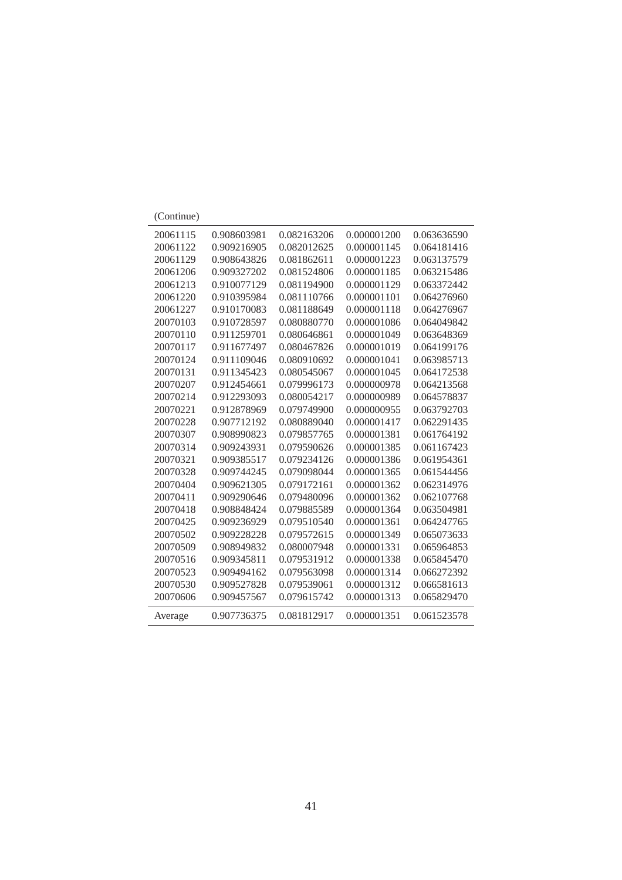| (Continue) |             |             |             |             |
|------------|-------------|-------------|-------------|-------------|
| 20061115   | 0.908603981 | 0.082163206 | 0.000001200 | 0.063636590 |
| 20061122   | 0.909216905 | 0.082012625 | 0.000001145 | 0.064181416 |
| 20061129   | 0.908643826 | 0.081862611 | 0.000001223 | 0.063137579 |
| 20061206   | 0.909327202 | 0.081524806 | 0.000001185 | 0.063215486 |
| 20061213   | 0.910077129 | 0.081194900 | 0.000001129 | 0.063372442 |
| 20061220   | 0.910395984 | 0.081110766 | 0.000001101 | 0.064276960 |
| 20061227   | 0.910170083 | 0.081188649 | 0.000001118 | 0.064276967 |
| 20070103   | 0.910728597 | 0.080880770 | 0.000001086 | 0.064049842 |
| 20070110   | 0.911259701 | 0.080646861 | 0.000001049 | 0.063648369 |
| 20070117   | 0.911677497 | 0.080467826 | 0.000001019 | 0.064199176 |
| 20070124   | 0.911109046 | 0.080910692 | 0.000001041 | 0.063985713 |
| 20070131   | 0.911345423 | 0.080545067 | 0.000001045 | 0.064172538 |
| 20070207   | 0.912454661 | 0.079996173 | 0.000000978 | 0.064213568 |
| 20070214   | 0.912293093 | 0.080054217 | 0.000000989 | 0.064578837 |
| 20070221   | 0.912878969 | 0.079749900 | 0.000000955 | 0.063792703 |
| 20070228   | 0.907712192 | 0.080889040 | 0.000001417 | 0.062291435 |
| 20070307   | 0.908990823 | 0.079857765 | 0.000001381 | 0.061764192 |
| 20070314   | 0.909243931 | 0.079590626 | 0.000001385 | 0.061167423 |
| 20070321   | 0.909385517 | 0.079234126 | 0.000001386 | 0.061954361 |
| 20070328   | 0.909744245 | 0.079098044 | 0.000001365 | 0.061544456 |
| 20070404   | 0.909621305 | 0.079172161 | 0.000001362 | 0.062314976 |
| 20070411   | 0.909290646 | 0.079480096 | 0.000001362 | 0.062107768 |
| 20070418   | 0.908848424 | 0.079885589 | 0.000001364 | 0.063504981 |
| 20070425   | 0.909236929 | 0.079510540 | 0.000001361 | 0.064247765 |
| 20070502   | 0.909228228 | 0.079572615 | 0.000001349 | 0.065073633 |
| 20070509   | 0.908949832 | 0.080007948 | 0.000001331 | 0.065964853 |
| 20070516   | 0.909345811 | 0.079531912 | 0.000001338 | 0.065845470 |
| 20070523   | 0.909494162 | 0.079563098 | 0.000001314 | 0.066272392 |
| 20070530   | 0.909527828 | 0.079539061 | 0.000001312 | 0.066581613 |
| 20070606   | 0.909457567 | 0.079615742 | 0.000001313 | 0.065829470 |
| Average    | 0.907736375 | 0.081812917 | 0.000001351 | 0.061523578 |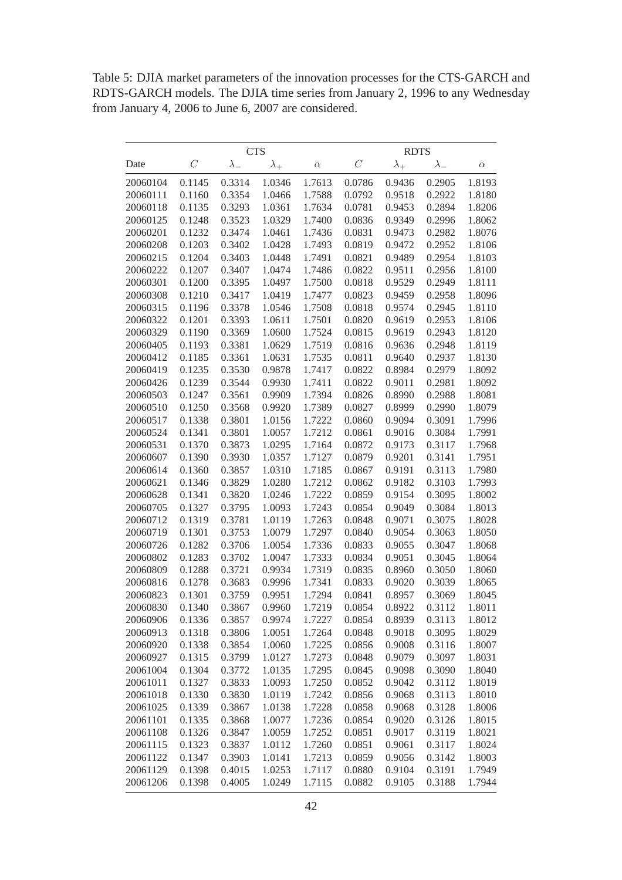<span id="page-41-0"></span>Table 5: DJIA market parameters of the innovation processes for the CTS-GARCH and RDTS-GARCH models. The DJIA time series from January 2, 1996 to any Wednesday from January 4, 2006 to June 6, 2007 are considered.

|          | <b>CTS</b> |             |             | <b>RDTS</b> |               |             |             |          |
|----------|------------|-------------|-------------|-------------|---------------|-------------|-------------|----------|
| Date     | $\,C$      | $\lambda_-$ | $\lambda_+$ | $\alpha$    | $\mathcal{C}$ | $\lambda_+$ | $\lambda_-$ | $\alpha$ |
| 20060104 | 0.1145     | 0.3314      | 1.0346      | 1.7613      | 0.0786        | 0.9436      | 0.2905      | 1.8193   |
| 20060111 | 0.1160     | 0.3354      | 1.0466      | 1.7588      | 0.0792        | 0.9518      | 0.2922      | 1.8180   |
| 20060118 | 0.1135     | 0.3293      | 1.0361      | 1.7634      | 0.0781        | 0.9453      | 0.2894      | 1.8206   |
| 20060125 | 0.1248     | 0.3523      | 1.0329      | 1.7400      | 0.0836        | 0.9349      | 0.2996      | 1.8062   |
| 20060201 | 0.1232     | 0.3474      | 1.0461      | 1.7436      | 0.0831        | 0.9473      | 0.2982      | 1.8076   |
| 20060208 | 0.1203     | 0.3402      | 1.0428      | 1.7493      | 0.0819        | 0.9472      | 0.2952      | 1.8106   |
| 20060215 | 0.1204     | 0.3403      | 1.0448      | 1.7491      | 0.0821        | 0.9489      | 0.2954      | 1.8103   |
| 20060222 | 0.1207     | 0.3407      | 1.0474      | 1.7486      | 0.0822        | 0.9511      | 0.2956      | 1.8100   |
| 20060301 | 0.1200     | 0.3395      | 1.0497      | 1.7500      | 0.0818        | 0.9529      | 0.2949      | 1.8111   |
| 20060308 | 0.1210     | 0.3417      | 1.0419      | 1.7477      | 0.0823        | 0.9459      | 0.2958      | 1.8096   |
| 20060315 | 0.1196     | 0.3378      | 1.0546      | 1.7508      | 0.0818        | 0.9574      | 0.2945      | 1.8110   |
| 20060322 | 0.1201     | 0.3393      | 1.0611      | 1.7501      | 0.0820        | 0.9619      | 0.2953      | 1.8106   |
| 20060329 | 0.1190     | 0.3369      | 1.0600      | 1.7524      | 0.0815        | 0.9619      | 0.2943      | 1.8120   |
| 20060405 | 0.1193     | 0.3381      | 1.0629      | 1.7519      | 0.0816        | 0.9636      | 0.2948      | 1.8119   |
| 20060412 | 0.1185     | 0.3361      | 1.0631      | 1.7535      | 0.0811        | 0.9640      | 0.2937      | 1.8130   |
| 20060419 | 0.1235     | 0.3530      | 0.9878      | 1.7417      | 0.0822        | 0.8984      | 0.2979      | 1.8092   |
| 20060426 | 0.1239     | 0.3544      | 0.9930      | 1.7411      | 0.0822        | 0.9011      | 0.2981      | 1.8092   |
| 20060503 | 0.1247     | 0.3561      | 0.9909      | 1.7394      | 0.0826        | 0.8990      | 0.2988      | 1.8081   |
| 20060510 | 0.1250     | 0.3568      | 0.9920      | 1.7389      | 0.0827        | 0.8999      | 0.2990      | 1.8079   |
| 20060517 | 0.1338     | 0.3801      | 1.0156      | 1.7222      | 0.0860        | 0.9094      | 0.3091      | 1.7996   |
| 20060524 | 0.1341     | 0.3801      | 1.0057      | 1.7212      | 0.0861        | 0.9016      | 0.3084      | 1.7991   |
| 20060531 | 0.1370     | 0.3873      | 1.0295      | 1.7164      | 0.0872        | 0.9173      | 0.3117      | 1.7968   |
| 20060607 | 0.1390     | 0.3930      | 1.0357      | 1.7127      | 0.0879        | 0.9201      | 0.3141      | 1.7951   |
| 20060614 | 0.1360     | 0.3857      | 1.0310      | 1.7185      | 0.0867        | 0.9191      | 0.3113      | 1.7980   |
| 20060621 | 0.1346     | 0.3829      | 1.0280      | 1.7212      | 0.0862        | 0.9182      | 0.3103      | 1.7993   |
| 20060628 | 0.1341     | 0.3820      | 1.0246      | 1.7222      | 0.0859        | 0.9154      | 0.3095      | 1.8002   |
| 20060705 | 0.1327     | 0.3795      | 1.0093      | 1.7243      | 0.0854        | 0.9049      | 0.3084      | 1.8013   |
| 20060712 | 0.1319     | 0.3781      | 1.0119      | 1.7263      | 0.0848        | 0.9071      | 0.3075      | 1.8028   |
| 20060719 | 0.1301     | 0.3753      | 1.0079      | 1.7297      | 0.0840        | 0.9054      | 0.3063      | 1.8050   |
| 20060726 | 0.1282     | 0.3706      | 1.0054      | 1.7336      | 0.0833        | 0.9055      | 0.3047      | 1.8068   |
| 20060802 | 0.1283     | 0.3702      | 1.0047      | 1.7333      | 0.0834        | 0.9051      | 0.3045      | 1.8064   |
| 20060809 | 0.1288     | 0.3721      | 0.9934      | 1.7319      | 0.0835        | 0.8960      | 0.3050      | 1.8060   |
| 20060816 | 0.1278     | 0.3683      | 0.9996      | 1.7341      | 0.0833        | 0.9020      | 0.3039      | 1.8065   |
| 20060823 | 0.1301     | 0.3759      | 0.9951      | 1.7294      | 0.0841        | 0.8957      | 0.3069      | 1.8045   |
| 20060830 | 0.1340     | 0.3867      | 0.9960      | 1.7219      | 0.0854        | 0.8922      | 0.3112      | 1.8011   |
| 20060906 | 0.1336     | 0.3857      | 0.9974      | 1.7227      | 0.0854        | 0.8939      | 0.3113      | 1.8012   |
| 20060913 | 0.1318     | 0.3806      | 1.0051      | 1.7264      | 0.0848        | 0.9018      | 0.3095      | 1.8029   |
| 20060920 | 0.1338     | 0.3854      | 1.0060      | 1.7225      | 0.0856        | 0.9008      | 0.3116      | 1.8007   |
| 20060927 | 0.1315     | 0.3799      | 1.0127      | 1.7273      | 0.0848        | 0.9079      | 0.3097      | 1.8031   |
| 20061004 | 0.1304     | 0.3772      | 1.0135      | 1.7295      | 0.0845        | 0.9098      | 0.3090      | 1.8040   |
| 20061011 | 0.1327     | 0.3833      | 1.0093      | 1.7250      | 0.0852        | 0.9042      | 0.3112      | 1.8019   |
| 20061018 | 0.1330     | 0.3830      | 1.0119      | 1.7242      | 0.0856        | 0.9068      | 0.3113      | 1.8010   |
| 20061025 | 0.1339     | 0.3867      | 1.0138      | 1.7228      | 0.0858        | 0.9068      | 0.3128      | 1.8006   |
| 20061101 | 0.1335     | 0.3868      | 1.0077      | 1.7236      | 0.0854        | 0.9020      | 0.3126      | 1.8015   |
| 20061108 | 0.1326     | 0.3847      | 1.0059      | 1.7252      | 0.0851        | 0.9017      | 0.3119      | 1.8021   |
| 20061115 | 0.1323     | 0.3837      | 1.0112      | 1.7260      | 0.0851        | 0.9061      | 0.3117      | 1.8024   |
| 20061122 | 0.1347     | 0.3903      | 1.0141      | 1.7213      | 0.0859        | 0.9056      | 0.3142      | 1.8003   |
| 20061129 | 0.1398     | 0.4015      | 1.0253      | 1.7117      | 0.0880        | 0.9104      | 0.3191      | 1.7949   |
| 20061206 | 0.1398     | 0.4005      | 1.0249      | 1.7115      | 0.0882        | 0.9105      | 0.3188      | 1.7944   |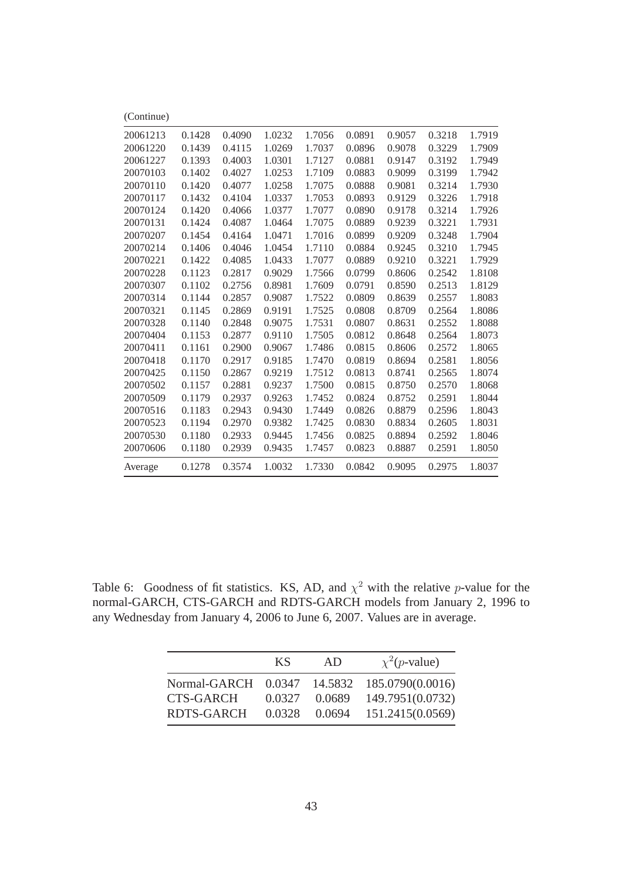| (Continue) |        |        |        |        |        |        |        |        |
|------------|--------|--------|--------|--------|--------|--------|--------|--------|
| 20061213   | 0.1428 | 0.4090 | 1.0232 | 1.7056 | 0.0891 | 0.9057 | 0.3218 | 1.7919 |
| 20061220   | 0.1439 | 0.4115 | 1.0269 | 1.7037 | 0.0896 | 0.9078 | 0.3229 | 1.7909 |
| 20061227   | 0.1393 | 0.4003 | 1.0301 | 1.7127 | 0.0881 | 0.9147 | 0.3192 | 1.7949 |
| 20070103   | 0.1402 | 0.4027 | 1.0253 | 1.7109 | 0.0883 | 0.9099 | 0.3199 | 1.7942 |
| 20070110   | 0.1420 | 0.4077 | 1.0258 | 1.7075 | 0.0888 | 0.9081 | 0.3214 | 1.7930 |
| 20070117   | 0.1432 | 0.4104 | 1.0337 | 1.7053 | 0.0893 | 0.9129 | 0.3226 | 1.7918 |
| 20070124   | 0.1420 | 0.4066 | 1.0377 | 1.7077 | 0.0890 | 0.9178 | 0.3214 | 1.7926 |
| 20070131   | 0.1424 | 0.4087 | 1.0464 | 1.7075 | 0.0889 | 0.9239 | 0.3221 | 1.7931 |
| 20070207   | 0.1454 | 0.4164 | 1.0471 | 1.7016 | 0.0899 | 0.9209 | 0.3248 | 1.7904 |
| 20070214   | 0.1406 | 0.4046 | 1.0454 | 1.7110 | 0.0884 | 0.9245 | 0.3210 | 1.7945 |
| 20070221   | 0.1422 | 0.4085 | 1.0433 | 1.7077 | 0.0889 | 0.9210 | 0.3221 | 1.7929 |
| 20070228   | 0.1123 | 0.2817 | 0.9029 | 1.7566 | 0.0799 | 0.8606 | 0.2542 | 1.8108 |
| 20070307   | 0.1102 | 0.2756 | 0.8981 | 1.7609 | 0.0791 | 0.8590 | 0.2513 | 1.8129 |
| 20070314   | 0.1144 | 0.2857 | 0.9087 | 1.7522 | 0.0809 | 0.8639 | 0.2557 | 1.8083 |
| 20070321   | 0.1145 | 0.2869 | 0.9191 | 1.7525 | 0.0808 | 0.8709 | 0.2564 | 1.8086 |
| 20070328   | 0.1140 | 0.2848 | 0.9075 | 1.7531 | 0.0807 | 0.8631 | 0.2552 | 1.8088 |
| 20070404   | 0.1153 | 0.2877 | 0.9110 | 1.7505 | 0.0812 | 0.8648 | 0.2564 | 1.8073 |
| 20070411   | 0.1161 | 0.2900 | 0.9067 | 1.7486 | 0.0815 | 0.8606 | 0.2572 | 1.8065 |
| 20070418   | 0.1170 | 0.2917 | 0.9185 | 1.7470 | 0.0819 | 0.8694 | 0.2581 | 1.8056 |
| 20070425   | 0.1150 | 0.2867 | 0.9219 | 1.7512 | 0.0813 | 0.8741 | 0.2565 | 1.8074 |
| 20070502   | 0.1157 | 0.2881 | 0.9237 | 1.7500 | 0.0815 | 0.8750 | 0.2570 | 1.8068 |
| 20070509   | 0.1179 | 0.2937 | 0.9263 | 1.7452 | 0.0824 | 0.8752 | 0.2591 | 1.8044 |
| 20070516   | 0.1183 | 0.2943 | 0.9430 | 1.7449 | 0.0826 | 0.8879 | 0.2596 | 1.8043 |
| 20070523   | 0.1194 | 0.2970 | 0.9382 | 1.7425 | 0.0830 | 0.8834 | 0.2605 | 1.8031 |
| 20070530   | 0.1180 | 0.2933 | 0.9445 | 1.7456 | 0.0825 | 0.8894 | 0.2592 | 1.8046 |
| 20070606   | 0.1180 | 0.2939 | 0.9435 | 1.7457 | 0.0823 | 0.8887 | 0.2591 | 1.8050 |
| Average    | 0.1278 | 0.3574 | 1.0032 | 1.7330 | 0.0842 | 0.9095 | 0.2975 | 1.8037 |

<span id="page-42-0"></span>Table 6: Goodness of fit statistics. KS, AD, and  $\chi^2$  with the relative p-value for the normal-GARCH, CTS-GARCH and RDTS-GARCH models from January 2, 1996 to any Wednesday from January 4, 2006 to June 6, 2007. Values are in average.

|            | <b>KS</b> | AD.    | $\chi^2(p$ -value)                           |
|------------|-----------|--------|----------------------------------------------|
|            |           |        | Normal-GARCH 0.0347 14.5832 185.0790(0.0016) |
| CTS-GARCH  | 0.0327    | 0.0689 | 149.7951(0.0732)                             |
| RDTS-GARCH | 0.0328    | 0.0694 | 151.2415(0.0569)                             |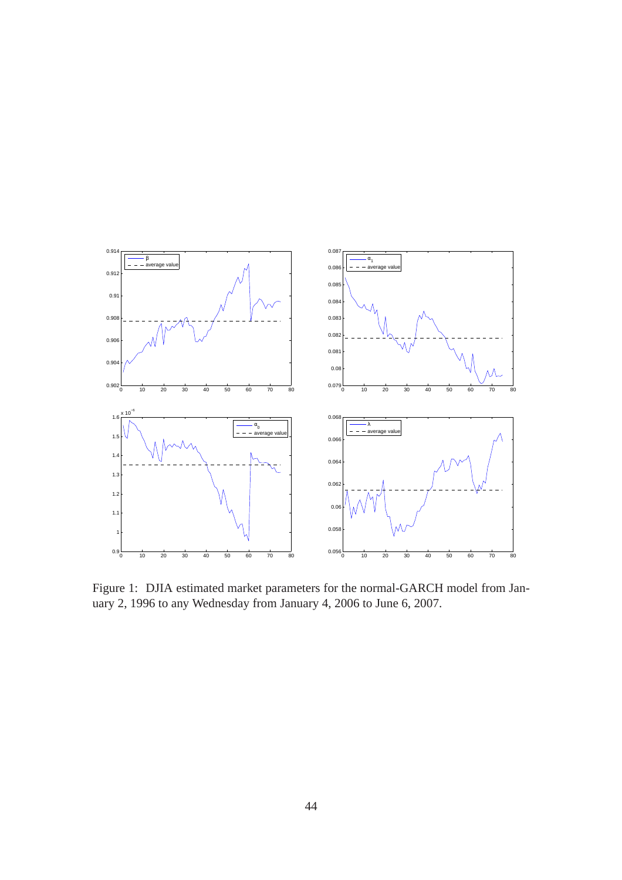<span id="page-43-0"></span>

Figure 1: DJIA estimated market parameters for the normal-GARCH model from January 2, 1996 to any Wednesday from January 4, 2006 to June 6, 2007.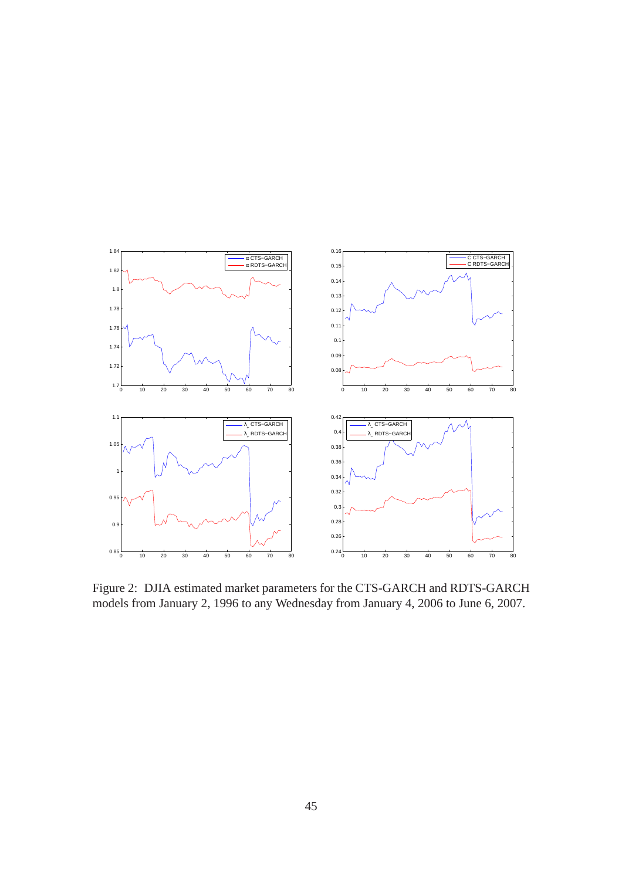<span id="page-44-0"></span>

Figure 2: DJIA estimated market parameters for the CTS-GARCH and RDTS-GARCH models from January 2, 1996 to any Wednesday from January 4, 2006 to June 6, 2007.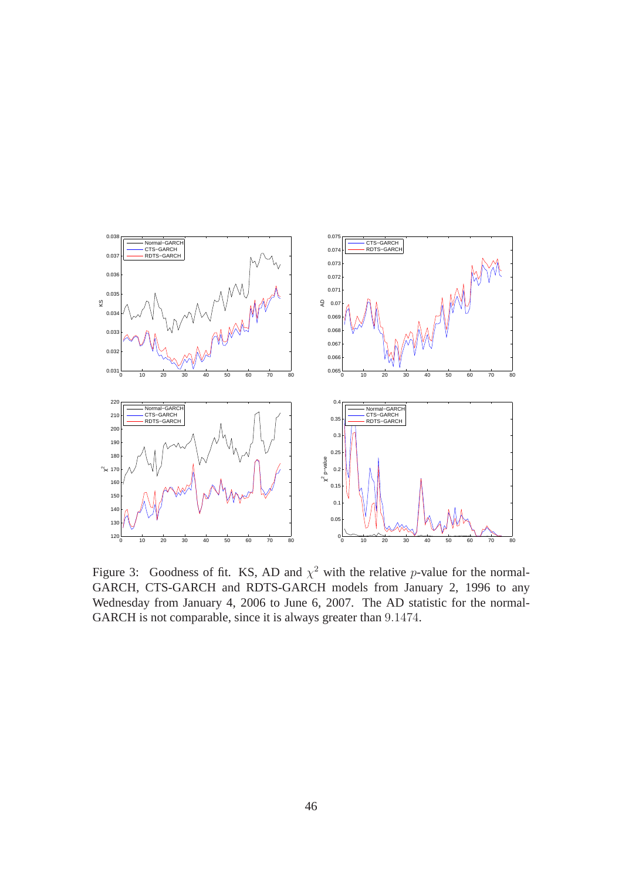<span id="page-45-0"></span>

Figure 3: Goodness of fit. KS, AD and  $\chi^2$  with the relative *p*-value for the normal-GARCH, CTS-GARCH and RDTS-GARCH models from January 2, 1996 to any Wednesday from January 4, 2006 to June 6, 2007. The AD statistic for the normal-GARCH is not comparable, since it is always greater than 9.1474.